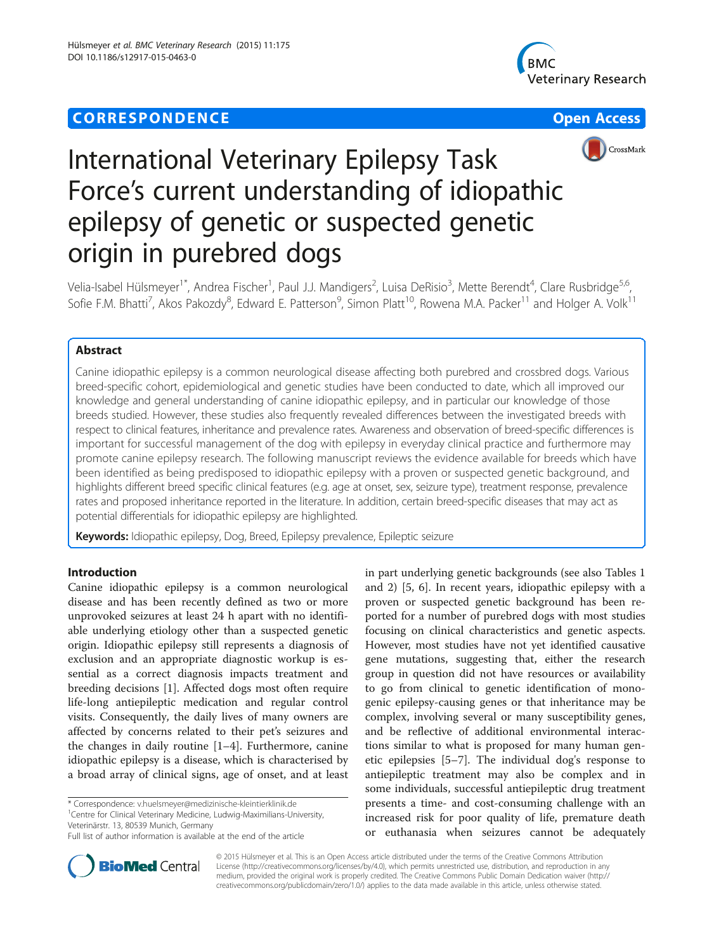# **CORRESPONDENCE CORRESPONDENCE** *CORRESPONDENCE*







# International Veterinary Epilepsy Task Force's current understanding of idiopathic epilepsy of genetic or suspected genetic origin in purebred dogs

Velia-Isabel Hülsmeyer<sup>1\*</sup>, Andrea Fischer<sup>1</sup>, Paul J.J. Mandigers<sup>2</sup>, Luisa DeRisio<sup>3</sup>, Mette Berendt<sup>4</sup>, Clare Rusbridge<sup>5,6</sup>, Sofie F.M. Bhatti<sup>7</sup>, Akos Pakozdy<sup>8</sup>, Edward E. Patterson<sup>9</sup>, Simon Platt<sup>10</sup>, Rowena M.A. Packer<sup>11</sup> and Holger A. Volk<sup>11</sup>

# Abstract

Canine idiopathic epilepsy is a common neurological disease affecting both purebred and crossbred dogs. Various breed-specific cohort, epidemiological and genetic studies have been conducted to date, which all improved our knowledge and general understanding of canine idiopathic epilepsy, and in particular our knowledge of those breeds studied. However, these studies also frequently revealed differences between the investigated breeds with respect to clinical features, inheritance and prevalence rates. Awareness and observation of breed-specific differences is important for successful management of the dog with epilepsy in everyday clinical practice and furthermore may promote canine epilepsy research. The following manuscript reviews the evidence available for breeds which have been identified as being predisposed to idiopathic epilepsy with a proven or suspected genetic background, and highlights different breed specific clinical features (e.g. age at onset, sex, seizure type), treatment response, prevalence rates and proposed inheritance reported in the literature. In addition, certain breed-specific diseases that may act as potential differentials for idiopathic epilepsy are highlighted.

Keywords: Idiopathic epilepsy, Dog, Breed, Epilepsy prevalence, Epileptic seizure

# Introduction

Canine idiopathic epilepsy is a common neurological disease and has been recently defined as two or more unprovoked seizures at least 24 h apart with no identifiable underlying etiology other than a suspected genetic origin. Idiopathic epilepsy still represents a diagnosis of exclusion and an appropriate diagnostic workup is essential as a correct diagnosis impacts treatment and breeding decisions [[1](#page-24-0)]. Affected dogs most often require life-long antiepileptic medication and regular control visits. Consequently, the daily lives of many owners are affected by concerns related to their pet's seizures and the changes in daily routine [\[1](#page-24-0)–[4\]](#page-24-0). Furthermore, canine idiopathic epilepsy is a disease, which is characterised by a broad array of clinical signs, age of onset, and at least

\* Correspondence: [v.huelsmeyer@medizinische-kleintierklinik.de](mailto:v.huelsmeyer@medizinische-kleintierklinik.de) <sup>1</sup>

<sup>1</sup> Centre for Clinical Veterinary Medicine, Ludwig-Maximilians-University, Veterinärstr. 13, 80539 Munich, Germany





© 2015 Hülsmeyer et al. This is an Open Access article distributed under the terms of the Creative Commons Attribution License (<http://creativecommons.org/licenses/by/4.0>), which permits unrestricted use, distribution, and reproduction in any medium, provided the original work is properly credited. The Creative Commons Public Domain Dedication waiver [\(http://](http://creativecommons.org/publicdomain/zero/1.0/) [creativecommons.org/publicdomain/zero/1.0/\)](http://creativecommons.org/publicdomain/zero/1.0/) applies to the data made available in this article, unless otherwise stated.

Full list of author information is available at the end of the article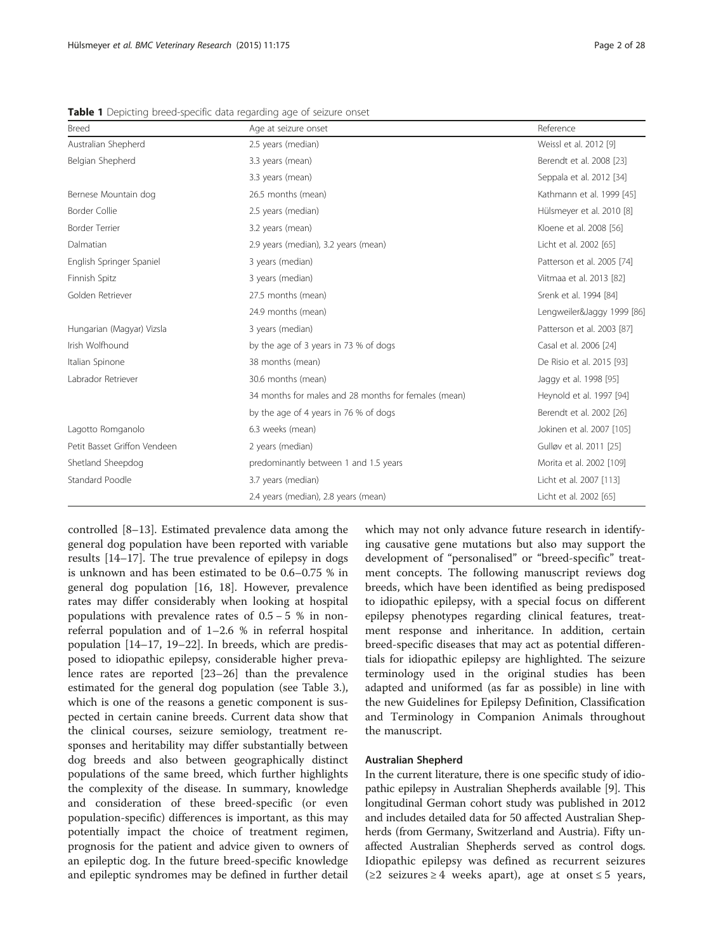| Breed                        | Age at seizure onset                                 | Reference                  |
|------------------------------|------------------------------------------------------|----------------------------|
| Australian Shepherd          | 2.5 years (median)                                   | Weissl et al. 2012 [9]     |
| Belgian Shepherd             | 3.3 years (mean)                                     | Berendt et al. 2008 [23]   |
|                              | 3.3 years (mean)                                     | Seppala et al. 2012 [34]   |
| Bernese Mountain dog         | 26.5 months (mean)                                   | Kathmann et al. 1999 [45]  |
| <b>Border Collie</b>         | 2.5 years (median)                                   | Hülsmeyer et al. 2010 [8]  |
| <b>Border Terrier</b>        | 3.2 years (mean)                                     | Kloene et al. 2008 [56]    |
| Dalmatian                    | 2.9 years (median), 3.2 years (mean)                 | Licht et al. 2002 [65]     |
| English Springer Spaniel     | 3 years (median)                                     | Patterson et al. 2005 [74] |
| Finnish Spitz                | 3 years (median)                                     | Viitmaa et al. 2013 [82]   |
| Golden Retriever             | 27.5 months (mean)                                   | Srenk et al. 1994 [84]     |
|                              | 24.9 months (mean)                                   | Lengweiler&Jaggy 1999 [86] |
| Hungarian (Magyar) Vizsla    | 3 years (median)                                     | Patterson et al. 2003 [87] |
| Irish Wolfhound              | by the age of 3 years in 73 % of dogs                | Casal et al. 2006 [24]     |
| Italian Spinone              | 38 months (mean)                                     | De Risio et al. 2015 [93]  |
| Labrador Retriever           | 30.6 months (mean)                                   | Jaggy et al. 1998 [95]     |
|                              | 34 months for males and 28 months for females (mean) | Heynold et al. 1997 [94]   |
|                              | by the age of 4 years in 76 % of dogs                | Berendt et al. 2002 [26]   |
| Lagotto Romganolo            | 6.3 weeks (mean)                                     | Jokinen et al. 2007 [105]  |
| Petit Basset Griffon Vendeen | 2 years (median)                                     | Gulløv et al. 2011 [25]    |
| Shetland Sheepdog            | predominantly between 1 and 1.5 years                | Morita et al. 2002 [109]   |
| Standard Poodle              | 3.7 years (median)                                   | Licht et al. 2007 [113]    |
|                              | 2.4 years (median), 2.8 years (mean)                 | Licht et al. 2002 [65]     |

<span id="page-1-0"></span>Table 1 Depicting breed-specific data regarding age of seizure onset

controlled [\[8](#page-24-0)–[13\]](#page-25-0). Estimated prevalence data among the general dog population have been reported with variable results [\[14](#page-25-0)–[17\]](#page-25-0). The true prevalence of epilepsy in dogs is unknown and has been estimated to be 0.6–0.75 % in general dog population [\[16](#page-25-0), [18\]](#page-25-0). However, prevalence rates may differ considerably when looking at hospital populations with prevalence rates of  $0.5 - 5$  % in nonreferral population and of 1–2.6 % in referral hospital population [\[14](#page-25-0)–[17](#page-25-0), [19](#page-25-0)–[22](#page-25-0)]. In breeds, which are predisposed to idiopathic epilepsy, considerable higher prevalence rates are reported [\[23](#page-25-0)–[26\]](#page-25-0) than the prevalence estimated for the general dog population (see Table [3](#page-5-0).), which is one of the reasons a genetic component is suspected in certain canine breeds. Current data show that the clinical courses, seizure semiology, treatment responses and heritability may differ substantially between dog breeds and also between geographically distinct populations of the same breed, which further highlights the complexity of the disease. In summary, knowledge and consideration of these breed-specific (or even population-specific) differences is important, as this may potentially impact the choice of treatment regimen, prognosis for the patient and advice given to owners of an epileptic dog. In the future breed-specific knowledge and epileptic syndromes may be defined in further detail

which may not only advance future research in identifying causative gene mutations but also may support the development of "personalised" or "breed-specific" treatment concepts. The following manuscript reviews dog breeds, which have been identified as being predisposed to idiopathic epilepsy, with a special focus on different epilepsy phenotypes regarding clinical features, treatment response and inheritance. In addition, certain breed-specific diseases that may act as potential differentials for idiopathic epilepsy are highlighted. The seizure terminology used in the original studies has been adapted and uniformed (as far as possible) in line with the new Guidelines for Epilepsy Definition, Classification and Terminology in Companion Animals throughout the manuscript.

# Australian Shepherd

In the current literature, there is one specific study of idiopathic epilepsy in Australian Shepherds available [[9](#page-24-0)]. This longitudinal German cohort study was published in 2012 and includes detailed data for 50 affected Australian Shepherds (from Germany, Switzerland and Austria). Fifty unaffected Australian Shepherds served as control dogs. Idiopathic epilepsy was defined as recurrent seizures ( $≥2$  seizures  $≥4$  weeks apart), age at onset  $≤ 5$  years,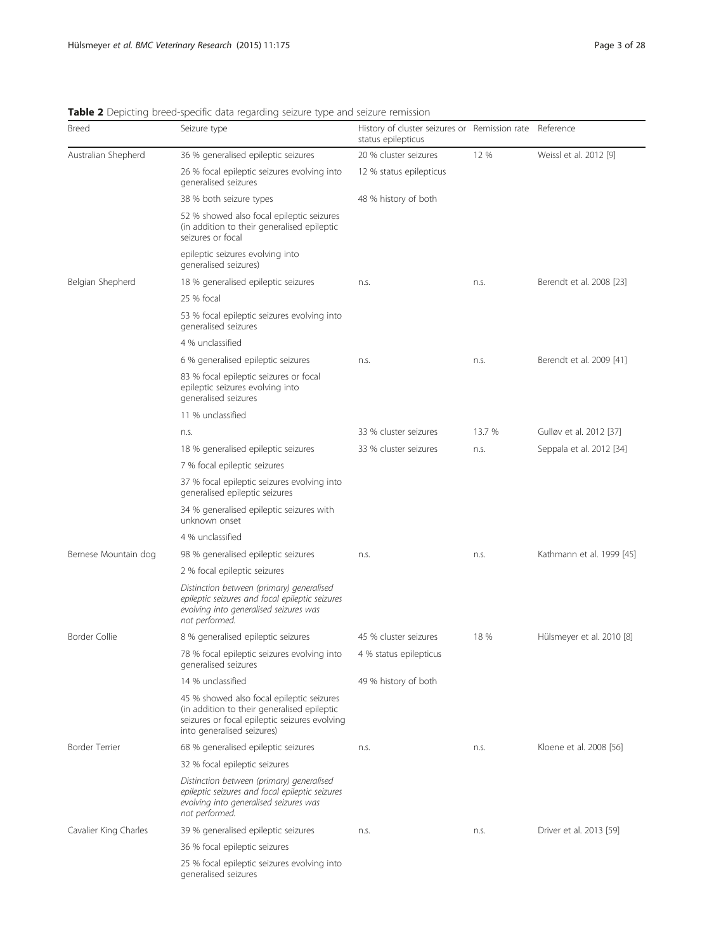| <b>Breed</b>          | Seizure type                                                                                                                                                            | History of cluster seizures or Remission rate Reference<br>status epilepticus |        |                           |  |
|-----------------------|-------------------------------------------------------------------------------------------------------------------------------------------------------------------------|-------------------------------------------------------------------------------|--------|---------------------------|--|
| Australian Shepherd   | 36 % generalised epileptic seizures                                                                                                                                     | 20 % cluster seizures                                                         | 12 %   | Weissl et al. 2012 [9]    |  |
|                       | 26 % focal epileptic seizures evolving into<br>generalised seizures                                                                                                     | 12 % status epilepticus                                                       |        |                           |  |
|                       | 38 % both seizure types                                                                                                                                                 | 48 % history of both                                                          |        |                           |  |
|                       | 52 % showed also focal epileptic seizures<br>(in addition to their generalised epileptic<br>seizures or focal                                                           |                                                                               |        |                           |  |
|                       | epileptic seizures evolving into<br>generalised seizures)                                                                                                               |                                                                               |        |                           |  |
| Belgian Shepherd      | 18 % generalised epileptic seizures                                                                                                                                     | n.s.                                                                          | n.s.   | Berendt et al. 2008 [23]  |  |
|                       | 25 % focal                                                                                                                                                              |                                                                               |        |                           |  |
|                       | 53 % focal epileptic seizures evolving into<br>generalised seizures                                                                                                     |                                                                               |        |                           |  |
|                       | 4 % unclassified                                                                                                                                                        |                                                                               |        |                           |  |
|                       | 6 % generalised epileptic seizures                                                                                                                                      | n.s.                                                                          | n.s.   | Berendt et al. 2009 [41]  |  |
|                       | 83 % focal epileptic seizures or focal<br>epileptic seizures evolving into<br>generalised seizures                                                                      |                                                                               |        |                           |  |
|                       | 11 % unclassified                                                                                                                                                       |                                                                               |        |                           |  |
|                       | n.s.                                                                                                                                                                    | 33 % cluster seizures                                                         | 13.7 % | Gulløv et al. 2012 [37]   |  |
|                       | 18 % generalised epileptic seizures                                                                                                                                     | 33 % cluster seizures                                                         | n.s.   | Seppala et al. 2012 [34]  |  |
|                       | 7 % focal epileptic seizures                                                                                                                                            |                                                                               |        |                           |  |
|                       | 37 % focal epileptic seizures evolving into<br>generalised epileptic seizures                                                                                           |                                                                               |        |                           |  |
|                       | 34 % generalised epileptic seizures with<br>unknown onset                                                                                                               |                                                                               |        |                           |  |
|                       | 4 % unclassified                                                                                                                                                        |                                                                               |        |                           |  |
| Bernese Mountain dog  | 98 % generalised epileptic seizures                                                                                                                                     | n.s.                                                                          | n.s.   | Kathmann et al. 1999 [45] |  |
|                       | 2 % focal epileptic seizures                                                                                                                                            |                                                                               |        |                           |  |
|                       | Distinction between (primary) generalised<br>epileptic seizures and focal epileptic seizures<br>evolving into generalised seizures was<br>not performed.                |                                                                               |        |                           |  |
| <b>Border Collie</b>  | 8 % generalised epileptic seizures                                                                                                                                      | 45 % cluster seizures                                                         | 18 %   | Hülsmeyer et al. 2010 [8] |  |
|                       | 78 % focal epileptic seizures evolving into<br>generalised seizures                                                                                                     | 4 % status epilepticus                                                        |        |                           |  |
|                       | 14 % unclassified                                                                                                                                                       | 49 % history of both                                                          |        |                           |  |
|                       | 45 % showed also focal epileptic seizures<br>(in addition to their generalised epileptic<br>seizures or focal epileptic seizures evolving<br>into generalised seizures) |                                                                               |        |                           |  |
| <b>Border Terrier</b> | 68 % generalised epileptic seizures                                                                                                                                     | n.s.                                                                          | n.s.   | Kloene et al. 2008 [56]   |  |
|                       | 32 % focal epileptic seizures                                                                                                                                           |                                                                               |        |                           |  |
|                       | Distinction between (primary) generalised<br>epileptic seizures and focal epileptic seizures<br>evolving into generalised seizures was<br>not performed.                |                                                                               |        |                           |  |
| Cavalier King Charles | 39 % generalised epileptic seizures                                                                                                                                     | n.s.                                                                          | n.s.   | Driver et al. 2013 [59]   |  |

# <span id="page-2-0"></span>Table 2 Depicting breed-specific data regarding seizure type and seizure remission

36 % focal epileptic seizures

generalised seizures

25 % focal epileptic seizures evolving into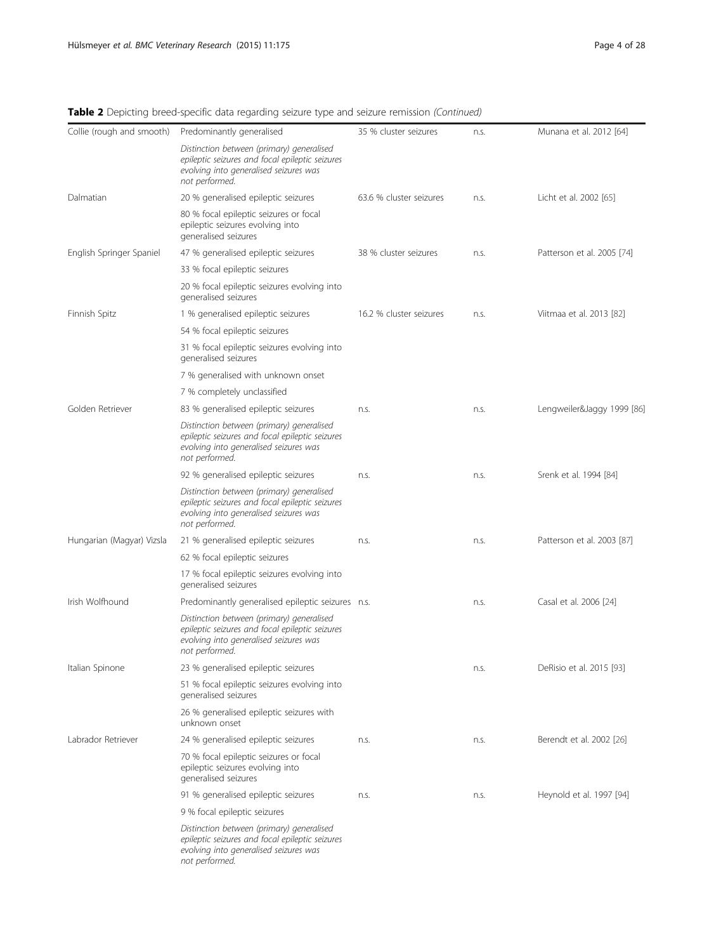| Collie (rough and smooth) | Predominantly generalised                                                                                                                                | 35 % cluster seizures   | n.s. | Munana et al. 2012 [64]    |
|---------------------------|----------------------------------------------------------------------------------------------------------------------------------------------------------|-------------------------|------|----------------------------|
|                           | Distinction between (primary) generalised<br>epileptic seizures and focal epileptic seizures<br>evolving into generalised seizures was<br>not performed. |                         |      |                            |
| Dalmatian                 | 20 % generalised epileptic seizures                                                                                                                      | 63.6 % cluster seizures | n.s. | Licht et al. 2002 [65]     |
|                           | 80 % focal epileptic seizures or focal<br>epileptic seizures evolving into<br>generalised seizures                                                       |                         |      |                            |
| English Springer Spaniel  | 47 % generalised epileptic seizures                                                                                                                      | 38 % cluster seizures   | n.s. | Patterson et al. 2005 [74] |
|                           | 33 % focal epileptic seizures                                                                                                                            |                         |      |                            |
|                           | 20 % focal epileptic seizures evolving into<br>generalised seizures                                                                                      |                         |      |                            |
| Finnish Spitz             | 1 % generalised epileptic seizures                                                                                                                       | 16.2 % cluster seizures | n.s. | Viitmaa et al. 2013 [82]   |
|                           | 54 % focal epileptic seizures                                                                                                                            |                         |      |                            |
|                           | 31 % focal epileptic seizures evolving into<br>generalised seizures                                                                                      |                         |      |                            |
|                           | 7 % generalised with unknown onset                                                                                                                       |                         |      |                            |
|                           | 7 % completely unclassified                                                                                                                              |                         |      |                            |
| Golden Retriever          | 83 % generalised epileptic seizures                                                                                                                      | n.s.                    | n.s. | Lengweiler&Jaggy 1999 [86] |
|                           | Distinction between (primary) generalised<br>epileptic seizures and focal epileptic seizures<br>evolving into generalised seizures was<br>not performed. |                         |      |                            |
|                           | 92 % generalised epileptic seizures                                                                                                                      | n.s.                    | n.s. | Srenk et al. 1994 [84]     |
|                           | Distinction between (primary) generalised<br>epileptic seizures and focal epileptic seizures<br>evolving into generalised seizures was<br>not performed. |                         |      |                            |
| Hungarian (Magyar) Vizsla | 21 % generalised epileptic seizures                                                                                                                      | n.s.                    | n.s. | Patterson et al. 2003 [87] |
|                           | 62 % focal epileptic seizures                                                                                                                            |                         |      |                            |
|                           | 17 % focal epileptic seizures evolving into<br>generalised seizures                                                                                      |                         |      |                            |
| Irish Wolfhound           | Predominantly generalised epileptic seizures n.s.                                                                                                        |                         | n.s. | Casal et al. 2006 [24]     |
|                           | Distinction between (primary) generalised<br>epileptic seizures and focal epileptic seizures<br>evolving into generalised seizures was<br>not performed. |                         |      |                            |
| Italian Spinone           | 23 % generalised epileptic seizures                                                                                                                      |                         | n.s. | DeRisio et al. 2015 [93]   |
|                           | 51 % focal epileptic seizures evolving into<br>generalised seizures                                                                                      |                         |      |                            |
|                           | 26 % generalised epileptic seizures with<br>unknown onset                                                                                                |                         |      |                            |
| Labrador Retriever        | 24 % generalised epileptic seizures                                                                                                                      | n.s.                    | n.s. | Berendt et al. 2002 [26]   |
|                           | 70 % focal epileptic seizures or focal<br>epileptic seizures evolving into<br>generalised seizures                                                       |                         |      |                            |
|                           | 91 % generalised epileptic seizures                                                                                                                      | n.s.                    | n.s. | Heynold et al. 1997 [94]   |
|                           | 9 % focal epileptic seizures                                                                                                                             |                         |      |                            |
|                           | Distinction between (primary) generalised<br>epileptic seizures and focal epileptic seizures<br>evolving into generalised seizures was<br>not performed. |                         |      |                            |

# Table 2 Depicting breed-specific data regarding seizure type and seizure remission (Continued)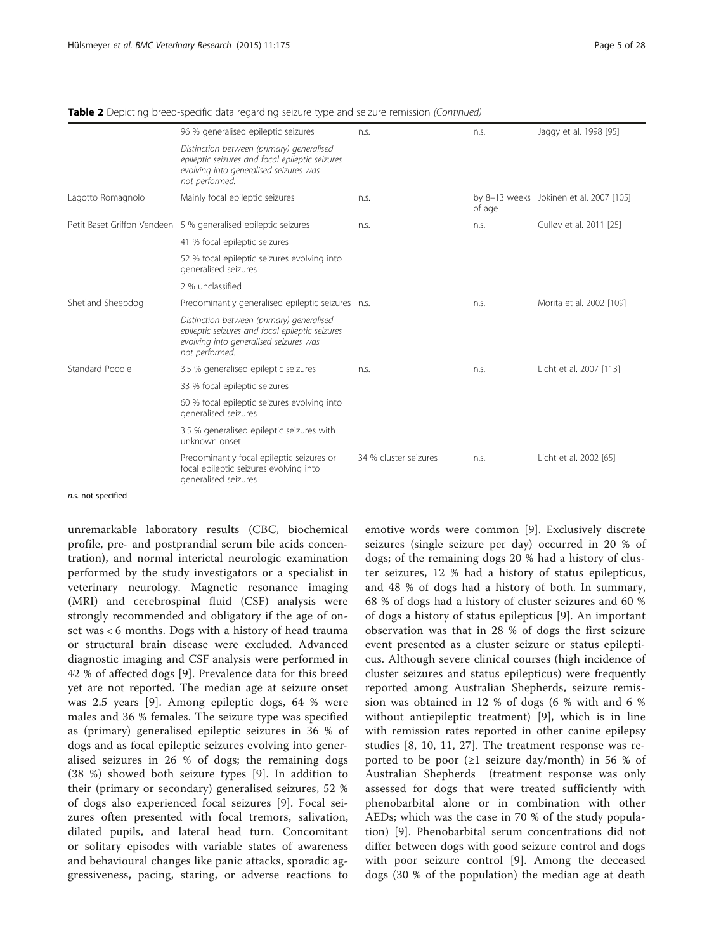|                   | 96 % generalised epileptic seizures                                                                                                                      | n.s.                  | n.s.   | Jaggy et al. 1998 [95]                  |
|-------------------|----------------------------------------------------------------------------------------------------------------------------------------------------------|-----------------------|--------|-----------------------------------------|
|                   | Distinction between (primary) generalised<br>epileptic seizures and focal epileptic seizures<br>evolving into generalised seizures was<br>not performed. |                       |        |                                         |
| Lagotto Romagnolo | Mainly focal epileptic seizures                                                                                                                          | n.s.                  | of age | by 8-13 weeks Jokinen et al. 2007 [105] |
|                   | Petit Baset Griffon Vendeen 5 % generalised epileptic seizures                                                                                           | n.s.                  | n.s.   | Gulløv et al. 2011 [25]                 |
|                   | 41 % focal epileptic seizures                                                                                                                            |                       |        |                                         |
|                   | 52 % focal epileptic seizures evolving into<br>generalised seizures                                                                                      |                       |        |                                         |
|                   | 2 % unclassified                                                                                                                                         |                       |        |                                         |
| Shetland Sheepdog | Predominantly generalised epileptic seizures n.s.                                                                                                        |                       | n.s.   | Morita et al. 2002 [109]                |
|                   | Distinction between (primary) generalised<br>epileptic seizures and focal epileptic seizures<br>evolving into generalised seizures was<br>not performed. |                       |        |                                         |
| Standard Poodle   | 3.5 % generalised epileptic seizures                                                                                                                     | n.s.                  | n.s.   | Licht et al. 2007 [113]                 |
|                   | 33 % focal epileptic seizures                                                                                                                            |                       |        |                                         |
|                   | 60 % focal epileptic seizures evolving into<br>generalised seizures                                                                                      |                       |        |                                         |
|                   | 3.5 % generalised epileptic seizures with<br>unknown onset                                                                                               |                       |        |                                         |
|                   | Predominantly focal epileptic seizures or<br>focal epileptic seizures evolving into<br>generalised seizures                                              | 34 % cluster seizures | n.s.   | Licht et al. 2002 [65]                  |

| Table 2 Depicting breed-specific data regarding seizure type and seizure remission (Continued) |  |  |
|------------------------------------------------------------------------------------------------|--|--|
|------------------------------------------------------------------------------------------------|--|--|

n.s. not specified

unremarkable laboratory results (CBC, biochemical profile, pre- and postprandial serum bile acids concentration), and normal interictal neurologic examination performed by the study investigators or a specialist in veterinary neurology. Magnetic resonance imaging (MRI) and cerebrospinal fluid (CSF) analysis were strongly recommended and obligatory if the age of onset was < 6 months. Dogs with a history of head trauma or structural brain disease were excluded. Advanced diagnostic imaging and CSF analysis were performed in 42 % of affected dogs [[9](#page-24-0)]. Prevalence data for this breed yet are not reported. The median age at seizure onset was 2.5 years [\[9](#page-24-0)]. Among epileptic dogs, 64 % were males and 36 % females. The seizure type was specified as (primary) generalised epileptic seizures in 36 % of dogs and as focal epileptic seizures evolving into generalised seizures in 26 % of dogs; the remaining dogs (38 %) showed both seizure types [[9\]](#page-24-0). In addition to their (primary or secondary) generalised seizures, 52 % of dogs also experienced focal seizures [\[9](#page-24-0)]. Focal seizures often presented with focal tremors, salivation, dilated pupils, and lateral head turn. Concomitant or solitary episodes with variable states of awareness and behavioural changes like panic attacks, sporadic aggressiveness, pacing, staring, or adverse reactions to emotive words were common [[9\]](#page-24-0). Exclusively discrete seizures (single seizure per day) occurred in 20 % of dogs; of the remaining dogs 20 % had a history of cluster seizures, 12 % had a history of status epilepticus, and 48 % of dogs had a history of both. In summary, 68 % of dogs had a history of cluster seizures and 60 % of dogs a history of status epilepticus [[9\]](#page-24-0). An important observation was that in 28 % of dogs the first seizure event presented as a cluster seizure or status epilepticus. Although severe clinical courses (high incidence of cluster seizures and status epilepticus) were frequently reported among Australian Shepherds, seizure remission was obtained in 12 % of dogs (6 % with and 6 % without antiepileptic treatment) [[9\]](#page-24-0), which is in line with remission rates reported in other canine epilepsy studies [[8, 10, 11,](#page-24-0) [27](#page-25-0)]. The treatment response was reported to be poor  $(\geq 1)$  seizure day/month) in 56 % of Australian Shepherds (treatment response was only assessed for dogs that were treated sufficiently with phenobarbital alone or in combination with other AEDs; which was the case in 70 % of the study population) [\[9](#page-24-0)]. Phenobarbital serum concentrations did not differ between dogs with good seizure control and dogs with poor seizure control [[9](#page-24-0)]. Among the deceased dogs (30 % of the population) the median age at death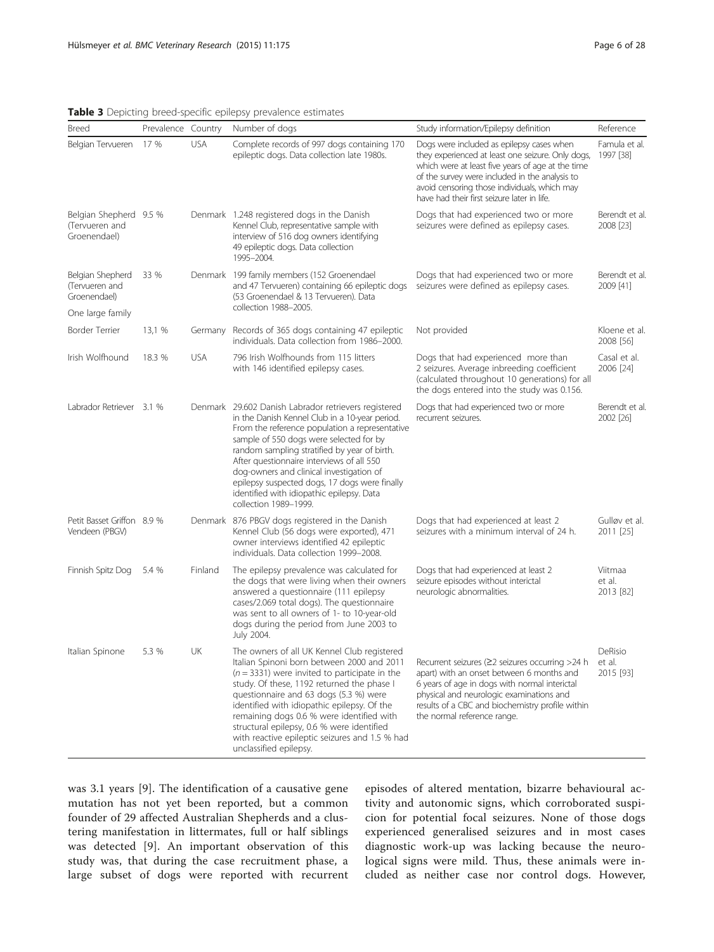| <b>Breed</b>                                             | Prevalence Country |            | Number of dogs                                                                                                                                                                                                                                                                                                                                                                                                                                                      | Study information/Epilepsy definition                                                                                                                                                                                                                                                                | Reference                      |
|----------------------------------------------------------|--------------------|------------|---------------------------------------------------------------------------------------------------------------------------------------------------------------------------------------------------------------------------------------------------------------------------------------------------------------------------------------------------------------------------------------------------------------------------------------------------------------------|------------------------------------------------------------------------------------------------------------------------------------------------------------------------------------------------------------------------------------------------------------------------------------------------------|--------------------------------|
| Belgian Tervueren                                        | 17 %               | <b>USA</b> | Complete records of 997 dogs containing 170<br>epileptic dogs. Data collection late 1980s.                                                                                                                                                                                                                                                                                                                                                                          | Dogs were included as epilepsy cases when<br>they experienced at least one seizure. Only dogs,<br>which were at least five years of age at the time<br>of the survey were included in the analysis to<br>avoid censoring those individuals, which may<br>have had their first seizure later in life. | Famula et al.<br>1997 [38]     |
| Belgian Shepherd 9.5 %<br>(Tervueren and<br>Groenendael) |                    |            | Denmark 1.248 registered dogs in the Danish<br>Kennel Club, representative sample with<br>interview of 516 dog owners identifying<br>49 epileptic dogs. Data collection<br>1995-2004.                                                                                                                                                                                                                                                                               | Dogs that had experienced two or more<br>seizures were defined as epilepsy cases.                                                                                                                                                                                                                    | Berendt et al.<br>2008 [23]    |
| Belgian Shepherd<br>(Tervueren and<br>Groenendael)       | 33 %               |            | Denmark 199 family members (152 Groenendael<br>and 47 Tervueren) containing 66 epileptic dogs<br>(53 Groenendael & 13 Tervueren). Data                                                                                                                                                                                                                                                                                                                              | Dogs that had experienced two or more<br>seizures were defined as epilepsy cases.                                                                                                                                                                                                                    | Berendt et al.<br>2009 [41]    |
| One large family                                         |                    |            | collection 1988-2005.                                                                                                                                                                                                                                                                                                                                                                                                                                               |                                                                                                                                                                                                                                                                                                      |                                |
| <b>Border Terrier</b>                                    | 13,1 %             | Germany    | Records of 365 dogs containing 47 epileptic<br>individuals. Data collection from 1986-2000.                                                                                                                                                                                                                                                                                                                                                                         | Not provided                                                                                                                                                                                                                                                                                         | Kloene et al.<br>2008 [56]     |
| Irish Wolfhound                                          | 18.3 %             | <b>USA</b> | 796 Irish Wolfhounds from 115 litters<br>with 146 identified epilepsy cases.                                                                                                                                                                                                                                                                                                                                                                                        | Dogs that had experienced more than<br>2 seizures. Average inbreeding coefficient<br>(calculated throughout 10 generations) for all<br>the dogs entered into the study was 0.156.                                                                                                                    | Casal et al.<br>2006 [24]      |
| Labrador Retriever 3.1 %                                 |                    |            | Denmark 29.602 Danish Labrador retrievers registered<br>in the Danish Kennel Club in a 10-year period.<br>From the reference population a representative<br>sample of 550 dogs were selected for by<br>random sampling stratified by year of birth.<br>After questionnaire interviews of all 550<br>dog-owners and clinical investigation of<br>epilepsy suspected dogs, 17 dogs were finally<br>identified with idiopathic epilepsy. Data<br>collection 1989-1999. | Dogs that had experienced two or more<br>recurrent seizures.                                                                                                                                                                                                                                         | Berendt et al.<br>2002 [26]    |
| Petit Basset Griffon 8.9 %<br>Vendeen (PBGV)             |                    |            | Denmark 876 PBGV dogs registered in the Danish<br>Kennel Club (56 dogs were exported), 471<br>owner interviews identified 42 epileptic<br>individuals. Data collection 1999-2008.                                                                                                                                                                                                                                                                                   | Dogs that had experienced at least 2<br>seizures with a minimum interval of 24 h.                                                                                                                                                                                                                    | Gulløv et al.<br>2011 [25]     |
| Finnish Spitz Dog                                        | 5.4 %              | Finland    | The epilepsy prevalence was calculated for<br>the dogs that were living when their owners<br>answered a questionnaire (111 epilepsy<br>cases/2.069 total dogs). The questionnaire<br>was sent to all owners of 1- to 10-year-old<br>dogs during the period from June 2003 to<br>July 2004.                                                                                                                                                                          | Dogs that had experienced at least 2<br>seizure episodes without interictal<br>neurologic abnormalities.                                                                                                                                                                                             | Viitmaa<br>et al.<br>2013 [82] |
| Italian Spinone                                          | 5.3 %              | UK         | The owners of all UK Kennel Club registered<br>Italian Spinoni born between 2000 and 2011<br>$(n = 3331)$ were invited to participate in the<br>study. Of these, 1192 returned the phase I<br>questionnaire and 63 dogs (5.3 %) were<br>identified with idiopathic epilepsy. Of the<br>remaining dogs 0.6 % were identified with<br>structural epilepsy, 0.6 % were identified<br>with reactive epileptic seizures and 1.5 % had<br>unclassified epilepsy.          | Recurrent seizures (22 seizures occurring >24 h<br>apart) with an onset between 6 months and<br>6 years of age in dogs with normal interictal<br>physical and neurologic examinations and<br>results of a CBC and biochemistry profile within<br>the normal reference range.                         | DeRisio<br>et al.<br>2015 [93] |

<span id="page-5-0"></span>Table 3 Depicting breed-specific epilepsy prevalence estimates

was 3.1 years [[9\]](#page-24-0). The identification of a causative gene mutation has not yet been reported, but a common founder of 29 affected Australian Shepherds and a clustering manifestation in littermates, full or half siblings was detected [[9\]](#page-24-0). An important observation of this study was, that during the case recruitment phase, a large subset of dogs were reported with recurrent episodes of altered mentation, bizarre behavioural activity and autonomic signs, which corroborated suspicion for potential focal seizures. None of those dogs experienced generalised seizures and in most cases diagnostic work-up was lacking because the neurological signs were mild. Thus, these animals were included as neither case nor control dogs. However,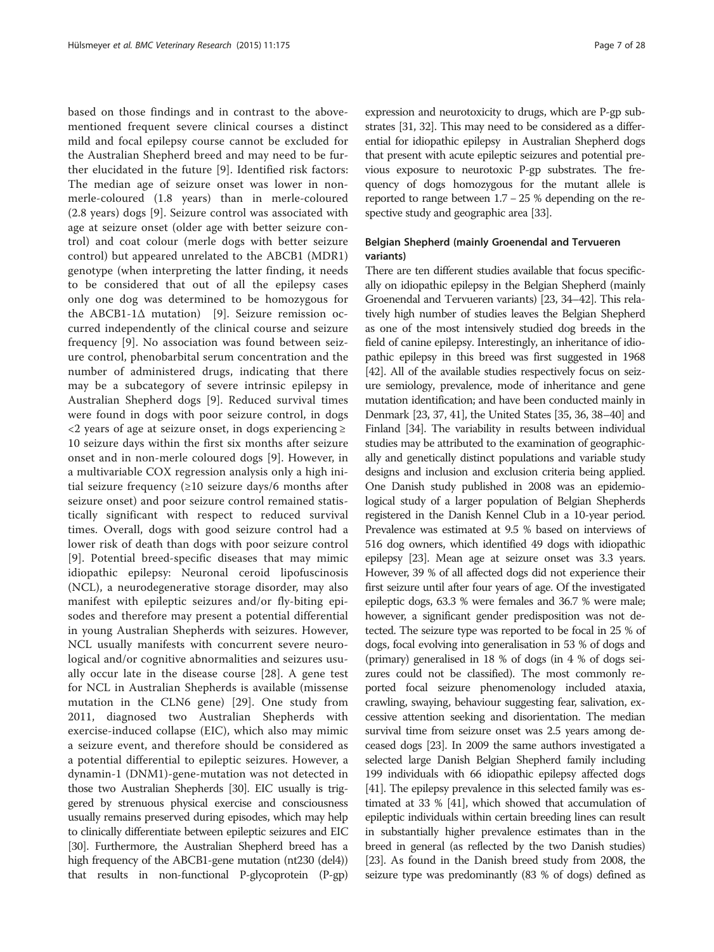based on those findings and in contrast to the abovementioned frequent severe clinical courses a distinct mild and focal epilepsy course cannot be excluded for the Australian Shepherd breed and may need to be further elucidated in the future [[9\]](#page-24-0). Identified risk factors: The median age of seizure onset was lower in nonmerle-coloured (1.8 years) than in merle-coloured (2.8 years) dogs [\[9](#page-24-0)]. Seizure control was associated with age at seizure onset (older age with better seizure control) and coat colour (merle dogs with better seizure control) but appeared unrelated to the ABCB1 (MDR1) genotype (when interpreting the latter finding, it needs to be considered that out of all the epilepsy cases only one dog was determined to be homozygous for the ABCB1-1Δ mutation) [[9](#page-24-0)]. Seizure remission occurred independently of the clinical course and seizure frequency [[9\]](#page-24-0). No association was found between seizure control, phenobarbital serum concentration and the number of administered drugs, indicating that there may be a subcategory of severe intrinsic epilepsy in Australian Shepherd dogs [[9\]](#page-24-0). Reduced survival times were found in dogs with poor seizure control, in dogs <2 years of age at seizure onset, in dogs experiencing ≥ 10 seizure days within the first six months after seizure onset and in non-merle coloured dogs [\[9](#page-24-0)]. However, in a multivariable COX regression analysis only a high initial seizure frequency (≥10 seizure days/6 months after seizure onset) and poor seizure control remained statistically significant with respect to reduced survival times. Overall, dogs with good seizure control had a lower risk of death than dogs with poor seizure control [[9](#page-24-0)]. Potential breed-specific diseases that may mimic idiopathic epilepsy: Neuronal ceroid lipofuscinosis (NCL), a neurodegenerative storage disorder, may also manifest with epileptic seizures and/or fly-biting episodes and therefore may present a potential differential in young Australian Shepherds with seizures. However, NCL usually manifests with concurrent severe neurological and/or cognitive abnormalities and seizures usually occur late in the disease course [[28\]](#page-25-0). A gene test for NCL in Australian Shepherds is available (missense mutation in the CLN6 gene) [[29\]](#page-25-0). One study from 2011, diagnosed two Australian Shepherds with exercise-induced collapse (EIC), which also may mimic a seizure event, and therefore should be considered as a potential differential to epileptic seizures. However, a dynamin-1 (DNM1)-gene-mutation was not detected in those two Australian Shepherds [[30](#page-25-0)]. EIC usually is triggered by strenuous physical exercise and consciousness usually remains preserved during episodes, which may help to clinically differentiate between epileptic seizures and EIC [[30](#page-25-0)]. Furthermore, the Australian Shepherd breed has a high frequency of the ABCB1-gene mutation (nt230 (del4)) that results in non-functional P-glycoprotein (P-gp)

expression and neurotoxicity to drugs, which are P-gp substrates [[31](#page-25-0), [32](#page-25-0)]. This may need to be considered as a differential for idiopathic epilepsy in Australian Shepherd dogs that present with acute epileptic seizures and potential previous exposure to neurotoxic P-gp substrates. The frequency of dogs homozygous for the mutant allele is reported to range between 1.7 − 25 % depending on the respective study and geographic area [\[33](#page-25-0)].

# Belgian Shepherd (mainly Groenendal and Tervueren variants)

There are ten different studies available that focus specifically on idiopathic epilepsy in the Belgian Shepherd (mainly Groenendal and Tervueren variants) [\[23](#page-25-0), [34](#page-25-0)–[42\]](#page-25-0). This relatively high number of studies leaves the Belgian Shepherd as one of the most intensively studied dog breeds in the field of canine epilepsy. Interestingly, an inheritance of idiopathic epilepsy in this breed was first suggested in 1968 [[42](#page-25-0)]. All of the available studies respectively focus on seizure semiology, prevalence, mode of inheritance and gene mutation identification; and have been conducted mainly in Denmark [\[23, 37, 41\]](#page-25-0), the United States [\[35, 36, 38](#page-25-0)–[40](#page-25-0)] and Finland [\[34\]](#page-25-0). The variability in results between individual studies may be attributed to the examination of geographically and genetically distinct populations and variable study designs and inclusion and exclusion criteria being applied. One Danish study published in 2008 was an epidemiological study of a larger population of Belgian Shepherds registered in the Danish Kennel Club in a 10-year period. Prevalence was estimated at 9.5 % based on interviews of 516 dog owners, which identified 49 dogs with idiopathic epilepsy [\[23](#page-25-0)]. Mean age at seizure onset was 3.3 years. However, 39 % of all affected dogs did not experience their first seizure until after four years of age. Of the investigated epileptic dogs, 63.3 % were females and 36.7 % were male; however, a significant gender predisposition was not detected. The seizure type was reported to be focal in 25 % of dogs, focal evolving into generalisation in 53 % of dogs and (primary) generalised in 18 % of dogs (in 4 % of dogs seizures could not be classified). The most commonly reported focal seizure phenomenology included ataxia, crawling, swaying, behaviour suggesting fear, salivation, excessive attention seeking and disorientation. The median survival time from seizure onset was 2.5 years among deceased dogs [[23](#page-25-0)]. In 2009 the same authors investigated a selected large Danish Belgian Shepherd family including 199 individuals with 66 idiopathic epilepsy affected dogs [[41](#page-25-0)]. The epilepsy prevalence in this selected family was estimated at 33 % [\[41](#page-25-0)], which showed that accumulation of epileptic individuals within certain breeding lines can result in substantially higher prevalence estimates than in the breed in general (as reflected by the two Danish studies) [[23](#page-25-0)]. As found in the Danish breed study from 2008, the seizure type was predominantly (83 % of dogs) defined as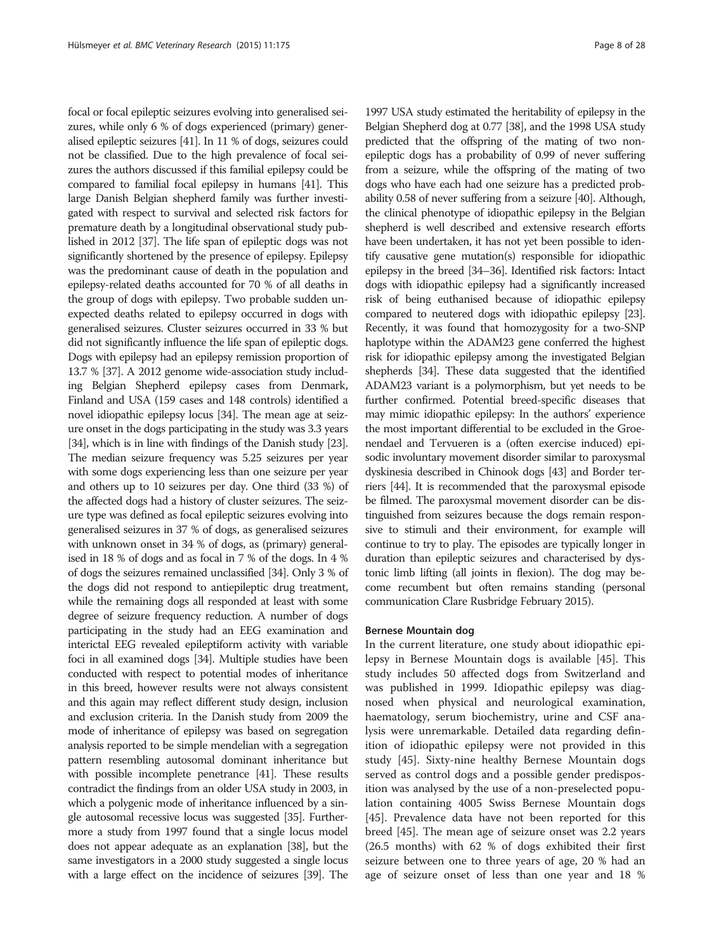focal or focal epileptic seizures evolving into generalised seizures, while only 6 % of dogs experienced (primary) generalised epileptic seizures [\[41](#page-25-0)]. In 11 % of dogs, seizures could not be classified. Due to the high prevalence of focal seizures the authors discussed if this familial epilepsy could be compared to familial focal epilepsy in humans [\[41\]](#page-25-0). This large Danish Belgian shepherd family was further investigated with respect to survival and selected risk factors for premature death by a longitudinal observational study published in 2012 [[37](#page-25-0)]. The life span of epileptic dogs was not significantly shortened by the presence of epilepsy. Epilepsy was the predominant cause of death in the population and epilepsy-related deaths accounted for 70 % of all deaths in the group of dogs with epilepsy. Two probable sudden unexpected deaths related to epilepsy occurred in dogs with generalised seizures. Cluster seizures occurred in 33 % but did not significantly influence the life span of epileptic dogs. Dogs with epilepsy had an epilepsy remission proportion of 13.7 % [\[37\]](#page-25-0). A 2012 genome wide-association study including Belgian Shepherd epilepsy cases from Denmark, Finland and USA (159 cases and 148 controls) identified a novel idiopathic epilepsy locus [\[34](#page-25-0)]. The mean age at seizure onset in the dogs participating in the study was 3.3 years [[34](#page-25-0)], which is in line with findings of the Danish study [\[23](#page-25-0)]. The median seizure frequency was 5.25 seizures per year with some dogs experiencing less than one seizure per year and others up to 10 seizures per day. One third (33 %) of the affected dogs had a history of cluster seizures. The seizure type was defined as focal epileptic seizures evolving into generalised seizures in 37 % of dogs, as generalised seizures with unknown onset in 34 % of dogs, as (primary) generalised in 18 % of dogs and as focal in 7 % of the dogs. In 4 % of dogs the seizures remained unclassified [[34](#page-25-0)]. Only 3 % of the dogs did not respond to antiepileptic drug treatment, while the remaining dogs all responded at least with some degree of seizure frequency reduction. A number of dogs participating in the study had an EEG examination and interictal EEG revealed epileptiform activity with variable foci in all examined dogs [[34](#page-25-0)]. Multiple studies have been conducted with respect to potential modes of inheritance in this breed, however results were not always consistent and this again may reflect different study design, inclusion and exclusion criteria. In the Danish study from 2009 the mode of inheritance of epilepsy was based on segregation analysis reported to be simple mendelian with a segregation pattern resembling autosomal dominant inheritance but with possible incomplete penetrance [\[41\]](#page-25-0). These results contradict the findings from an older USA study in 2003, in which a polygenic mode of inheritance influenced by a single autosomal recessive locus was suggested [[35](#page-25-0)]. Furthermore a study from 1997 found that a single locus model does not appear adequate as an explanation [[38](#page-25-0)], but the same investigators in a 2000 study suggested a single locus with a large effect on the incidence of seizures [\[39\]](#page-25-0). The

1997 USA study estimated the heritability of epilepsy in the Belgian Shepherd dog at 0.77 [[38](#page-25-0)], and the 1998 USA study predicted that the offspring of the mating of two nonepileptic dogs has a probability of 0.99 of never suffering from a seizure, while the offspring of the mating of two dogs who have each had one seizure has a predicted probability 0.58 of never suffering from a seizure [\[40\]](#page-25-0). Although, the clinical phenotype of idiopathic epilepsy in the Belgian shepherd is well described and extensive research efforts have been undertaken, it has not yet been possible to identify causative gene mutation(s) responsible for idiopathic epilepsy in the breed [[34](#page-25-0)–[36](#page-25-0)]. Identified risk factors: Intact dogs with idiopathic epilepsy had a significantly increased risk of being euthanised because of idiopathic epilepsy compared to neutered dogs with idiopathic epilepsy [\[23](#page-25-0)]. Recently, it was found that homozygosity for a two-SNP haplotype within the ADAM23 gene conferred the highest risk for idiopathic epilepsy among the investigated Belgian shepherds [\[34\]](#page-25-0). These data suggested that the identified ADAM23 variant is a polymorphism, but yet needs to be further confirmed. Potential breed-specific diseases that may mimic idiopathic epilepsy: In the authors' experience the most important differential to be excluded in the Groenendael and Tervueren is a (often exercise induced) episodic involuntary movement disorder similar to paroxysmal dyskinesia described in Chinook dogs [[43](#page-25-0)] and Border terriers [\[44\]](#page-25-0). It is recommended that the paroxysmal episode be filmed. The paroxysmal movement disorder can be distinguished from seizures because the dogs remain responsive to stimuli and their environment, for example will continue to try to play. The episodes are typically longer in duration than epileptic seizures and characterised by dystonic limb lifting (all joints in flexion). The dog may become recumbent but often remains standing (personal communication Clare Rusbridge February 2015).

# Bernese Mountain dog

In the current literature, one study about idiopathic epilepsy in Bernese Mountain dogs is available [[45\]](#page-25-0). This study includes 50 affected dogs from Switzerland and was published in 1999. Idiopathic epilepsy was diagnosed when physical and neurological examination, haematology, serum biochemistry, urine and CSF analysis were unremarkable. Detailed data regarding definition of idiopathic epilepsy were not provided in this study [\[45\]](#page-25-0). Sixty-nine healthy Bernese Mountain dogs served as control dogs and a possible gender predisposition was analysed by the use of a non-preselected population containing 4005 Swiss Bernese Mountain dogs [[45\]](#page-25-0). Prevalence data have not been reported for this breed [\[45\]](#page-25-0). The mean age of seizure onset was 2.2 years (26.5 months) with 62 % of dogs exhibited their first seizure between one to three years of age, 20 % had an age of seizure onset of less than one year and 18 %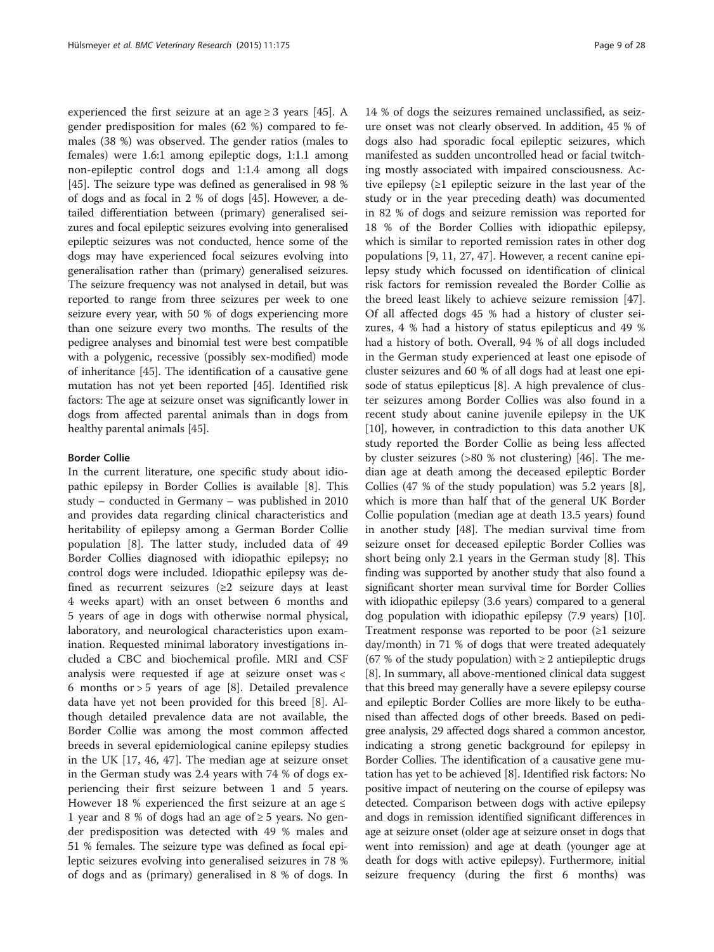experienced the first seizure at an age  $\geq$  3 years [\[45](#page-25-0)]. A gender predisposition for males (62 %) compared to females (38 %) was observed. The gender ratios (males to females) were 1.6:1 among epileptic dogs, 1:1.1 among non-epileptic control dogs and 1:1.4 among all dogs [[45](#page-25-0)]. The seizure type was defined as generalised in 98 % of dogs and as focal in 2 % of dogs [\[45\]](#page-25-0). However, a detailed differentiation between (primary) generalised seizures and focal epileptic seizures evolving into generalised epileptic seizures was not conducted, hence some of the dogs may have experienced focal seizures evolving into generalisation rather than (primary) generalised seizures. The seizure frequency was not analysed in detail, but was reported to range from three seizures per week to one seizure every year, with 50 % of dogs experiencing more than one seizure every two months. The results of the pedigree analyses and binomial test were best compatible with a polygenic, recessive (possibly sex-modified) mode of inheritance [\[45\]](#page-25-0). The identification of a causative gene mutation has not yet been reported [\[45\]](#page-25-0). Identified risk factors: The age at seizure onset was significantly lower in dogs from affected parental animals than in dogs from healthy parental animals [[45](#page-25-0)].

# Border Collie

In the current literature, one specific study about idiopathic epilepsy in Border Collies is available [\[8](#page-24-0)]. This study – conducted in Germany – was published in 2010 and provides data regarding clinical characteristics and heritability of epilepsy among a German Border Collie population [[8](#page-24-0)]. The latter study, included data of 49 Border Collies diagnosed with idiopathic epilepsy; no control dogs were included. Idiopathic epilepsy was defined as recurrent seizures (≥2 seizure days at least 4 weeks apart) with an onset between 6 months and 5 years of age in dogs with otherwise normal physical, laboratory, and neurological characteristics upon examination. Requested minimal laboratory investigations included a CBC and biochemical profile. MRI and CSF analysis were requested if age at seizure onset was < 6 months or > 5 years of age [\[8](#page-24-0)]. Detailed prevalence data have yet not been provided for this breed [\[8\]](#page-24-0). Although detailed prevalence data are not available, the Border Collie was among the most common affected breeds in several epidemiological canine epilepsy studies in the UK [\[17](#page-25-0), [46, 47](#page-25-0)]. The median age at seizure onset in the German study was 2.4 years with 74 % of dogs experiencing their first seizure between 1 and 5 years. However 18 % experienced the first seizure at an age  $\leq$ 1 year and 8 % of dogs had an age of ≥ 5 years. No gender predisposition was detected with 49 % males and 51 % females. The seizure type was defined as focal epileptic seizures evolving into generalised seizures in 78 % of dogs and as (primary) generalised in 8 % of dogs. In

14 % of dogs the seizures remained unclassified, as seizure onset was not clearly observed. In addition, 45 % of dogs also had sporadic focal epileptic seizures, which manifested as sudden uncontrolled head or facial twitching mostly associated with impaired consciousness. Active epilepsy  $(≥1$  epileptic seizure in the last year of the study or in the year preceding death) was documented in 82 % of dogs and seizure remission was reported for 18 % of the Border Collies with idiopathic epilepsy, which is similar to reported remission rates in other dog populations [[9, 11](#page-24-0), [27](#page-25-0), [47](#page-25-0)]. However, a recent canine epilepsy study which focussed on identification of clinical risk factors for remission revealed the Border Collie as the breed least likely to achieve seizure remission [\[47](#page-25-0)]. Of all affected dogs 45 % had a history of cluster seizures, 4 % had a history of status epilepticus and 49 % had a history of both. Overall, 94 % of all dogs included in the German study experienced at least one episode of cluster seizures and 60 % of all dogs had at least one episode of status epilepticus [\[8](#page-24-0)]. A high prevalence of cluster seizures among Border Collies was also found in a recent study about canine juvenile epilepsy in the UK [[10\]](#page-24-0), however, in contradiction to this data another UK study reported the Border Collie as being less affected by cluster seizures (>80 % not clustering) [[46\]](#page-25-0). The median age at death among the deceased epileptic Border Collies (47 % of the study population) was 5.2 years [\[8](#page-24-0)], which is more than half that of the general UK Border Collie population (median age at death 13.5 years) found in another study [[48](#page-25-0)]. The median survival time from seizure onset for deceased epileptic Border Collies was short being only 2.1 years in the German study [[8\]](#page-24-0). This finding was supported by another study that also found a significant shorter mean survival time for Border Collies with idiopathic epilepsy (3.6 years) compared to a general dog population with idiopathic epilepsy (7.9 years) [[10](#page-24-0)]. Treatment response was reported to be poor (≥1 seizure day/month) in 71 % of dogs that were treated adequately (67 % of the study population) with  $\geq 2$  antiepileptic drugs [[8\]](#page-24-0). In summary, all above-mentioned clinical data suggest that this breed may generally have a severe epilepsy course and epileptic Border Collies are more likely to be euthanised than affected dogs of other breeds. Based on pedigree analysis, 29 affected dogs shared a common ancestor, indicating a strong genetic background for epilepsy in Border Collies. The identification of a causative gene mutation has yet to be achieved [\[8\]](#page-24-0). Identified risk factors: No positive impact of neutering on the course of epilepsy was detected. Comparison between dogs with active epilepsy and dogs in remission identified significant differences in age at seizure onset (older age at seizure onset in dogs that went into remission) and age at death (younger age at death for dogs with active epilepsy). Furthermore, initial seizure frequency (during the first 6 months) was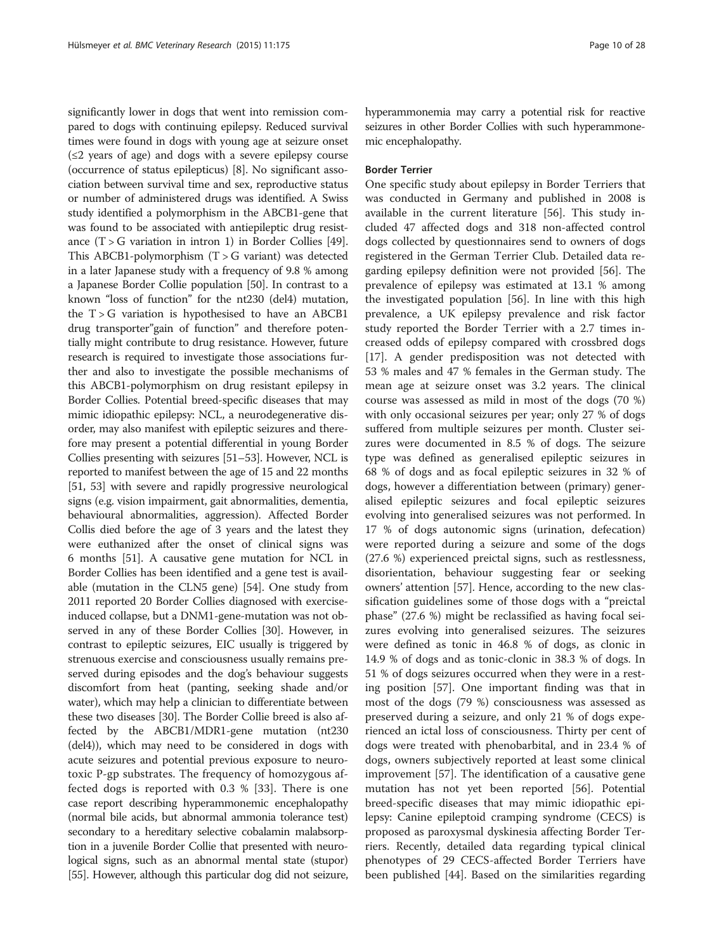significantly lower in dogs that went into remission compared to dogs with continuing epilepsy. Reduced survival times were found in dogs with young age at seizure onset (≤2 years of age) and dogs with a severe epilepsy course (occurrence of status epilepticus) [\[8\]](#page-24-0). No significant association between survival time and sex, reproductive status or number of administered drugs was identified. A Swiss study identified a polymorphism in the ABCB1-gene that was found to be associated with antiepileptic drug resistance  $(T > G$  variation in intron 1) in Border Collies [[49](#page-25-0)]. This ABCB1-polymorphism  $(T > G \text{ variant})$  was detected in a later Japanese study with a frequency of 9.8 % among a Japanese Border Collie population [[50](#page-25-0)]. In contrast to a known "loss of function" for the nt230 (del4) mutation, the  $T > G$  variation is hypothesised to have an ABCB1 drug transporter"gain of function" and therefore potentially might contribute to drug resistance. However, future research is required to investigate those associations further and also to investigate the possible mechanisms of this ABCB1-polymorphism on drug resistant epilepsy in Border Collies. Potential breed-specific diseases that may mimic idiopathic epilepsy: NCL, a neurodegenerative disorder, may also manifest with epileptic seizures and therefore may present a potential differential in young Border Collies presenting with seizures [[51](#page-25-0)–[53\]](#page-25-0). However, NCL is reported to manifest between the age of 15 and 22 months [[51](#page-25-0), [53](#page-25-0)] with severe and rapidly progressive neurological signs (e.g. vision impairment, gait abnormalities, dementia, behavioural abnormalities, aggression). Affected Border Collis died before the age of 3 years and the latest they were euthanized after the onset of clinical signs was 6 months [[51](#page-25-0)]. A causative gene mutation for NCL in Border Collies has been identified and a gene test is available (mutation in the CLN5 gene) [[54](#page-25-0)]. One study from 2011 reported 20 Border Collies diagnosed with exerciseinduced collapse, but a DNM1-gene-mutation was not observed in any of these Border Collies [[30](#page-25-0)]. However, in contrast to epileptic seizures, EIC usually is triggered by strenuous exercise and consciousness usually remains preserved during episodes and the dog's behaviour suggests discomfort from heat (panting, seeking shade and/or water), which may help a clinician to differentiate between these two diseases [\[30\]](#page-25-0). The Border Collie breed is also affected by the ABCB1/MDR1-gene mutation (nt230 (del4)), which may need to be considered in dogs with acute seizures and potential previous exposure to neurotoxic P-gp substrates. The frequency of homozygous affected dogs is reported with 0.3 % [\[33](#page-25-0)]. There is one case report describing hyperammonemic encephalopathy (normal bile acids, but abnormal ammonia tolerance test) secondary to a hereditary selective cobalamin malabsorption in a juvenile Border Collie that presented with neurological signs, such as an abnormal mental state (stupor) [[55](#page-25-0)]. However, although this particular dog did not seizure,

hyperammonemia may carry a potential risk for reactive seizures in other Border Collies with such hyperammonemic encephalopathy.

# Border Terrier

One specific study about epilepsy in Border Terriers that was conducted in Germany and published in 2008 is available in the current literature [[56](#page-25-0)]. This study included 47 affected dogs and 318 non-affected control dogs collected by questionnaires send to owners of dogs registered in the German Terrier Club. Detailed data regarding epilepsy definition were not provided [\[56](#page-25-0)]. The prevalence of epilepsy was estimated at 13.1 % among the investigated population [[56](#page-25-0)]. In line with this high prevalence, a UK epilepsy prevalence and risk factor study reported the Border Terrier with a 2.7 times increased odds of epilepsy compared with crossbred dogs [[17\]](#page-25-0). A gender predisposition was not detected with 53 % males and 47 % females in the German study. The mean age at seizure onset was 3.2 years. The clinical course was assessed as mild in most of the dogs (70 %) with only occasional seizures per year; only 27 % of dogs suffered from multiple seizures per month. Cluster seizures were documented in 8.5 % of dogs. The seizure type was defined as generalised epileptic seizures in 68 % of dogs and as focal epileptic seizures in 32 % of dogs, however a differentiation between (primary) generalised epileptic seizures and focal epileptic seizures evolving into generalised seizures was not performed. In 17 % of dogs autonomic signs (urination, defecation) were reported during a seizure and some of the dogs (27.6 %) experienced preictal signs, such as restlessness, disorientation, behaviour suggesting fear or seeking owners' attention [\[57](#page-25-0)]. Hence, according to the new classification guidelines some of those dogs with a "preictal phase" (27.6 %) might be reclassified as having focal seizures evolving into generalised seizures. The seizures were defined as tonic in 46.8 % of dogs, as clonic in 14.9 % of dogs and as tonic-clonic in 38.3 % of dogs. In 51 % of dogs seizures occurred when they were in a resting position [\[57](#page-25-0)]. One important finding was that in most of the dogs (79 %) consciousness was assessed as preserved during a seizure, and only 21 % of dogs experienced an ictal loss of consciousness. Thirty per cent of dogs were treated with phenobarbital, and in 23.4 % of dogs, owners subjectively reported at least some clinical improvement [[57\]](#page-25-0). The identification of a causative gene mutation has not yet been reported [\[56\]](#page-25-0). Potential breed-specific diseases that may mimic idiopathic epilepsy: Canine epileptoid cramping syndrome (CECS) is proposed as paroxysmal dyskinesia affecting Border Terriers. Recently, detailed data regarding typical clinical phenotypes of 29 CECS-affected Border Terriers have been published [\[44](#page-25-0)]. Based on the similarities regarding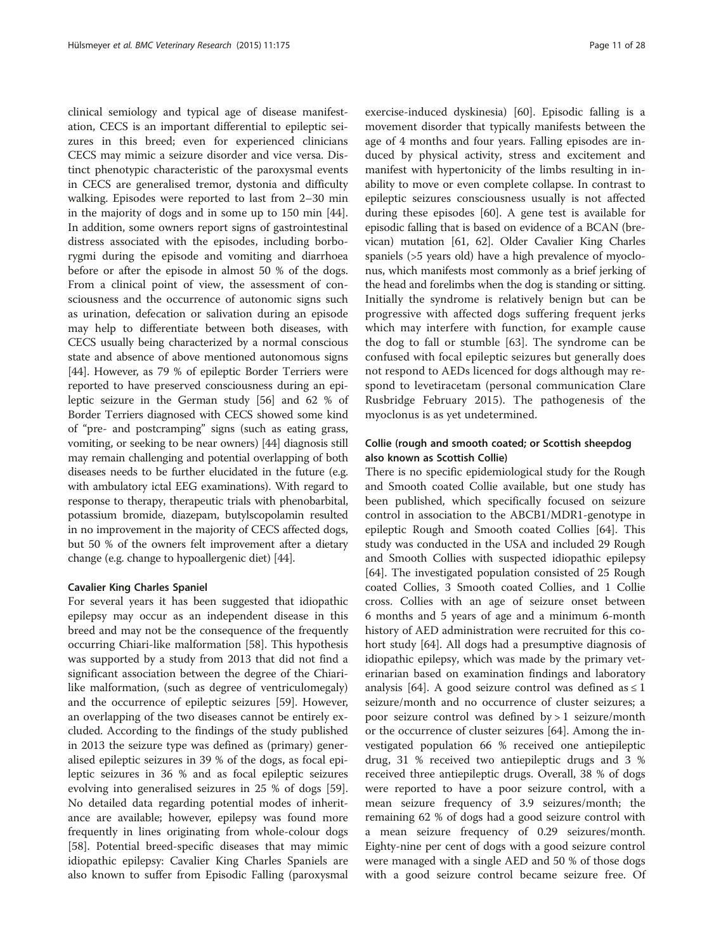clinical semiology and typical age of disease manifestation, CECS is an important differential to epileptic seizures in this breed; even for experienced clinicians CECS may mimic a seizure disorder and vice versa. Distinct phenotypic characteristic of the paroxysmal events in CECS are generalised tremor, dystonia and difficulty walking. Episodes were reported to last from 2–30 min in the majority of dogs and in some up to 150 min [\[44](#page-25-0)]. In addition, some owners report signs of gastrointestinal distress associated with the episodes, including borborygmi during the episode and vomiting and diarrhoea before or after the episode in almost 50 % of the dogs. From a clinical point of view, the assessment of consciousness and the occurrence of autonomic signs such as urination, defecation or salivation during an episode may help to differentiate between both diseases, with CECS usually being characterized by a normal conscious state and absence of above mentioned autonomous signs [[44](#page-25-0)]. However, as 79 % of epileptic Border Terriers were reported to have preserved consciousness during an epileptic seizure in the German study [[56](#page-25-0)] and 62 % of Border Terriers diagnosed with CECS showed some kind of "pre- and postcramping" signs (such as eating grass, vomiting, or seeking to be near owners) [\[44](#page-25-0)] diagnosis still may remain challenging and potential overlapping of both diseases needs to be further elucidated in the future (e.g. with ambulatory ictal EEG examinations). With regard to response to therapy, therapeutic trials with phenobarbital, potassium bromide, diazepam, butylscopolamin resulted in no improvement in the majority of CECS affected dogs, but 50 % of the owners felt improvement after a dietary change (e.g. change to hypoallergenic diet) [[44](#page-25-0)].

# Cavalier King Charles Spaniel

For several years it has been suggested that idiopathic epilepsy may occur as an independent disease in this breed and may not be the consequence of the frequently occurring Chiari-like malformation [[58\]](#page-25-0). This hypothesis was supported by a study from 2013 that did not find a significant association between the degree of the Chiarilike malformation, (such as degree of ventriculomegaly) and the occurrence of epileptic seizures [\[59\]](#page-25-0). However, an overlapping of the two diseases cannot be entirely excluded. According to the findings of the study published in 2013 the seizure type was defined as (primary) generalised epileptic seizures in 39 % of the dogs, as focal epileptic seizures in 36 % and as focal epileptic seizures evolving into generalised seizures in 25 % of dogs [\[59](#page-25-0)]. No detailed data regarding potential modes of inheritance are available; however, epilepsy was found more frequently in lines originating from whole-colour dogs [[58\]](#page-25-0). Potential breed-specific diseases that may mimic idiopathic epilepsy: Cavalier King Charles Spaniels are also known to suffer from Episodic Falling (paroxysmal

exercise-induced dyskinesia) [[60\]](#page-25-0). Episodic falling is a movement disorder that typically manifests between the age of 4 months and four years. Falling episodes are induced by physical activity, stress and excitement and manifest with hypertonicity of the limbs resulting in inability to move or even complete collapse. In contrast to epileptic seizures consciousness usually is not affected during these episodes [[60](#page-25-0)]. A gene test is available for episodic falling that is based on evidence of a BCAN (brevican) mutation [[61](#page-25-0), [62](#page-25-0)]. Older Cavalier King Charles spaniels (>5 years old) have a high prevalence of myoclonus, which manifests most commonly as a brief jerking of the head and forelimbs when the dog is standing or sitting. Initially the syndrome is relatively benign but can be progressive with affected dogs suffering frequent jerks which may interfere with function, for example cause the dog to fall or stumble [[63\]](#page-25-0). The syndrome can be confused with focal epileptic seizures but generally does not respond to AEDs licenced for dogs although may respond to levetiracetam (personal communication Clare Rusbridge February 2015). The pathogenesis of the myoclonus is as yet undetermined.

# Collie (rough and smooth coated; or Scottish sheepdog also known as Scottish Collie)

There is no specific epidemiological study for the Rough and Smooth coated Collie available, but one study has been published, which specifically focused on seizure control in association to the ABCB1/MDR1-genotype in epileptic Rough and Smooth coated Collies [\[64](#page-26-0)]. This study was conducted in the USA and included 29 Rough and Smooth Collies with suspected idiopathic epilepsy [[64\]](#page-26-0). The investigated population consisted of 25 Rough coated Collies, 3 Smooth coated Collies, and 1 Collie cross. Collies with an age of seizure onset between 6 months and 5 years of age and a minimum 6-month history of AED administration were recruited for this cohort study [[64\]](#page-26-0). All dogs had a presumptive diagnosis of idiopathic epilepsy, which was made by the primary veterinarian based on examination findings and laboratory analysis [\[64\]](#page-26-0). A good seizure control was defined as  $\leq 1$ seizure/month and no occurrence of cluster seizures; a poor seizure control was defined by > 1 seizure/month or the occurrence of cluster seizures [[64\]](#page-26-0). Among the investigated population 66 % received one antiepileptic drug, 31 % received two antiepileptic drugs and 3 % received three antiepileptic drugs. Overall, 38 % of dogs were reported to have a poor seizure control, with a mean seizure frequency of 3.9 seizures/month; the remaining 62 % of dogs had a good seizure control with a mean seizure frequency of 0.29 seizures/month. Eighty-nine per cent of dogs with a good seizure control were managed with a single AED and 50 % of those dogs with a good seizure control became seizure free. Of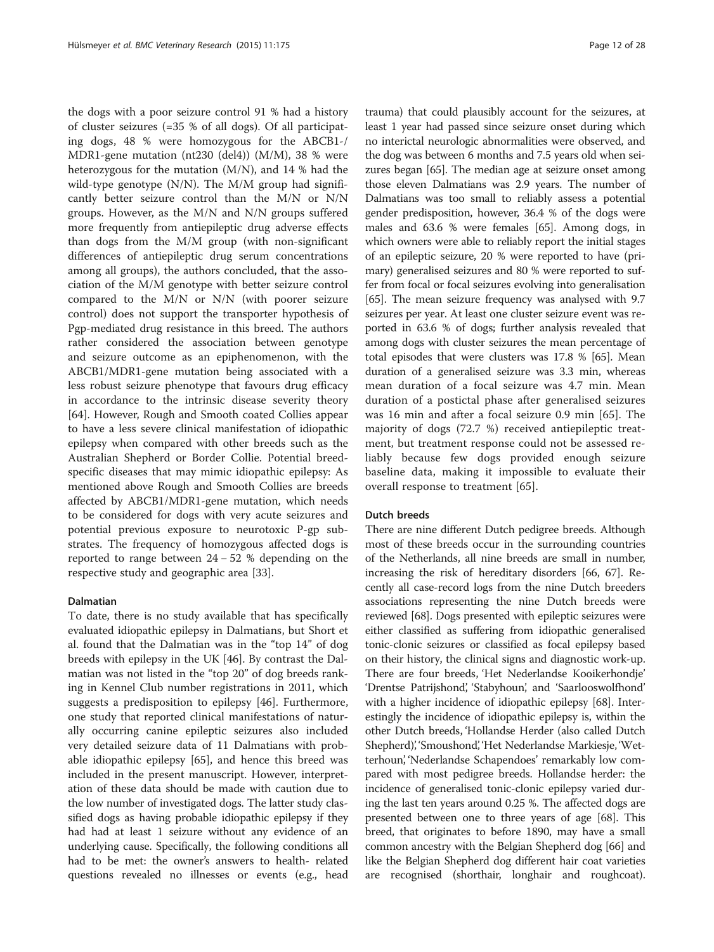the dogs with a poor seizure control 91 % had a history of cluster seizures (=35 % of all dogs). Of all participating dogs, 48 % were homozygous for the ABCB1-/ MDR1-gene mutation (nt230 (del4)) (M/M), 38 % were heterozygous for the mutation (M/N), and 14 % had the wild-type genotype  $(N/N)$ . The M/M group had significantly better seizure control than the M/N or N/N groups. However, as the M/N and N/N groups suffered more frequently from antiepileptic drug adverse effects than dogs from the M/M group (with non-significant differences of antiepileptic drug serum concentrations among all groups), the authors concluded, that the association of the M/M genotype with better seizure control compared to the M/N or N/N (with poorer seizure control) does not support the transporter hypothesis of Pgp-mediated drug resistance in this breed. The authors rather considered the association between genotype and seizure outcome as an epiphenomenon, with the ABCB1/MDR1-gene mutation being associated with a less robust seizure phenotype that favours drug efficacy in accordance to the intrinsic disease severity theory [[64\]](#page-26-0). However, Rough and Smooth coated Collies appear to have a less severe clinical manifestation of idiopathic epilepsy when compared with other breeds such as the Australian Shepherd or Border Collie. Potential breedspecific diseases that may mimic idiopathic epilepsy: As mentioned above Rough and Smooth Collies are breeds affected by ABCB1/MDR1-gene mutation, which needs to be considered for dogs with very acute seizures and potential previous exposure to neurotoxic P-gp substrates. The frequency of homozygous affected dogs is reported to range between 24 − 52 % depending on the respective study and geographic area [\[33](#page-25-0)].

# Dalmatian

To date, there is no study available that has specifically evaluated idiopathic epilepsy in Dalmatians, but Short et al. found that the Dalmatian was in the "top 14" of dog breeds with epilepsy in the UK [\[46](#page-25-0)]. By contrast the Dalmatian was not listed in the "top 20" of dog breeds ranking in Kennel Club number registrations in 2011, which suggests a predisposition to epilepsy [\[46\]](#page-25-0). Furthermore, one study that reported clinical manifestations of naturally occurring canine epileptic seizures also included very detailed seizure data of 11 Dalmatians with probable idiopathic epilepsy [\[65](#page-26-0)], and hence this breed was included in the present manuscript. However, interpretation of these data should be made with caution due to the low number of investigated dogs. The latter study classified dogs as having probable idiopathic epilepsy if they had had at least 1 seizure without any evidence of an underlying cause. Specifically, the following conditions all had to be met: the owner's answers to health- related questions revealed no illnesses or events (e.g., head

trauma) that could plausibly account for the seizures, at least 1 year had passed since seizure onset during which no interictal neurologic abnormalities were observed, and the dog was between 6 months and 7.5 years old when seizures began [[65](#page-26-0)]. The median age at seizure onset among those eleven Dalmatians was 2.9 years. The number of Dalmatians was too small to reliably assess a potential gender predisposition, however, 36.4 % of the dogs were males and 63.6 % were females [\[65](#page-26-0)]. Among dogs, in which owners were able to reliably report the initial stages of an epileptic seizure, 20 % were reported to have (primary) generalised seizures and 80 % were reported to suffer from focal or focal seizures evolving into generalisation [[65](#page-26-0)]. The mean seizure frequency was analysed with 9.7 seizures per year. At least one cluster seizure event was reported in 63.6 % of dogs; further analysis revealed that among dogs with cluster seizures the mean percentage of total episodes that were clusters was 17.8 % [[65](#page-26-0)]. Mean duration of a generalised seizure was 3.3 min, whereas mean duration of a focal seizure was 4.7 min. Mean duration of a postictal phase after generalised seizures was 16 min and after a focal seizure 0.9 min [[65](#page-26-0)]. The majority of dogs (72.7 %) received antiepileptic treatment, but treatment response could not be assessed reliably because few dogs provided enough seizure baseline data, making it impossible to evaluate their overall response to treatment [[65\]](#page-26-0).

# Dutch breeds

There are nine different Dutch pedigree breeds. Although most of these breeds occur in the surrounding countries of the Netherlands, all nine breeds are small in number, increasing the risk of hereditary disorders [[66](#page-26-0), [67\]](#page-26-0). Recently all case-record logs from the nine Dutch breeders associations representing the nine Dutch breeds were reviewed [\[68\]](#page-26-0). Dogs presented with epileptic seizures were either classified as suffering from idiopathic generalised tonic-clonic seizures or classified as focal epilepsy based on their history, the clinical signs and diagnostic work-up. There are four breeds, 'Het Nederlandse Kooikerhondje' 'Drentse Patrijshond', 'Stabyhoun', and 'Saarlooswolfhond' with a higher incidence of idiopathic epilepsy [\[68](#page-26-0)]. Interestingly the incidence of idiopathic epilepsy is, within the other Dutch breeds, 'Hollandse Herder (also called Dutch Shepherd)', 'Smoushond', 'Het Nederlandse Markiesje, 'Wetterhoun', 'Nederlandse Schapendoes' remarkably low compared with most pedigree breeds. Hollandse herder: the incidence of generalised tonic-clonic epilepsy varied during the last ten years around 0.25 %. The affected dogs are presented between one to three years of age [\[68](#page-26-0)]. This breed, that originates to before 1890, may have a small common ancestry with the Belgian Shepherd dog [\[66\]](#page-26-0) and like the Belgian Shepherd dog different hair coat varieties are recognised (shorthair, longhair and roughcoat).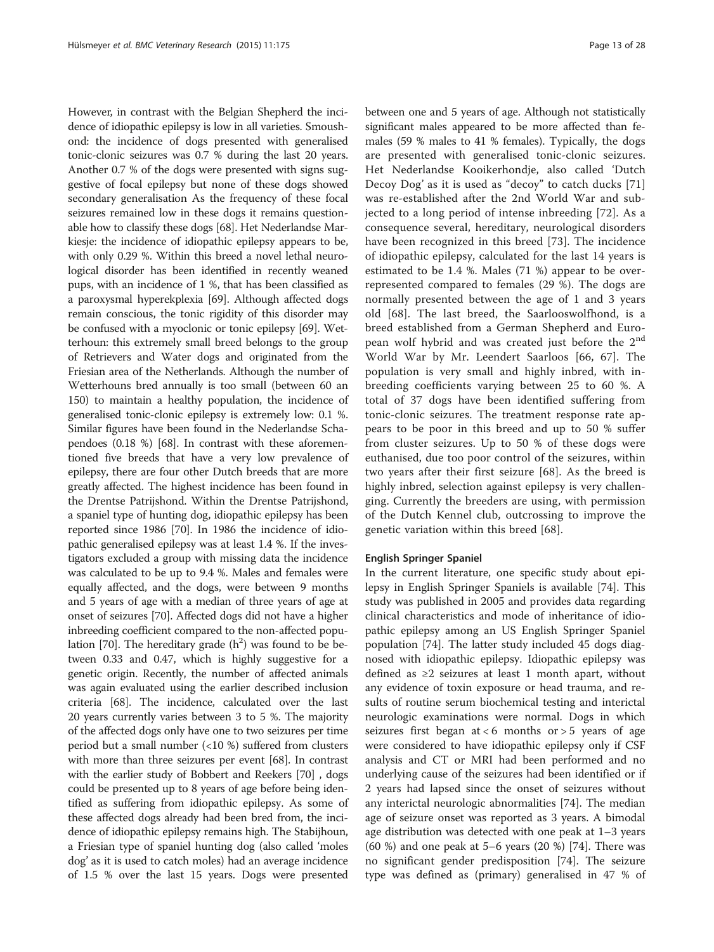However, in contrast with the Belgian Shepherd the incidence of idiopathic epilepsy is low in all varieties. Smoushond: the incidence of dogs presented with generalised tonic-clonic seizures was 0.7 % during the last 20 years. Another 0.7 % of the dogs were presented with signs suggestive of focal epilepsy but none of these dogs showed secondary generalisation As the frequency of these focal seizures remained low in these dogs it remains questionable how to classify these dogs [\[68\]](#page-26-0). Het Nederlandse Markiesje: the incidence of idiopathic epilepsy appears to be, with only 0.29 %. Within this breed a novel lethal neurological disorder has been identified in recently weaned pups, with an incidence of 1 %, that has been classified as a paroxysmal hyperekplexia [[69](#page-26-0)]. Although affected dogs remain conscious, the tonic rigidity of this disorder may be confused with a myoclonic or tonic epilepsy [\[69\]](#page-26-0). Wetterhoun: this extremely small breed belongs to the group of Retrievers and Water dogs and originated from the Friesian area of the Netherlands. Although the number of Wetterhouns bred annually is too small (between 60 an 150) to maintain a healthy population, the incidence of generalised tonic-clonic epilepsy is extremely low: 0.1 %. Similar figures have been found in the Nederlandse Schapendoes (0.18 %) [[68](#page-26-0)]. In contrast with these aforementioned five breeds that have a very low prevalence of epilepsy, there are four other Dutch breeds that are more greatly affected. The highest incidence has been found in the Drentse Patrijshond. Within the Drentse Patrijshond, a spaniel type of hunting dog, idiopathic epilepsy has been reported since 1986 [[70](#page-26-0)]. In 1986 the incidence of idiopathic generalised epilepsy was at least 1.4 %. If the investigators excluded a group with missing data the incidence was calculated to be up to 9.4 %. Males and females were equally affected, and the dogs, were between 9 months and 5 years of age with a median of three years of age at onset of seizures [\[70\]](#page-26-0). Affected dogs did not have a higher inbreeding coefficient compared to the non-affected popu-lation [[70](#page-26-0)]. The hereditary grade  $(h^2)$  was found to be between 0.33 and 0.47, which is highly suggestive for a genetic origin. Recently, the number of affected animals was again evaluated using the earlier described inclusion criteria [[68](#page-26-0)]. The incidence, calculated over the last 20 years currently varies between 3 to 5 %. The majority of the affected dogs only have one to two seizures per time period but a small number (<10 %) suffered from clusters with more than three seizures per event [[68](#page-26-0)]. In contrast with the earlier study of Bobbert and Reekers [70] , dogs could be presented up to 8 years of age before being identified as suffering from idiopathic epilepsy. As some of these affected dogs already had been bred from, the incidence of idiopathic epilepsy remains high. The Stabijhoun, a Friesian type of spaniel hunting dog (also called 'moles dog' as it is used to catch moles) had an average incidence of 1.5 % over the last 15 years. Dogs were presented

between one and 5 years of age. Although not statistically significant males appeared to be more affected than females (59 % males to 41 % females). Typically, the dogs are presented with generalised tonic-clonic seizures. Het Nederlandse Kooikerhondje, also called 'Dutch Decoy Dog' as it is used as "decoy" to catch ducks [\[71](#page-26-0)] was re-established after the 2nd World War and subjected to a long period of intense inbreeding [[72\]](#page-26-0). As a consequence several, hereditary, neurological disorders have been recognized in this breed [[73](#page-26-0)]. The incidence of idiopathic epilepsy, calculated for the last 14 years is estimated to be 1.4 %. Males (71 %) appear to be overrepresented compared to females (29 %). The dogs are normally presented between the age of 1 and 3 years old [[68\]](#page-26-0). The last breed, the Saarlooswolfhond, is a breed established from a German Shepherd and European wolf hybrid and was created just before the  $2<sup>nd</sup>$ World War by Mr. Leendert Saarloos [\[66](#page-26-0), [67](#page-26-0)]. The population is very small and highly inbred, with inbreeding coefficients varying between 25 to 60 %. A total of 37 dogs have been identified suffering from tonic-clonic seizures. The treatment response rate appears to be poor in this breed and up to 50 % suffer from cluster seizures. Up to 50 % of these dogs were euthanised, due too poor control of the seizures, within two years after their first seizure [[68](#page-26-0)]. As the breed is highly inbred, selection against epilepsy is very challenging. Currently the breeders are using, with permission of the Dutch Kennel club, outcrossing to improve the genetic variation within this breed [\[68](#page-26-0)].

# English Springer Spaniel

In the current literature, one specific study about epilepsy in English Springer Spaniels is available [[74](#page-26-0)]. This study was published in 2005 and provides data regarding clinical characteristics and mode of inheritance of idiopathic epilepsy among an US English Springer Spaniel population [\[74](#page-26-0)]. The latter study included 45 dogs diagnosed with idiopathic epilepsy. Idiopathic epilepsy was defined as ≥2 seizures at least 1 month apart, without any evidence of toxin exposure or head trauma, and results of routine serum biochemical testing and interictal neurologic examinations were normal. Dogs in which seizures first began at  $< 6$  months or  $> 5$  years of age were considered to have idiopathic epilepsy only if CSF analysis and CT or MRI had been performed and no underlying cause of the seizures had been identified or if 2 years had lapsed since the onset of seizures without any interictal neurologic abnormalities [\[74](#page-26-0)]. The median age of seizure onset was reported as 3 years. A bimodal age distribution was detected with one peak at 1–3 years (60 %) and one peak at 5–6 years (20 %) [[74\]](#page-26-0). There was no significant gender predisposition [[74\]](#page-26-0). The seizure type was defined as (primary) generalised in 47 % of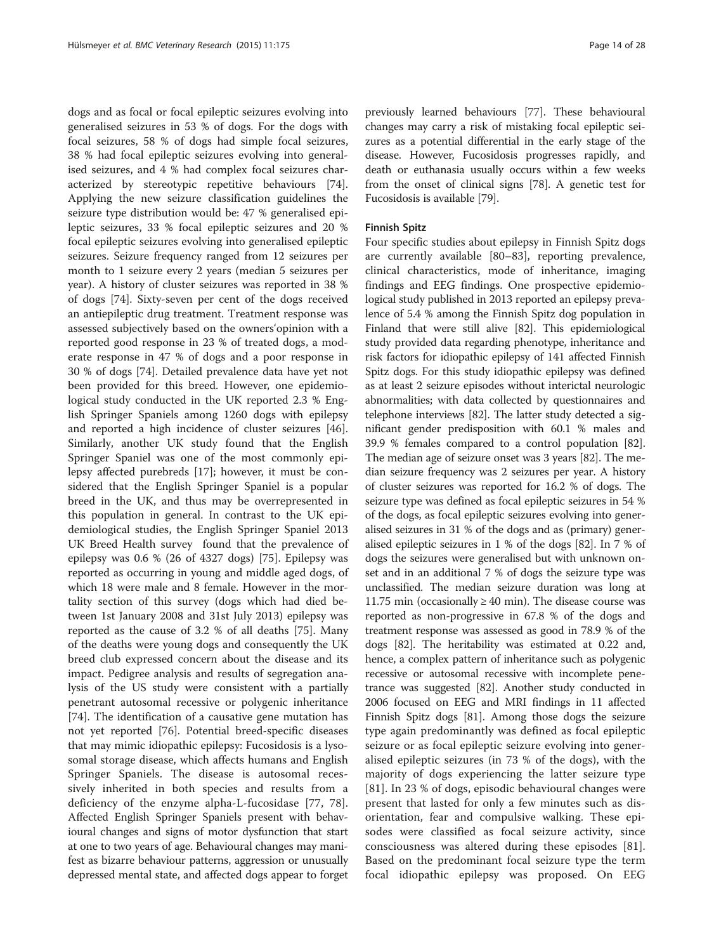dogs and as focal or focal epileptic seizures evolving into generalised seizures in 53 % of dogs. For the dogs with focal seizures, 58 % of dogs had simple focal seizures, 38 % had focal epileptic seizures evolving into generalised seizures, and 4 % had complex focal seizures characterized by stereotypic repetitive behaviours [\[74](#page-26-0)]. Applying the new seizure classification guidelines the seizure type distribution would be: 47 % generalised epileptic seizures, 33 % focal epileptic seizures and 20 % focal epileptic seizures evolving into generalised epileptic seizures. Seizure frequency ranged from 12 seizures per month to 1 seizure every 2 years (median 5 seizures per year). A history of cluster seizures was reported in 38 % of dogs [\[74](#page-26-0)]. Sixty-seven per cent of the dogs received an antiepileptic drug treatment. Treatment response was assessed subjectively based on the owners'opinion with a reported good response in 23 % of treated dogs, a moderate response in 47 % of dogs and a poor response in 30 % of dogs [[74](#page-26-0)]. Detailed prevalence data have yet not been provided for this breed. However, one epidemiological study conducted in the UK reported 2.3 % English Springer Spaniels among 1260 dogs with epilepsy and reported a high incidence of cluster seizures [\[46](#page-25-0)]. Similarly, another UK study found that the English Springer Spaniel was one of the most commonly epilepsy affected purebreds [\[17\]](#page-25-0); however, it must be considered that the English Springer Spaniel is a popular breed in the UK, and thus may be overrepresented in this population in general. In contrast to the UK epidemiological studies, the English Springer Spaniel 2013 UK Breed Health survey found that the prevalence of epilepsy was 0.6 % (26 of 4327 dogs) [\[75\]](#page-26-0). Epilepsy was reported as occurring in young and middle aged dogs, of which 18 were male and 8 female. However in the mortality section of this survey (dogs which had died between 1st January 2008 and 31st July 2013) epilepsy was reported as the cause of 3.2 % of all deaths [\[75\]](#page-26-0). Many of the deaths were young dogs and consequently the UK breed club expressed concern about the disease and its impact. Pedigree analysis and results of segregation analysis of the US study were consistent with a partially penetrant autosomal recessive or polygenic inheritance [[74\]](#page-26-0). The identification of a causative gene mutation has not yet reported [\[76\]](#page-26-0). Potential breed-specific diseases that may mimic idiopathic epilepsy: Fucosidosis is a lysosomal storage disease, which affects humans and English Springer Spaniels. The disease is autosomal recessively inherited in both species and results from a deficiency of the enzyme alpha-L-fucosidase [[77, 78](#page-26-0)]. Affected English Springer Spaniels present with behavioural changes and signs of motor dysfunction that start at one to two years of age. Behavioural changes may manifest as bizarre behaviour patterns, aggression or unusually depressed mental state, and affected dogs appear to forget

previously learned behaviours [[77](#page-26-0)]. These behavioural changes may carry a risk of mistaking focal epileptic seizures as a potential differential in the early stage of the disease. However, Fucosidosis progresses rapidly, and death or euthanasia usually occurs within a few weeks from the onset of clinical signs [[78](#page-26-0)]. A genetic test for Fucosidosis is available [[79](#page-26-0)].

# Finnish Spitz

Four specific studies about epilepsy in Finnish Spitz dogs are currently available [\[80](#page-26-0)–[83\]](#page-26-0), reporting prevalence, clinical characteristics, mode of inheritance, imaging findings and EEG findings. One prospective epidemiological study published in 2013 reported an epilepsy prevalence of 5.4 % among the Finnish Spitz dog population in Finland that were still alive [\[82](#page-26-0)]. This epidemiological study provided data regarding phenotype, inheritance and risk factors for idiopathic epilepsy of 141 affected Finnish Spitz dogs. For this study idiopathic epilepsy was defined as at least 2 seizure episodes without interictal neurologic abnormalities; with data collected by questionnaires and telephone interviews [\[82\]](#page-26-0). The latter study detected a significant gender predisposition with 60.1 % males and 39.9 % females compared to a control population [[82](#page-26-0)]. The median age of seizure onset was 3 years [[82](#page-26-0)]. The median seizure frequency was 2 seizures per year. A history of cluster seizures was reported for 16.2 % of dogs. The seizure type was defined as focal epileptic seizures in 54 % of the dogs, as focal epileptic seizures evolving into generalised seizures in 31 % of the dogs and as (primary) generalised epileptic seizures in 1 % of the dogs [[82](#page-26-0)]. In 7 % of dogs the seizures were generalised but with unknown onset and in an additional 7 % of dogs the seizure type was unclassified. The median seizure duration was long at 11.75 min (occasionally  $\geq$  40 min). The disease course was reported as non-progressive in 67.8 % of the dogs and treatment response was assessed as good in 78.9 % of the dogs [[82](#page-26-0)]. The heritability was estimated at 0.22 and, hence, a complex pattern of inheritance such as polygenic recessive or autosomal recessive with incomplete penetrance was suggested [\[82\]](#page-26-0). Another study conducted in 2006 focused on EEG and MRI findings in 11 affected Finnish Spitz dogs [[81](#page-26-0)]. Among those dogs the seizure type again predominantly was defined as focal epileptic seizure or as focal epileptic seizure evolving into generalised epileptic seizures (in 73 % of the dogs), with the majority of dogs experiencing the latter seizure type [[81\]](#page-26-0). In 23 % of dogs, episodic behavioural changes were present that lasted for only a few minutes such as disorientation, fear and compulsive walking. These episodes were classified as focal seizure activity, since consciousness was altered during these episodes [[81](#page-26-0)]. Based on the predominant focal seizure type the term focal idiopathic epilepsy was proposed. On EEG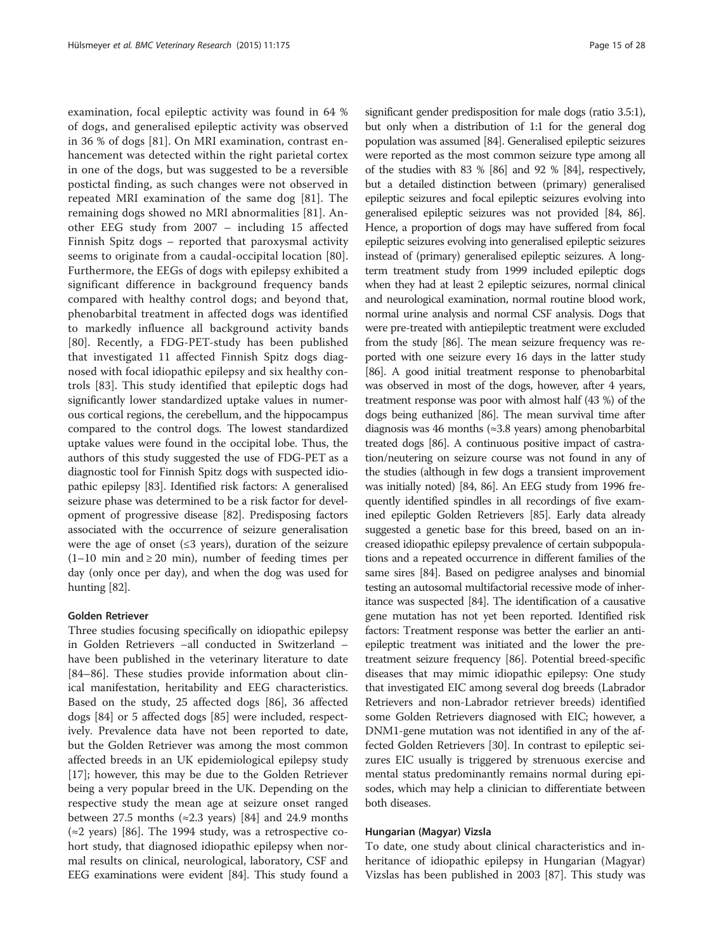examination, focal epileptic activity was found in 64 % of dogs, and generalised epileptic activity was observed in 36 % of dogs [\[81](#page-26-0)]. On MRI examination, contrast enhancement was detected within the right parietal cortex in one of the dogs, but was suggested to be a reversible postictal finding, as such changes were not observed in repeated MRI examination of the same dog [\[81](#page-26-0)]. The remaining dogs showed no MRI abnormalities [[81\]](#page-26-0). Another EEG study from 2007 – including 15 affected Finnish Spitz dogs – reported that paroxysmal activity seems to originate from a caudal-occipital location [\[80](#page-26-0)]. Furthermore, the EEGs of dogs with epilepsy exhibited a significant difference in background frequency bands compared with healthy control dogs; and beyond that, phenobarbital treatment in affected dogs was identified to markedly influence all background activity bands [[80\]](#page-26-0). Recently, a FDG-PET-study has been published that investigated 11 affected Finnish Spitz dogs diagnosed with focal idiopathic epilepsy and six healthy controls [\[83\]](#page-26-0). This study identified that epileptic dogs had significantly lower standardized uptake values in numerous cortical regions, the cerebellum, and the hippocampus compared to the control dogs. The lowest standardized uptake values were found in the occipital lobe. Thus, the authors of this study suggested the use of FDG-PET as a diagnostic tool for Finnish Spitz dogs with suspected idiopathic epilepsy [[83](#page-26-0)]. Identified risk factors: A generalised seizure phase was determined to be a risk factor for development of progressive disease [\[82\]](#page-26-0). Predisposing factors associated with the occurrence of seizure generalisation were the age of onset  $(\leq 3$  years), duration of the seizure  $(1-10 \text{ min and } \ge 20 \text{ min})$ , number of feeding times per day (only once per day), and when the dog was used for hunting [[82](#page-26-0)].

# Golden Retriever

Three studies focusing specifically on idiopathic epilepsy in Golden Retrievers –all conducted in Switzerland – have been published in the veterinary literature to date [[84](#page-26-0)–[86](#page-26-0)]. These studies provide information about clinical manifestation, heritability and EEG characteristics. Based on the study, 25 affected dogs [\[86](#page-26-0)], 36 affected dogs [[84\]](#page-26-0) or 5 affected dogs [[85\]](#page-26-0) were included, respectively. Prevalence data have not been reported to date, but the Golden Retriever was among the most common affected breeds in an UK epidemiological epilepsy study [[17\]](#page-25-0); however, this may be due to the Golden Retriever being a very popular breed in the UK. Depending on the respective study the mean age at seizure onset ranged between 27.5 months ( $\approx$ 2.3 years) [[84\]](#page-26-0) and 24.9 months  $(\approx 2 \text{ years})$  [[86](#page-26-0)]. The 1994 study, was a retrospective cohort study, that diagnosed idiopathic epilepsy when normal results on clinical, neurological, laboratory, CSF and EEG examinations were evident [\[84\]](#page-26-0). This study found a

significant gender predisposition for male dogs (ratio 3.5:1), but only when a distribution of 1:1 for the general dog population was assumed [\[84\]](#page-26-0). Generalised epileptic seizures were reported as the most common seizure type among all of the studies with 83 % [\[86\]](#page-26-0) and 92 % [\[84](#page-26-0)], respectively, but a detailed distinction between (primary) generalised epileptic seizures and focal epileptic seizures evolving into generalised epileptic seizures was not provided [\[84, 86](#page-26-0)]. Hence, a proportion of dogs may have suffered from focal epileptic seizures evolving into generalised epileptic seizures instead of (primary) generalised epileptic seizures. A longterm treatment study from 1999 included epileptic dogs when they had at least 2 epileptic seizures, normal clinical and neurological examination, normal routine blood work, normal urine analysis and normal CSF analysis. Dogs that were pre-treated with antiepileptic treatment were excluded from the study [\[86](#page-26-0)]. The mean seizure frequency was reported with one seizure every 16 days in the latter study [[86](#page-26-0)]. A good initial treatment response to phenobarbital was observed in most of the dogs, however, after 4 years, treatment response was poor with almost half (43 %) of the dogs being euthanized [[86](#page-26-0)]. The mean survival time after diagnosis was 46 months (≈3.8 years) among phenobarbital treated dogs [\[86\]](#page-26-0). A continuous positive impact of castration/neutering on seizure course was not found in any of the studies (although in few dogs a transient improvement was initially noted) [\[84, 86\]](#page-26-0). An EEG study from 1996 frequently identified spindles in all recordings of five examined epileptic Golden Retrievers [\[85\]](#page-26-0). Early data already suggested a genetic base for this breed, based on an increased idiopathic epilepsy prevalence of certain subpopulations and a repeated occurrence in different families of the same sires [\[84\]](#page-26-0). Based on pedigree analyses and binomial testing an autosomal multifactorial recessive mode of inheritance was suspected [[84\]](#page-26-0). The identification of a causative gene mutation has not yet been reported. Identified risk factors: Treatment response was better the earlier an antiepileptic treatment was initiated and the lower the pretreatment seizure frequency [[86](#page-26-0)]. Potential breed-specific diseases that may mimic idiopathic epilepsy: One study that investigated EIC among several dog breeds (Labrador Retrievers and non-Labrador retriever breeds) identified some Golden Retrievers diagnosed with EIC; however, a DNM1-gene mutation was not identified in any of the affected Golden Retrievers [[30](#page-25-0)]. In contrast to epileptic seizures EIC usually is triggered by strenuous exercise and mental status predominantly remains normal during episodes, which may help a clinician to differentiate between both diseases.

# Hungarian (Magyar) Vizsla

To date, one study about clinical characteristics and inheritance of idiopathic epilepsy in Hungarian (Magyar) Vizslas has been published in 2003 [[87](#page-26-0)]. This study was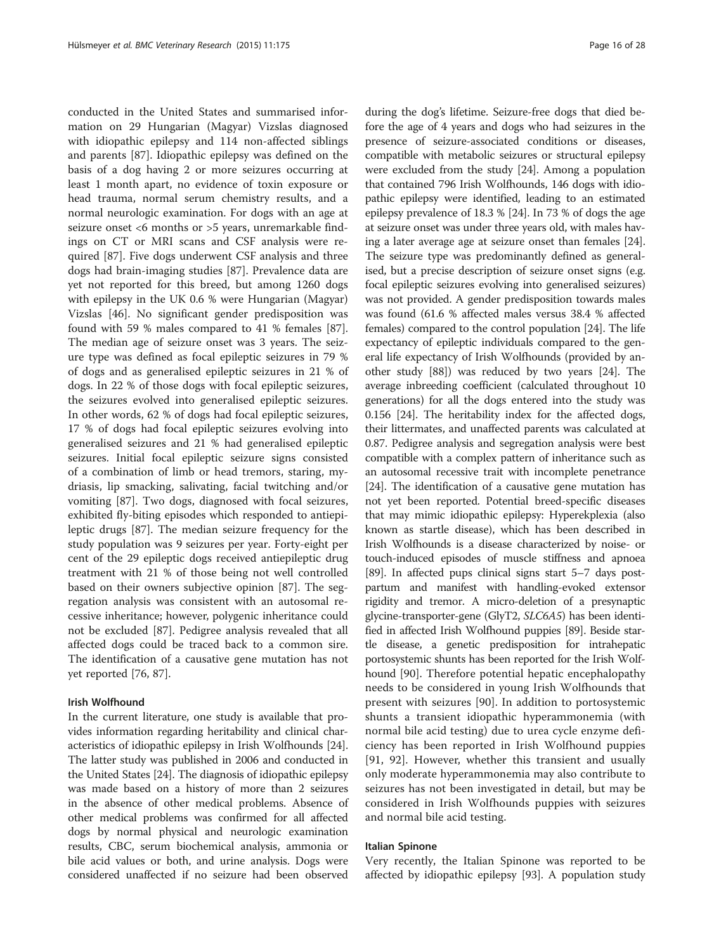conducted in the United States and summarised information on 29 Hungarian (Magyar) Vizslas diagnosed with idiopathic epilepsy and 114 non-affected siblings and parents [\[87\]](#page-26-0). Idiopathic epilepsy was defined on the basis of a dog having 2 or more seizures occurring at least 1 month apart, no evidence of toxin exposure or head trauma, normal serum chemistry results, and a normal neurologic examination. For dogs with an age at seizure onset <6 months or >5 years, unremarkable findings on CT or MRI scans and CSF analysis were required [[87](#page-26-0)]. Five dogs underwent CSF analysis and three dogs had brain-imaging studies [\[87\]](#page-26-0). Prevalence data are yet not reported for this breed, but among 1260 dogs with epilepsy in the UK 0.6 % were Hungarian (Magyar) Vizslas [[46](#page-25-0)]. No significant gender predisposition was found with 59 % males compared to 41 % females [\[87](#page-26-0)]. The median age of seizure onset was 3 years. The seizure type was defined as focal epileptic seizures in 79 % of dogs and as generalised epileptic seizures in 21 % of dogs. In 22 % of those dogs with focal epileptic seizures, the seizures evolved into generalised epileptic seizures. In other words, 62 % of dogs had focal epileptic seizures, 17 % of dogs had focal epileptic seizures evolving into generalised seizures and 21 % had generalised epileptic seizures. Initial focal epileptic seizure signs consisted of a combination of limb or head tremors, staring, mydriasis, lip smacking, salivating, facial twitching and/or vomiting [[87\]](#page-26-0). Two dogs, diagnosed with focal seizures, exhibited fly-biting episodes which responded to antiepileptic drugs [[87](#page-26-0)]. The median seizure frequency for the study population was 9 seizures per year. Forty-eight per cent of the 29 epileptic dogs received antiepileptic drug treatment with 21 % of those being not well controlled based on their owners subjective opinion [\[87](#page-26-0)]. The segregation analysis was consistent with an autosomal recessive inheritance; however, polygenic inheritance could not be excluded [[87\]](#page-26-0). Pedigree analysis revealed that all affected dogs could be traced back to a common sire. The identification of a causative gene mutation has not yet reported [[76](#page-26-0), [87](#page-26-0)].

# Irish Wolfhound

In the current literature, one study is available that provides information regarding heritability and clinical characteristics of idiopathic epilepsy in Irish Wolfhounds [[24](#page-25-0)]. The latter study was published in 2006 and conducted in the United States [\[24\]](#page-25-0). The diagnosis of idiopathic epilepsy was made based on a history of more than 2 seizures in the absence of other medical problems. Absence of other medical problems was confirmed for all affected dogs by normal physical and neurologic examination results, CBC, serum biochemical analysis, ammonia or bile acid values or both, and urine analysis. Dogs were considered unaffected if no seizure had been observed

during the dog's lifetime. Seizure-free dogs that died before the age of 4 years and dogs who had seizures in the presence of seizure-associated conditions or diseases, compatible with metabolic seizures or structural epilepsy were excluded from the study [[24](#page-25-0)]. Among a population that contained 796 Irish Wolfhounds, 146 dogs with idiopathic epilepsy were identified, leading to an estimated epilepsy prevalence of 18.3 % [\[24\]](#page-25-0). In 73 % of dogs the age at seizure onset was under three years old, with males having a later average age at seizure onset than females [[24](#page-25-0)]. The seizure type was predominantly defined as generalised, but a precise description of seizure onset signs (e.g. focal epileptic seizures evolving into generalised seizures) was not provided. A gender predisposition towards males was found (61.6 % affected males versus 38.4 % affected females) compared to the control population [\[24\]](#page-25-0). The life expectancy of epileptic individuals compared to the general life expectancy of Irish Wolfhounds (provided by another study [\[88\]](#page-26-0)) was reduced by two years [[24](#page-25-0)]. The average inbreeding coefficient (calculated throughout 10 generations) for all the dogs entered into the study was 0.156 [[24\]](#page-25-0). The heritability index for the affected dogs, their littermates, and unaffected parents was calculated at 0.87. Pedigree analysis and segregation analysis were best compatible with a complex pattern of inheritance such as an autosomal recessive trait with incomplete penetrance [[24](#page-25-0)]. The identification of a causative gene mutation has not yet been reported. Potential breed-specific diseases that may mimic idiopathic epilepsy: Hyperekplexia (also known as startle disease), which has been described in Irish Wolfhounds is a disease characterized by noise- or touch-induced episodes of muscle stiffness and apnoea [[89](#page-26-0)]. In affected pups clinical signs start 5–7 days postpartum and manifest with handling-evoked extensor rigidity and tremor. A micro-deletion of a presynaptic glycine-transporter-gene (GlyT2, SLC6A5) has been identified in affected Irish Wolfhound puppies [\[89\]](#page-26-0). Beside startle disease, a genetic predisposition for intrahepatic portosystemic shunts has been reported for the Irish Wolfhound [[90\]](#page-26-0). Therefore potential hepatic encephalopathy needs to be considered in young Irish Wolfhounds that present with seizures [[90\]](#page-26-0). In addition to portosystemic shunts a transient idiopathic hyperammonemia (with normal bile acid testing) due to urea cycle enzyme deficiency has been reported in Irish Wolfhound puppies [[91, 92](#page-26-0)]. However, whether this transient and usually only moderate hyperammonemia may also contribute to seizures has not been investigated in detail, but may be considered in Irish Wolfhounds puppies with seizures and normal bile acid testing.

# Italian Spinone

Very recently, the Italian Spinone was reported to be affected by idiopathic epilepsy [\[93](#page-26-0)]. A population study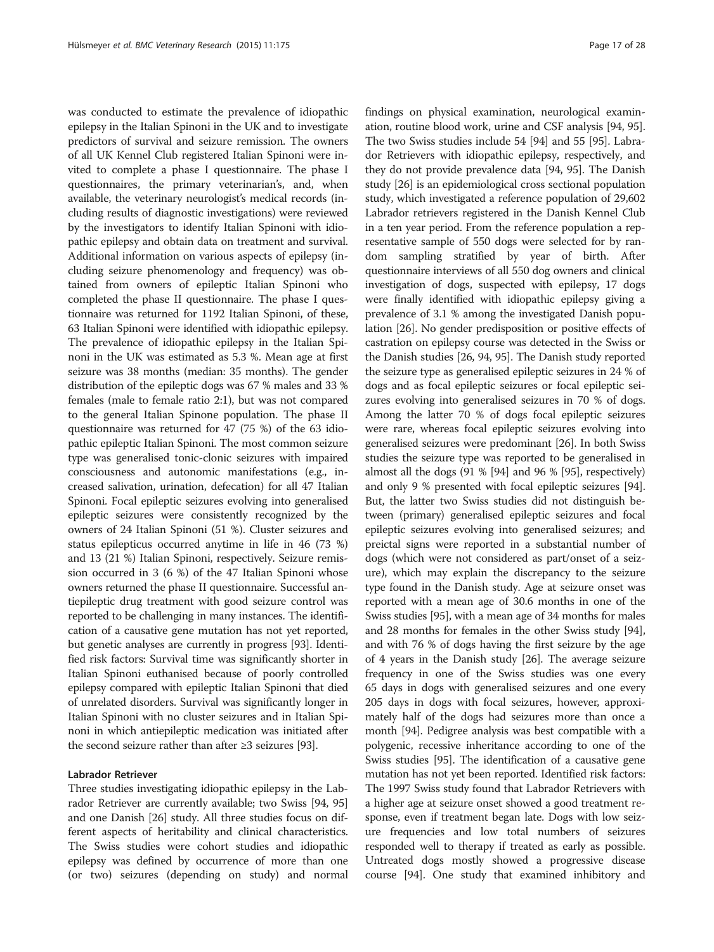was conducted to estimate the prevalence of idiopathic epilepsy in the Italian Spinoni in the UK and to investigate predictors of survival and seizure remission. The owners of all UK Kennel Club registered Italian Spinoni were invited to complete a phase I questionnaire. The phase I questionnaires, the primary veterinarian's, and, when available, the veterinary neurologist's medical records (including results of diagnostic investigations) were reviewed by the investigators to identify Italian Spinoni with idiopathic epilepsy and obtain data on treatment and survival. Additional information on various aspects of epilepsy (including seizure phenomenology and frequency) was obtained from owners of epileptic Italian Spinoni who completed the phase II questionnaire. The phase I questionnaire was returned for 1192 Italian Spinoni, of these, 63 Italian Spinoni were identified with idiopathic epilepsy. The prevalence of idiopathic epilepsy in the Italian Spinoni in the UK was estimated as 5.3 %. Mean age at first seizure was 38 months (median: 35 months). The gender distribution of the epileptic dogs was 67 % males and 33 % females (male to female ratio 2:1), but was not compared to the general Italian Spinone population. The phase II questionnaire was returned for 47 (75 %) of the 63 idiopathic epileptic Italian Spinoni. The most common seizure type was generalised tonic-clonic seizures with impaired consciousness and autonomic manifestations (e.g., increased salivation, urination, defecation) for all 47 Italian Spinoni. Focal epileptic seizures evolving into generalised epileptic seizures were consistently recognized by the owners of 24 Italian Spinoni (51 %). Cluster seizures and status epilepticus occurred anytime in life in 46 (73 %) and 13 (21 %) Italian Spinoni, respectively. Seizure remission occurred in 3 (6 %) of the 47 Italian Spinoni whose owners returned the phase II questionnaire. Successful antiepileptic drug treatment with good seizure control was reported to be challenging in many instances. The identification of a causative gene mutation has not yet reported, but genetic analyses are currently in progress [[93](#page-26-0)]. Identified risk factors: Survival time was significantly shorter in Italian Spinoni euthanised because of poorly controlled epilepsy compared with epileptic Italian Spinoni that died of unrelated disorders. Survival was significantly longer in Italian Spinoni with no cluster seizures and in Italian Spinoni in which antiepileptic medication was initiated after the second seizure rather than after ≥3 seizures [[93](#page-26-0)].

# Labrador Retriever

Three studies investigating idiopathic epilepsy in the Labrador Retriever are currently available; two Swiss [[94](#page-26-0), [95](#page-26-0)] and one Danish [[26](#page-25-0)] study. All three studies focus on different aspects of heritability and clinical characteristics. The Swiss studies were cohort studies and idiopathic epilepsy was defined by occurrence of more than one (or two) seizures (depending on study) and normal

findings on physical examination, neurological examination, routine blood work, urine and CSF analysis [\[94, 95](#page-26-0)]. The two Swiss studies include 54 [\[94\]](#page-26-0) and 55 [\[95\]](#page-26-0). Labrador Retrievers with idiopathic epilepsy, respectively, and they do not provide prevalence data [[94, 95\]](#page-26-0). The Danish study [\[26\]](#page-25-0) is an epidemiological cross sectional population study, which investigated a reference population of 29,602 Labrador retrievers registered in the Danish Kennel Club in a ten year period. From the reference population a representative sample of 550 dogs were selected for by random sampling stratified by year of birth. After questionnaire interviews of all 550 dog owners and clinical investigation of dogs, suspected with epilepsy, 17 dogs were finally identified with idiopathic epilepsy giving a prevalence of 3.1 % among the investigated Danish population [[26](#page-25-0)]. No gender predisposition or positive effects of castration on epilepsy course was detected in the Swiss or the Danish studies [\[26,](#page-25-0) [94](#page-26-0), [95\]](#page-26-0). The Danish study reported the seizure type as generalised epileptic seizures in 24 % of dogs and as focal epileptic seizures or focal epileptic seizures evolving into generalised seizures in 70 % of dogs. Among the latter 70 % of dogs focal epileptic seizures were rare, whereas focal epileptic seizures evolving into generalised seizures were predominant [\[26\]](#page-25-0). In both Swiss studies the seizure type was reported to be generalised in almost all the dogs (91 % [\[94\]](#page-26-0) and 96 % [\[95\]](#page-26-0), respectively) and only 9 % presented with focal epileptic seizures [[94](#page-26-0)]. But, the latter two Swiss studies did not distinguish between (primary) generalised epileptic seizures and focal epileptic seizures evolving into generalised seizures; and preictal signs were reported in a substantial number of dogs (which were not considered as part/onset of a seizure), which may explain the discrepancy to the seizure type found in the Danish study. Age at seizure onset was reported with a mean age of 30.6 months in one of the Swiss studies [[95\]](#page-26-0), with a mean age of 34 months for males and 28 months for females in the other Swiss study [[94](#page-26-0)], and with 76 % of dogs having the first seizure by the age of 4 years in the Danish study [\[26](#page-25-0)]. The average seizure frequency in one of the Swiss studies was one every 65 days in dogs with generalised seizures and one every 205 days in dogs with focal seizures, however, approximately half of the dogs had seizures more than once a month [\[94\]](#page-26-0). Pedigree analysis was best compatible with a polygenic, recessive inheritance according to one of the Swiss studies [[95](#page-26-0)]. The identification of a causative gene mutation has not yet been reported. Identified risk factors: The 1997 Swiss study found that Labrador Retrievers with a higher age at seizure onset showed a good treatment response, even if treatment began late. Dogs with low seizure frequencies and low total numbers of seizures responded well to therapy if treated as early as possible. Untreated dogs mostly showed a progressive disease course [\[94\]](#page-26-0). One study that examined inhibitory and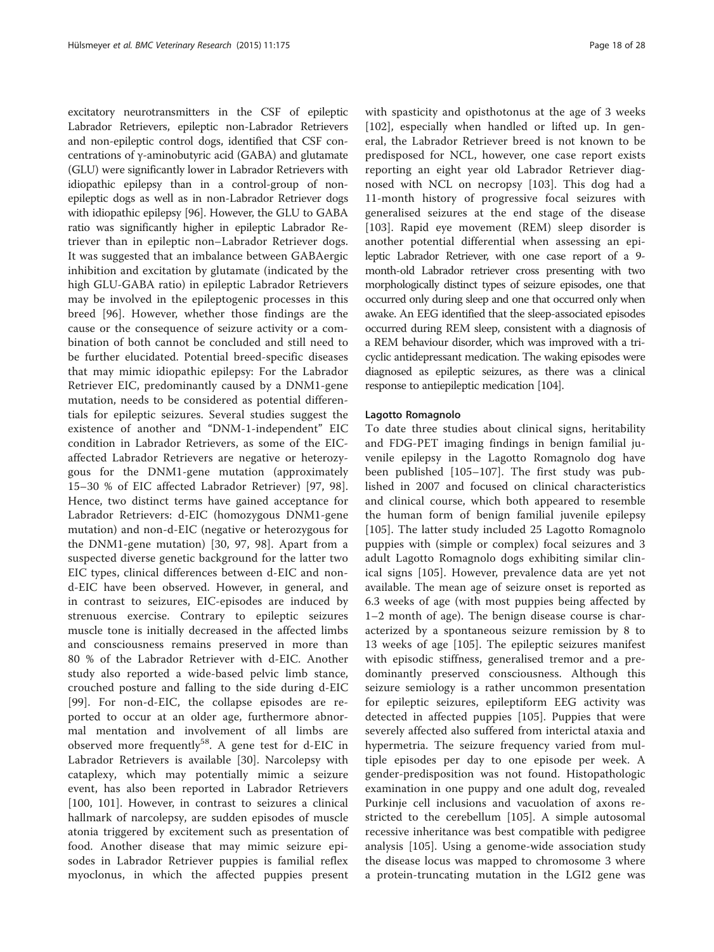excitatory neurotransmitters in the CSF of epileptic Labrador Retrievers, epileptic non-Labrador Retrievers and non-epileptic control dogs, identified that CSF concentrations of γ-aminobutyric acid (GABA) and glutamate (GLU) were significantly lower in Labrador Retrievers with idiopathic epilepsy than in a control-group of nonepileptic dogs as well as in non-Labrador Retriever dogs with idiopathic epilepsy [\[96\]](#page-26-0). However, the GLU to GABA ratio was significantly higher in epileptic Labrador Retriever than in epileptic non–Labrador Retriever dogs. It was suggested that an imbalance between GABAergic inhibition and excitation by glutamate (indicated by the high GLU-GABA ratio) in epileptic Labrador Retrievers may be involved in the epileptogenic processes in this breed [[96\]](#page-26-0). However, whether those findings are the cause or the consequence of seizure activity or a combination of both cannot be concluded and still need to be further elucidated. Potential breed-specific diseases that may mimic idiopathic epilepsy: For the Labrador Retriever EIC, predominantly caused by a DNM1-gene mutation, needs to be considered as potential differentials for epileptic seizures. Several studies suggest the existence of another and "DNM-1-independent" EIC condition in Labrador Retrievers, as some of the EICaffected Labrador Retrievers are negative or heterozygous for the DNM1-gene mutation (approximately 15–30 % of EIC affected Labrador Retriever) [[97, 98](#page-26-0)]. Hence, two distinct terms have gained acceptance for Labrador Retrievers: d-EIC (homozygous DNM1-gene mutation) and non-d-EIC (negative or heterozygous for the DNM1-gene mutation) [\[30](#page-25-0), [97, 98\]](#page-26-0). Apart from a suspected diverse genetic background for the latter two EIC types, clinical differences between d-EIC and nond-EIC have been observed. However, in general, and in contrast to seizures, EIC-episodes are induced by strenuous exercise. Contrary to epileptic seizures muscle tone is initially decreased in the affected limbs and consciousness remains preserved in more than 80 % of the Labrador Retriever with d-EIC. Another study also reported a wide-based pelvic limb stance, crouched posture and falling to the side during d-EIC [[99\]](#page-26-0). For non-d-EIC, the collapse episodes are reported to occur at an older age, furthermore abnormal mentation and involvement of all limbs are observed more frequently<sup>58</sup>. A gene test for d-EIC in Labrador Retrievers is available [[30\]](#page-25-0). Narcolepsy with cataplexy, which may potentially mimic a seizure event, has also been reported in Labrador Retrievers [[100, 101\]](#page-26-0). However, in contrast to seizures a clinical hallmark of narcolepsy, are sudden episodes of muscle atonia triggered by excitement such as presentation of food. Another disease that may mimic seizure episodes in Labrador Retriever puppies is familial reflex myoclonus, in which the affected puppies present

with spasticity and opisthotonus at the age of 3 weeks [[102\]](#page-26-0), especially when handled or lifted up. In general, the Labrador Retriever breed is not known to be predisposed for NCL, however, one case report exists reporting an eight year old Labrador Retriever diagnosed with NCL on necropsy [\[103](#page-26-0)]. This dog had a 11-month history of progressive focal seizures with generalised seizures at the end stage of the disease [[103](#page-26-0)]. Rapid eye movement (REM) sleep disorder is another potential differential when assessing an epileptic Labrador Retriever, with one case report of a 9 month-old Labrador retriever cross presenting with two morphologically distinct types of seizure episodes, one that occurred only during sleep and one that occurred only when awake. An EEG identified that the sleep-associated episodes occurred during REM sleep, consistent with a diagnosis of a REM behaviour disorder, which was improved with a tricyclic antidepressant medication. The waking episodes were diagnosed as epileptic seizures, as there was a clinical response to antiepileptic medication [[104\]](#page-26-0).

# Lagotto Romagnolo

To date three studies about clinical signs, heritability and FDG-PET imaging findings in benign familial juvenile epilepsy in the Lagotto Romagnolo dog have been published [[105](#page-26-0)–[107](#page-26-0)]. The first study was published in 2007 and focused on clinical characteristics and clinical course, which both appeared to resemble the human form of benign familial juvenile epilepsy [[105](#page-26-0)]. The latter study included 25 Lagotto Romagnolo puppies with (simple or complex) focal seizures and 3 adult Lagotto Romagnolo dogs exhibiting similar clinical signs [[105\]](#page-26-0). However, prevalence data are yet not available. The mean age of seizure onset is reported as 6.3 weeks of age (with most puppies being affected by 1–2 month of age). The benign disease course is characterized by a spontaneous seizure remission by 8 to 13 weeks of age [\[105](#page-26-0)]. The epileptic seizures manifest with episodic stiffness, generalised tremor and a predominantly preserved consciousness. Although this seizure semiology is a rather uncommon presentation for epileptic seizures, epileptiform EEG activity was detected in affected puppies [\[105](#page-26-0)]. Puppies that were severely affected also suffered from interictal ataxia and hypermetria. The seizure frequency varied from multiple episodes per day to one episode per week. A gender-predisposition was not found. Histopathologic examination in one puppy and one adult dog, revealed Purkinje cell inclusions and vacuolation of axons restricted to the cerebellum [\[105](#page-26-0)]. A simple autosomal recessive inheritance was best compatible with pedigree analysis [\[105](#page-26-0)]. Using a genome-wide association study the disease locus was mapped to chromosome 3 where a protein-truncating mutation in the LGI2 gene was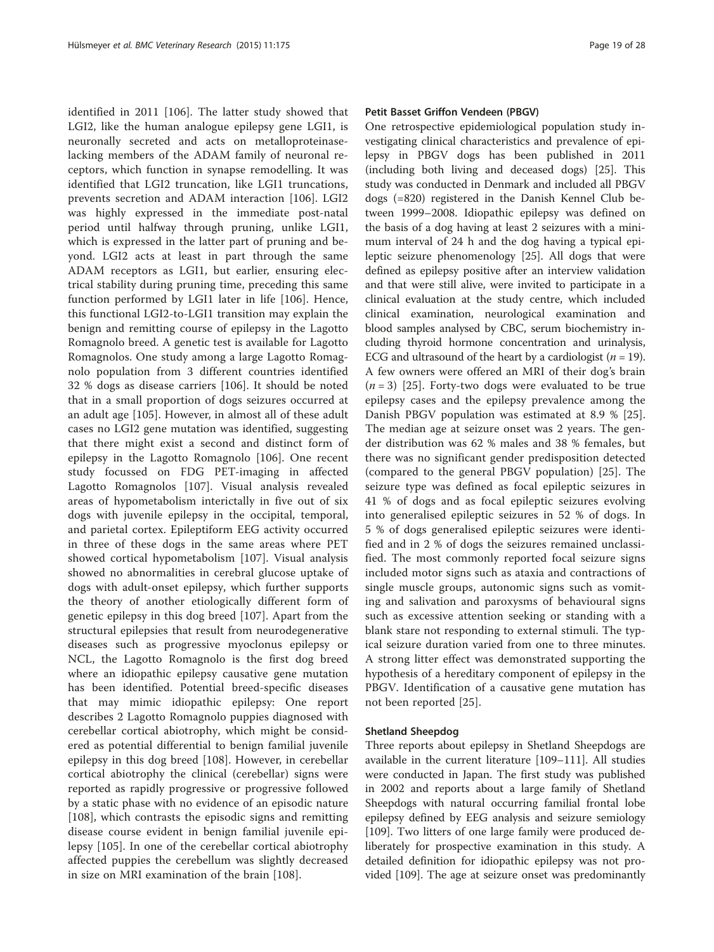identified in 2011 [\[106](#page-26-0)]. The latter study showed that LGI2, like the human analogue epilepsy gene LGI1, is neuronally secreted and acts on metalloproteinaselacking members of the ADAM family of neuronal receptors, which function in synapse remodelling. It was identified that LGI2 truncation, like LGI1 truncations, prevents secretion and ADAM interaction [[106\]](#page-26-0). LGI2 was highly expressed in the immediate post-natal period until halfway through pruning, unlike LGI1, which is expressed in the latter part of pruning and beyond. LGI2 acts at least in part through the same ADAM receptors as LGI1, but earlier, ensuring electrical stability during pruning time, preceding this same function performed by LGI1 later in life [\[106](#page-26-0)]. Hence, this functional LGI2-to-LGI1 transition may explain the benign and remitting course of epilepsy in the Lagotto Romagnolo breed. A genetic test is available for Lagotto Romagnolos. One study among a large Lagotto Romagnolo population from 3 different countries identified 32 % dogs as disease carriers [\[106](#page-26-0)]. It should be noted that in a small proportion of dogs seizures occurred at an adult age [[105\]](#page-26-0). However, in almost all of these adult cases no LGI2 gene mutation was identified, suggesting that there might exist a second and distinct form of epilepsy in the Lagotto Romagnolo [[106\]](#page-26-0). One recent study focussed on FDG PET-imaging in affected Lagotto Romagnolos [[107](#page-26-0)]. Visual analysis revealed areas of hypometabolism interictally in five out of six dogs with juvenile epilepsy in the occipital, temporal, and parietal cortex. Epileptiform EEG activity occurred in three of these dogs in the same areas where PET showed cortical hypometabolism [[107\]](#page-26-0). Visual analysis showed no abnormalities in cerebral glucose uptake of dogs with adult-onset epilepsy, which further supports the theory of another etiologically different form of genetic epilepsy in this dog breed [[107\]](#page-26-0). Apart from the structural epilepsies that result from neurodegenerative diseases such as progressive myoclonus epilepsy or NCL, the Lagotto Romagnolo is the first dog breed where an idiopathic epilepsy causative gene mutation has been identified. Potential breed-specific diseases that may mimic idiopathic epilepsy: One report describes 2 Lagotto Romagnolo puppies diagnosed with cerebellar cortical abiotrophy, which might be considered as potential differential to benign familial juvenile epilepsy in this dog breed [\[108](#page-26-0)]. However, in cerebellar cortical abiotrophy the clinical (cerebellar) signs were reported as rapidly progressive or progressive followed by a static phase with no evidence of an episodic nature [[108](#page-26-0)], which contrasts the episodic signs and remitting disease course evident in benign familial juvenile epilepsy [\[105](#page-26-0)]. In one of the cerebellar cortical abiotrophy affected puppies the cerebellum was slightly decreased in size on MRI examination of the brain [[108](#page-26-0)].

# Petit Basset Griffon Vendeen (PBGV)

One retrospective epidemiological population study investigating clinical characteristics and prevalence of epilepsy in PBGV dogs has been published in 2011 (including both living and deceased dogs) [\[25](#page-25-0)]. This study was conducted in Denmark and included all PBGV dogs (=820) registered in the Danish Kennel Club between 1999–2008. Idiopathic epilepsy was defined on the basis of a dog having at least 2 seizures with a minimum interval of 24 h and the dog having a typical epileptic seizure phenomenology [\[25\]](#page-25-0). All dogs that were defined as epilepsy positive after an interview validation and that were still alive, were invited to participate in a clinical evaluation at the study centre, which included clinical examination, neurological examination and blood samples analysed by CBC, serum biochemistry including thyroid hormone concentration and urinalysis, ECG and ultrasound of the heart by a cardiologist ( $n = 19$ ). A few owners were offered an MRI of their dog's brain  $(n = 3)$  [[25\]](#page-25-0). Forty-two dogs were evaluated to be true epilepsy cases and the epilepsy prevalence among the Danish PBGV population was estimated at 8.9 % [\[25](#page-25-0)]. The median age at seizure onset was 2 years. The gender distribution was 62 % males and 38 % females, but there was no significant gender predisposition detected (compared to the general PBGV population) [[25\]](#page-25-0). The seizure type was defined as focal epileptic seizures in 41 % of dogs and as focal epileptic seizures evolving into generalised epileptic seizures in 52 % of dogs. In 5 % of dogs generalised epileptic seizures were identified and in 2 % of dogs the seizures remained unclassified. The most commonly reported focal seizure signs included motor signs such as ataxia and contractions of single muscle groups, autonomic signs such as vomiting and salivation and paroxysms of behavioural signs such as excessive attention seeking or standing with a blank stare not responding to external stimuli. The typical seizure duration varied from one to three minutes. A strong litter effect was demonstrated supporting the hypothesis of a hereditary component of epilepsy in the PBGV. Identification of a causative gene mutation has not been reported [[25](#page-25-0)].

# Shetland Sheepdog

Three reports about epilepsy in Shetland Sheepdogs are available in the current literature [[109](#page-26-0)–[111](#page-26-0)]. All studies were conducted in Japan. The first study was published in 2002 and reports about a large family of Shetland Sheepdogs with natural occurring familial frontal lobe epilepsy defined by EEG analysis and seizure semiology [[109\]](#page-26-0). Two litters of one large family were produced deliberately for prospective examination in this study. A detailed definition for idiopathic epilepsy was not provided [\[109\]](#page-26-0). The age at seizure onset was predominantly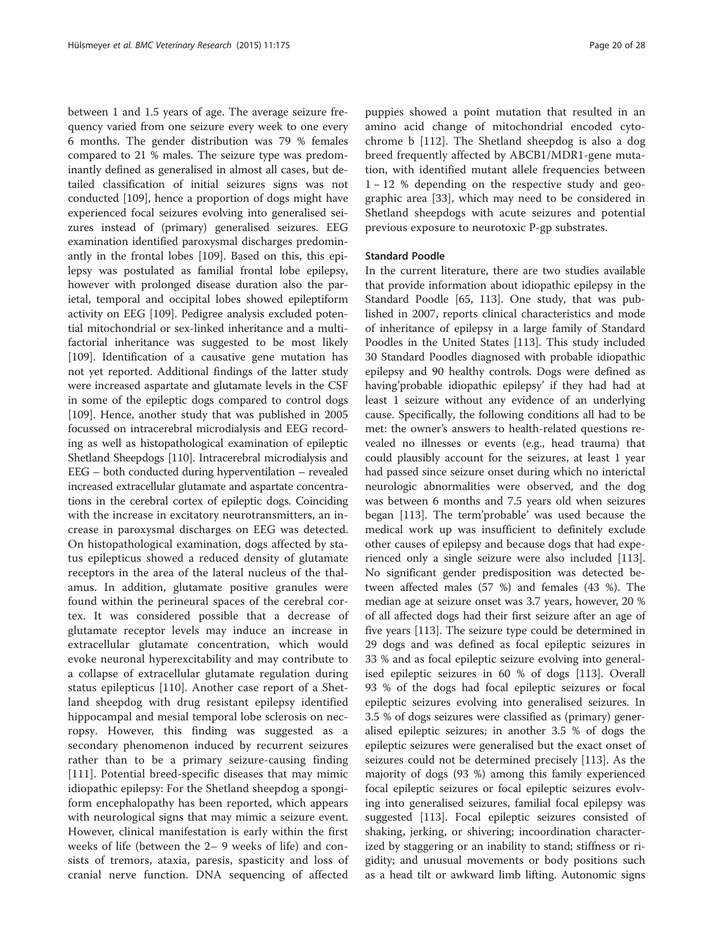between 1 and 1.5 years of age. The average seizure frequency varied from one seizure every week to one every 6 months. The gender distribution was 79 % females compared to 21 % males. The seizure type was predominantly defined as generalised in almost all cases, but detailed classification of initial seizures signs was not conducted [[109\]](#page-26-0), hence a proportion of dogs might have experienced focal seizures evolving into generalised seizures instead of (primary) generalised seizures. EEG examination identified paroxysmal discharges predominantly in the frontal lobes [[109](#page-26-0)]. Based on this, this epilepsy was postulated as familial frontal lobe epilepsy, however with prolonged disease duration also the parietal, temporal and occipital lobes showed epileptiform activity on EEG [[109\]](#page-26-0). Pedigree analysis excluded potential mitochondrial or sex-linked inheritance and a multifactorial inheritance was suggested to be most likely [[109\]](#page-26-0). Identification of a causative gene mutation has not yet reported. Additional findings of the latter study were increased aspartate and glutamate levels in the CSF in some of the epileptic dogs compared to control dogs [[109\]](#page-26-0). Hence, another study that was published in 2005 focussed on intracerebral microdialysis and EEG recording as well as histopathological examination of epileptic Shetland Sheepdogs [\[110\]](#page-26-0). Intracerebral microdialysis and EEG – both conducted during hyperventilation – revealed increased extracellular glutamate and aspartate concentrations in the cerebral cortex of epileptic dogs. Coinciding with the increase in excitatory neurotransmitters, an increase in paroxysmal discharges on EEG was detected. On histopathological examination, dogs affected by status epilepticus showed a reduced density of glutamate receptors in the area of the lateral nucleus of the thalamus. In addition, glutamate positive granules were found within the perineural spaces of the cerebral cortex. It was considered possible that a decrease of glutamate receptor levels may induce an increase in extracellular glutamate concentration, which would evoke neuronal hyperexcitability and may contribute to a collapse of extracellular glutamate regulation during status epilepticus [[110\]](#page-26-0). Another case report of a Shetland sheepdog with drug resistant epilepsy identified hippocampal and mesial temporal lobe sclerosis on necropsy. However, this finding was suggested as a secondary phenomenon induced by recurrent seizures rather than to be a primary seizure-causing finding [[111\]](#page-26-0). Potential breed-specific diseases that may mimic idiopathic epilepsy: For the Shetland sheepdog a spongiform encephalopathy has been reported, which appears with neurological signs that may mimic a seizure event. However, clinical manifestation is early within the first weeks of life (between the 2– 9 weeks of life) and consists of tremors, ataxia, paresis, spasticity and loss of cranial nerve function. DNA sequencing of affected

puppies showed a point mutation that resulted in an amino acid change of mitochondrial encoded cytochrome b [[112\]](#page-26-0). The Shetland sheepdog is also a dog breed frequently affected by ABCB1/MDR1-gene mutation, with identified mutant allele frequencies between 1 − 12 % depending on the respective study and geographic area [[33\]](#page-25-0), which may need to be considered in Shetland sheepdogs with acute seizures and potential previous exposure to neurotoxic P-gp substrates.

# Standard Poodle

In the current literature, there are two studies available that provide information about idiopathic epilepsy in the Standard Poodle [[65, 113\]](#page-26-0). One study, that was published in 2007, reports clinical characteristics and mode of inheritance of epilepsy in a large family of Standard Poodles in the United States [[113\]](#page-26-0). This study included 30 Standard Poodles diagnosed with probable idiopathic epilepsy and 90 healthy controls. Dogs were defined as having'probable idiopathic epilepsy' if they had had at least 1 seizure without any evidence of an underlying cause. Specifically, the following conditions all had to be met: the owner's answers to health-related questions revealed no illnesses or events (e.g., head trauma) that could plausibly account for the seizures, at least 1 year had passed since seizure onset during which no interictal neurologic abnormalities were observed, and the dog was between 6 months and 7.5 years old when seizures began [[113](#page-26-0)]. The term'probable' was used because the medical work up was insufficient to definitely exclude other causes of epilepsy and because dogs that had experienced only a single seizure were also included [[113](#page-26-0)]. No significant gender predisposition was detected between affected males (57 %) and females (43 %). The median age at seizure onset was 3.7 years, however, 20 % of all affected dogs had their first seizure after an age of five years [[113\]](#page-26-0). The seizure type could be determined in 29 dogs and was defined as focal epileptic seizures in 33 % and as focal epileptic seizure evolving into generalised epileptic seizures in 60 % of dogs [[113](#page-26-0)]. Overall 93 % of the dogs had focal epileptic seizures or focal epileptic seizures evolving into generalised seizures. In 3.5 % of dogs seizures were classified as (primary) generalised epileptic seizures; in another 3.5 % of dogs the epileptic seizures were generalised but the exact onset of seizures could not be determined precisely [\[113\]](#page-26-0). As the majority of dogs (93 %) among this family experienced focal epileptic seizures or focal epileptic seizures evolving into generalised seizures, familial focal epilepsy was suggested [[113](#page-26-0)]. Focal epileptic seizures consisted of shaking, jerking, or shivering; incoordination characterized by staggering or an inability to stand; stiffness or rigidity; and unusual movements or body positions such as a head tilt or awkward limb lifting. Autonomic signs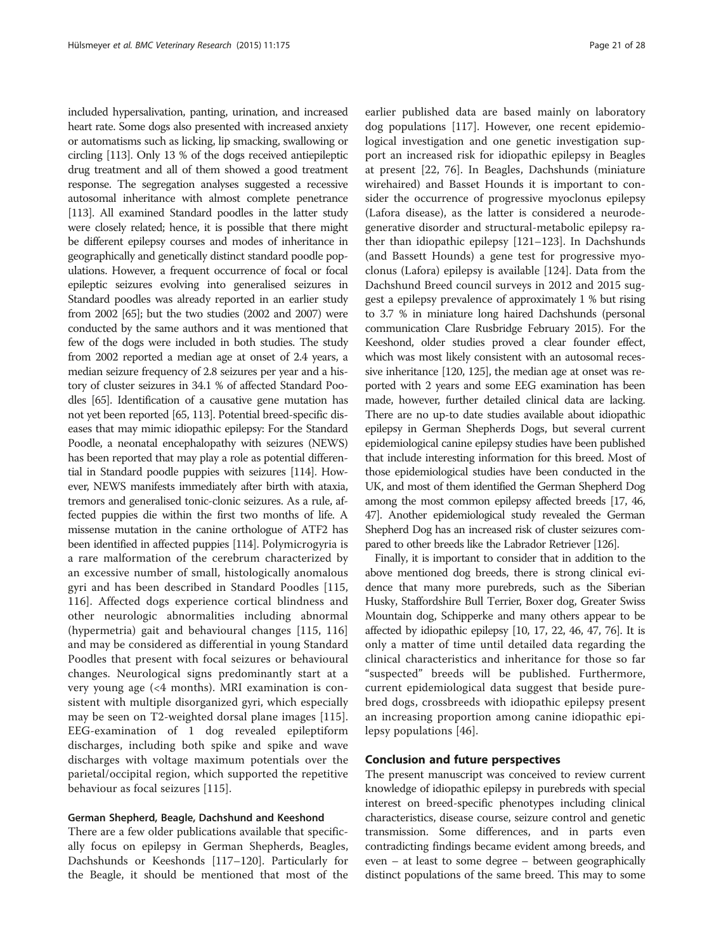included hypersalivation, panting, urination, and increased heart rate. Some dogs also presented with increased anxiety or automatisms such as licking, lip smacking, swallowing or circling [[113\]](#page-26-0). Only 13 % of the dogs received antiepileptic drug treatment and all of them showed a good treatment response. The segregation analyses suggested a recessive autosomal inheritance with almost complete penetrance [[113\]](#page-26-0). All examined Standard poodles in the latter study were closely related; hence, it is possible that there might be different epilepsy courses and modes of inheritance in geographically and genetically distinct standard poodle populations. However, a frequent occurrence of focal or focal epileptic seizures evolving into generalised seizures in Standard poodles was already reported in an earlier study from 2002 [[65](#page-26-0)]; but the two studies (2002 and 2007) were conducted by the same authors and it was mentioned that few of the dogs were included in both studies. The study from 2002 reported a median age at onset of 2.4 years, a median seizure frequency of 2.8 seizures per year and a history of cluster seizures in 34.1 % of affected Standard Poodles [\[65\]](#page-26-0). Identification of a causative gene mutation has not yet been reported [\[65, 113\]](#page-26-0). Potential breed-specific diseases that may mimic idiopathic epilepsy: For the Standard Poodle, a neonatal encephalopathy with seizures (NEWS) has been reported that may play a role as potential differential in Standard poodle puppies with seizures [\[114](#page-26-0)]. However, NEWS manifests immediately after birth with ataxia, tremors and generalised tonic-clonic seizures. As a rule, affected puppies die within the first two months of life. A missense mutation in the canine orthologue of ATF2 has been identified in affected puppies [\[114](#page-26-0)]. Polymicrogyria is a rare malformation of the cerebrum characterized by an excessive number of small, histologically anomalous gyri and has been described in Standard Poodles [\[115](#page-26-0), [116\]](#page-27-0). Affected dogs experience cortical blindness and other neurologic abnormalities including abnormal (hypermetria) gait and behavioural changes [[115,](#page-26-0) [116](#page-27-0)] and may be considered as differential in young Standard Poodles that present with focal seizures or behavioural changes. Neurological signs predominantly start at a very young age (<4 months). MRI examination is consistent with multiple disorganized gyri, which especially may be seen on T2-weighted dorsal plane images [[115](#page-26-0)]. EEG-examination of 1 dog revealed epileptiform discharges, including both spike and spike and wave discharges with voltage maximum potentials over the parietal/occipital region, which supported the repetitive behaviour as focal seizures [[115\]](#page-26-0).

# German Shepherd, Beagle, Dachshund and Keeshond

There are a few older publications available that specifically focus on epilepsy in German Shepherds, Beagles, Dachshunds or Keeshonds [\[117](#page-27-0)–[120](#page-27-0)]. Particularly for the Beagle, it should be mentioned that most of the

earlier published data are based mainly on laboratory dog populations [\[117\]](#page-27-0). However, one recent epidemiological investigation and one genetic investigation support an increased risk for idiopathic epilepsy in Beagles at present [[22](#page-25-0), [76\]](#page-26-0). In Beagles, Dachshunds (miniature wirehaired) and Basset Hounds it is important to consider the occurrence of progressive myoclonus epilepsy (Lafora disease), as the latter is considered a neurodegenerative disorder and structural-metabolic epilepsy rather than idiopathic epilepsy [\[121](#page-27-0)–[123\]](#page-27-0). In Dachshunds (and Bassett Hounds) a gene test for progressive myoclonus (Lafora) epilepsy is available [[124\]](#page-27-0). Data from the Dachshund Breed council surveys in 2012 and 2015 suggest a epilepsy prevalence of approximately 1 % but rising to 3.7 % in miniature long haired Dachshunds (personal communication Clare Rusbridge February 2015). For the Keeshond, older studies proved a clear founder effect, which was most likely consistent with an autosomal recessive inheritance [[120, 125\]](#page-27-0), the median age at onset was reported with 2 years and some EEG examination has been made, however, further detailed clinical data are lacking. There are no up-to date studies available about idiopathic epilepsy in German Shepherds Dogs, but several current epidemiological canine epilepsy studies have been published that include interesting information for this breed. Most of those epidemiological studies have been conducted in the UK, and most of them identified the German Shepherd Dog among the most common epilepsy affected breeds [\[17](#page-25-0), [46](#page-25-0), [47\]](#page-25-0). Another epidemiological study revealed the German Shepherd Dog has an increased risk of cluster seizures compared to other breeds like the Labrador Retriever [\[126\]](#page-27-0).

Finally, it is important to consider that in addition to the above mentioned dog breeds, there is strong clinical evidence that many more purebreds, such as the Siberian Husky, Staffordshire Bull Terrier, Boxer dog, Greater Swiss Mountain dog, Schipperke and many others appear to be affected by idiopathic epilepsy [[10,](#page-24-0) [17, 22, 46, 47,](#page-25-0) [76](#page-26-0)]. It is only a matter of time until detailed data regarding the clinical characteristics and inheritance for those so far "suspected" breeds will be published. Furthermore, current epidemiological data suggest that beside purebred dogs, crossbreeds with idiopathic epilepsy present an increasing proportion among canine idiopathic epilepsy populations [[46\]](#page-25-0).

# Conclusion and future perspectives

The present manuscript was conceived to review current knowledge of idiopathic epilepsy in purebreds with special interest on breed-specific phenotypes including clinical characteristics, disease course, seizure control and genetic transmission. Some differences, and in parts even contradicting findings became evident among breeds, and even – at least to some degree – between geographically distinct populations of the same breed. This may to some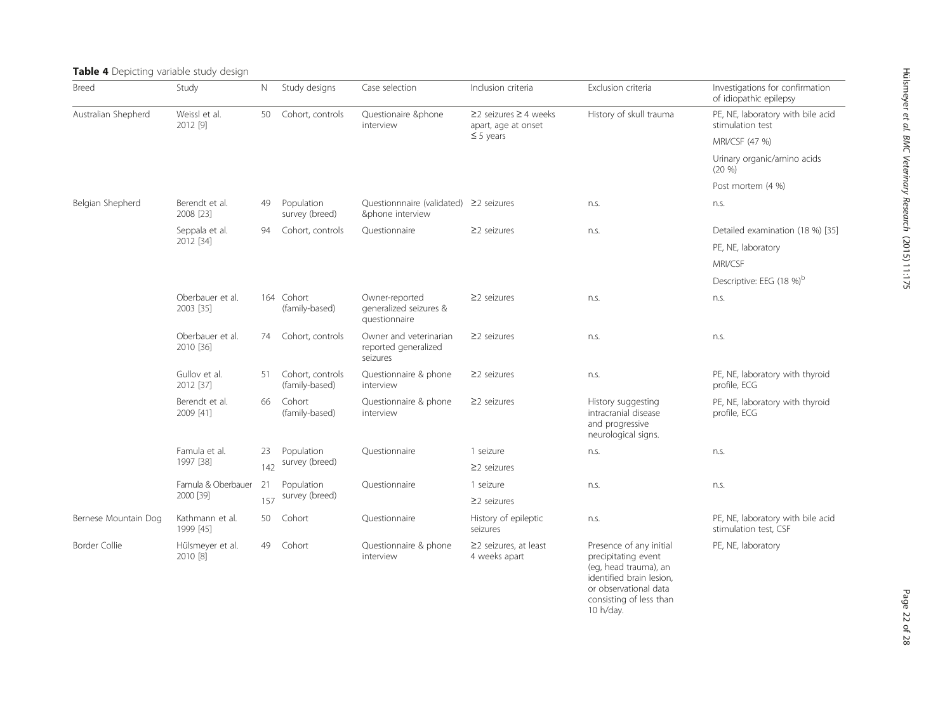<span id="page-21-0"></span>

| Table 4 Depicting variable study design |                               |     |                                    |                                                            |                                                   |                                                                                                                                                         |                                                                                                           |
|-----------------------------------------|-------------------------------|-----|------------------------------------|------------------------------------------------------------|---------------------------------------------------|---------------------------------------------------------------------------------------------------------------------------------------------------------|-----------------------------------------------------------------------------------------------------------|
| <b>Breed</b>                            | Study                         | N   | Study designs                      | Case selection                                             | Inclusion criteria                                | Exclusion criteria                                                                                                                                      | Investigations for confirmation<br>of idiopathic epilepsy                                                 |
| Australian Shepherd                     | Weissl et al.<br>2012 [9]     | 50  | Cohort, controls                   | Questionaire ☎<br>interview                                | $≥$ 2 seizures $≥$ 4 weeks<br>apart, age at onset | History of skull trauma                                                                                                                                 | PE, NE, laboratory with bile acid<br>stimulation test                                                     |
|                                         |                               |     |                                    |                                                            | $\leq$ 5 years                                    |                                                                                                                                                         | MRI/CSF (47 %)                                                                                            |
|                                         |                               |     |                                    |                                                            |                                                   |                                                                                                                                                         | Urinary organic/amino acids<br>(20 %)                                                                     |
|                                         |                               |     |                                    |                                                            |                                                   |                                                                                                                                                         | Post mortem (4 %)                                                                                         |
| Belgian Shepherd                        | Berendt et al.<br>2008 [23]   | 49  | Population<br>survey (breed)       | Questionnnaire (validated) ≥2 seizures<br>☎ interview      |                                                   | n.s.                                                                                                                                                    | n.s.                                                                                                      |
|                                         | Seppala et al.<br>2012 [34]   | 94  | Cohort, controls                   | Ouestionnaire                                              | $\geq$ 2 seizures                                 | n.S.                                                                                                                                                    | Detailed examination (18 %) [35]<br>PE, NE, laboratory<br>MRI/CSF<br>Descriptive: EEG (18 %) <sup>b</sup> |
|                                         | Oberbauer et al.<br>2003 [35] |     | 164 Cohort<br>(family-based)       | Owner-reported<br>generalized seizures &<br>questionnaire  | $\geq$ 2 seizures                                 | n.S.                                                                                                                                                    | n.s.                                                                                                      |
|                                         | Oberbauer et al.<br>2010 [36] | 74  | Cohort, controls                   | Owner and veterinarian<br>reported generalized<br>seizures | $\geq$ 2 seizures                                 | n.s.                                                                                                                                                    | n.s.                                                                                                      |
|                                         | Gullov et al.<br>2012 [37]    | 51  | Cohort, controls<br>(family-based) | Questionnaire & phone<br>interview                         | $\geq$ 2 seizures                                 | n.s.                                                                                                                                                    | PE, NE, laboratory with thyroid<br>profile, ECG                                                           |
|                                         | Berendt et al.<br>2009 [41]   | 66  | Cohort<br>(family-based)           | Questionnaire & phone<br>interview                         | $\geq$ 2 seizures                                 | History suggesting<br>intracranial disease<br>and progressive<br>neurological signs.                                                                    | PE, NE, laboratory with thyroid<br>profile, ECG                                                           |
|                                         | Famula et al.<br>1997 [38]    | 23  | Population<br>Questionnaire        | 1 seizure                                                  | n.s.                                              | n.s.                                                                                                                                                    |                                                                                                           |
|                                         |                               | 142 | survey (breed)                     |                                                            | $\geq$ 2 seizures                                 |                                                                                                                                                         |                                                                                                           |
|                                         | Famula & Oberbauer            | 21  | Population                         | Questionnaire                                              | 1 seizure                                         | n.s.                                                                                                                                                    | n.s.                                                                                                      |
|                                         | 2000 [39]                     | 157 | survey (breed)                     |                                                            | $\geq$ 2 seizures                                 |                                                                                                                                                         |                                                                                                           |
| Bernese Mountain Dog                    | Kathmann et al.<br>1999 [45]  | 50  | Cohort                             | Questionnaire                                              | History of epileptic<br>seizures                  | n.s.                                                                                                                                                    | PE, NE, laboratory with bile acid<br>stimulation test, CSF                                                |
| Border Collie                           | Hülsmeyer et al.<br>2010 [8]  | 49  | Cohort                             | Questionnaire & phone<br>interview                         | $\geq$ 2 seizures, at least<br>4 weeks apart      | Presence of any initial<br>precipitating event<br>(eg, head trauma), an<br>identified brain lesion.<br>or observational data<br>consisting of less than | PE, NE, laboratory                                                                                        |

10 h/day.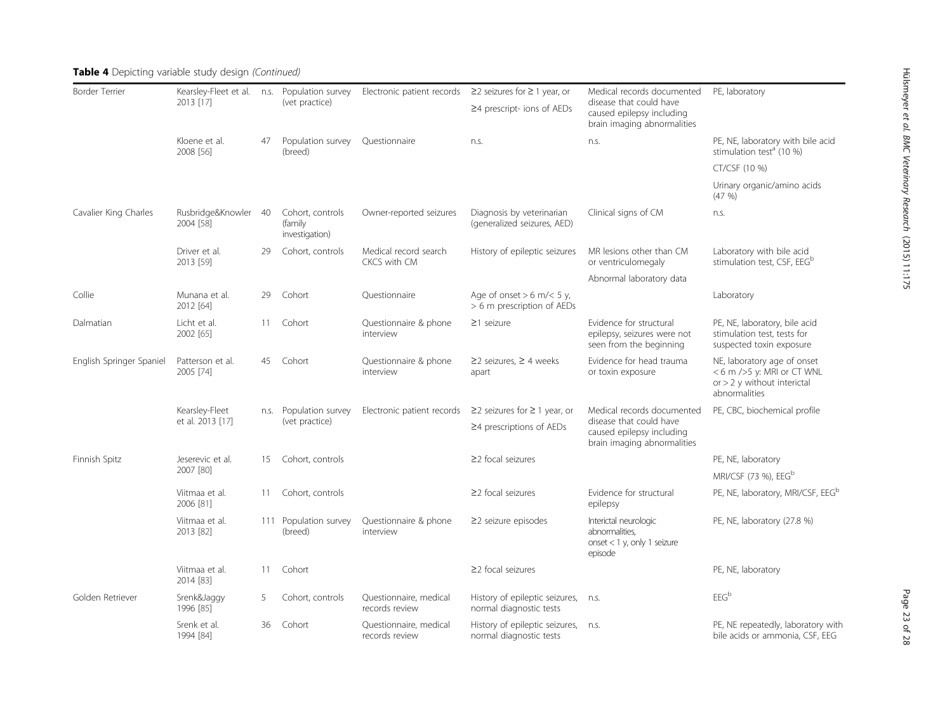Cavalier King Charles Rusbridge&Knowler 40 2004 [\[58\]](#page-25-0) Cohort, controls (family investigation) Owner-reported seizures Diagnosis by veterinarian (generalized seizures, AED) Clinical signs of CM n.s. Driver et al. 2013 [\[59\]](#page-25-0) 29 Cohort, controls Medical record search CKCS with CM History of epileptic seizures MR lesions other than CM or ventriculomegaly Abnormal laboratory data Collie Munana et al. 2012 [\[64\]](#page-26-0) 29 Cohort Questionnaire Age of onset > 6 m/< 5 y, > 6 m prescription of AEDs Dalmatian Licht et al. 2002 [\[65\]](#page-26-0) 11 Cohort Questionnaire & phone interview ≥1 seizure Evidence for structural epilepsy, seizures were not seen from the beginning English Springer Spaniel Patterson et al. 2005 [\[74\]](#page-26-0) 45 Cohort Questionnaire & phone interview ≥2 seizures, ≥ 4 weeks apart Evidence for head trauma or toxin exposure Kearsley-Fleet et al. 2013 [[17](#page-25-0)] n.s. Population survey Electronic patient records ≥2 seizures for ≥ 1 year, or Medical records documented (vet practice) disease that could have caused epilepsy including brain imaging abnormalities ≥4 prescriptions of AEDs 2007 [\[80\]](#page-26-0) Viitmaa et al. 11 Cohort, controls ≥2 focal seizures Evidence for structural

# Table 4 Depicting variable study design (Continued)

2013 [\[17\]](#page-25-0)

Kloene et al. 2008 [\[56\]](#page-25-0)

n.s. Population survey (vet practice)

(breed)

47 Population survey Ouestionnaire

Border Terrier Kearsley-Fleet et al.

| Finnish Spitz<br>$\geq$ 2 focal seizures<br>Cohort, controls<br>PE, NE, laboratory<br>Jeserevic et al.<br>15<br>2007 [80]<br>MRI/CSF (73 %), EEG <sup>b</sup><br>PE, NE, laboratory, MRI/CSF, EEG <sup>b</sup><br>$\geq$ 2 focal seizures<br>Evidence for structural<br>Cohort, controls<br>Viitmaa et al.<br>11 |  |
|------------------------------------------------------------------------------------------------------------------------------------------------------------------------------------------------------------------------------------------------------------------------------------------------------------------|--|
|                                                                                                                                                                                                                                                                                                                  |  |
|                                                                                                                                                                                                                                                                                                                  |  |
| 2006 [81]<br>epilepsy                                                                                                                                                                                                                                                                                            |  |
| $\geq$ 2 seizure episodes<br>PE, NE, laboratory (27.8 %)<br>Viitmaa et al.<br>Population survey<br>Questionnaire & phone<br>Interictal neurologic<br>2013 [82]<br>abnormalities,<br>interview<br>(breed)<br>onset $<$ 1 y, only 1 seizure<br>episode                                                             |  |
| $\geq$ 2 focal seizures<br>PE, NE, laboratory<br>Viitmaa et al.<br>Cohort<br>11<br>2014 [83]                                                                                                                                                                                                                     |  |
| EEG <sup>b</sup><br>Golden Retriever<br>Srenk&Jaggy<br>History of epileptic seizures,<br>5<br>Cohort, controls<br>Questionnaire, medical<br>n.s.<br>1996 [85]<br>normal diagnostic tests<br>records review                                                                                                       |  |
| Srenk et al.<br>Cohort<br>PE, NE repeatedly, laboratory with<br>Questionnaire, medical<br>History of epileptic seizures,<br>36<br>n.s.<br>normal diagnostic tests<br>bile acids or ammonia, CSF, EEG<br>1994 [84]<br>records review                                                                              |  |

Electronic patient records ≥2 seizures for ≥ 1 year, or Medical records documented PE, laboratory

≥4 prescript- ions of AEDs

disease that could have caused epilepsy including brain imaging abnormalities

Questionnaire n.s. n.s. PE, NE, laboratory with bile acid

stimulation test $a^2$  (10 %) CT/CSF (10 %)

(47 %)

Laboratory

abnormalities

Urinary organic/amino acids

Laboratory with bile acid stimulation test, CSF, FFG<sup>b</sup>

PE, NE, laboratory, bile acid stimulation test, tests for suspected toxin exposure

NE, laboratory age of onset  $<$  6 m />5 y: MRI or CT WNL or > 2 y without interictal

PE, CBC, biochemical profile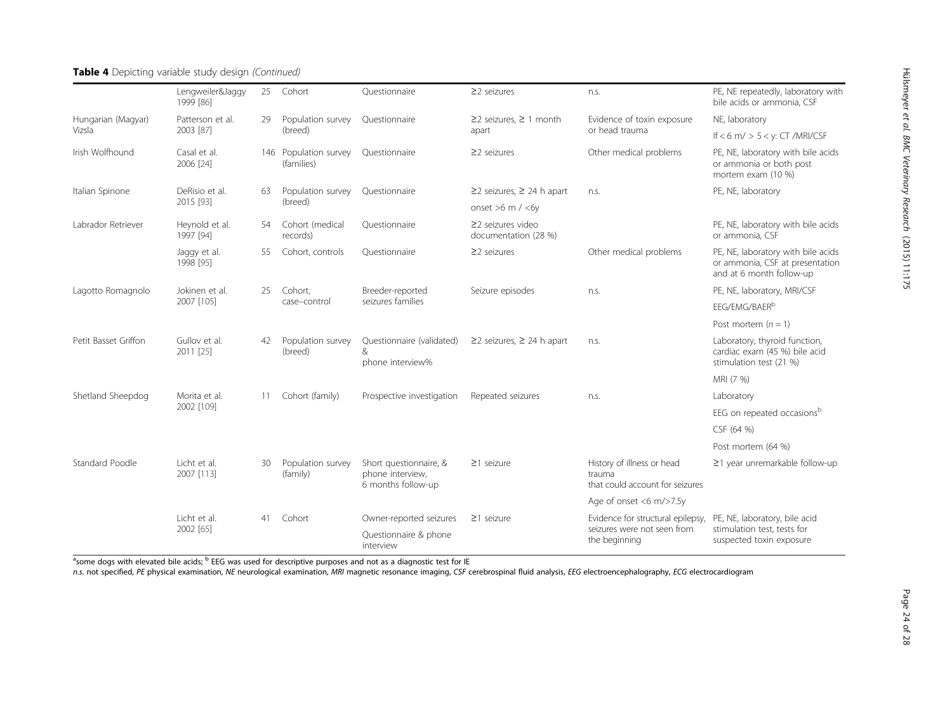|                      | Lengweiler&Jaggy<br>1999 [86] | 25           | Cohort                          | Questionnaire                                                    | $\geq$ 2 seizures                               | n.s.                                                                    | PE, NE repeatedly, laboratory with<br>bile acids or ammonia. CSF                                  |                                              |
|----------------------|-------------------------------|--------------|---------------------------------|------------------------------------------------------------------|-------------------------------------------------|-------------------------------------------------------------------------|---------------------------------------------------------------------------------------------------|----------------------------------------------|
| Hungarian (Magyar)   | Patterson et al.              | 29           | Population survey               | Ouestionnaire                                                    | $≥$ 2 seizures, $≥$ 1 month                     | Evidence of toxin exposure                                              | NE, laboratory                                                                                    |                                              |
| Vizsla               | 2003 [87]                     |              | (breed)                         |                                                                  | apart                                           | or head trauma                                                          | If $< 6$ m/ $> 5 < y$ : CT /MRI/CSF                                                               |                                              |
| Irish Wolfhound      | Casal et al.<br>2006 [24]     | 146          | Population survey<br>(families) | Ouestionnaire                                                    | $\geq$ 2 seizures                               | Other medical problems                                                  | PE, NE, laboratory with bile acids<br>or ammonia or both post<br>mortem exam (10 %)               |                                              |
| Italian Spinone      | DeRisio et al.                | 63           | Population survey<br>(breed)    | Ouestionnaire                                                    | $≥$ 2 seizures, $≥$ 24 h apart                  | n.s.                                                                    | PE, NE, laboratory                                                                                |                                              |
|                      |                               | 2015 [93]    |                                 |                                                                  | onset $>6$ m / <6y                              |                                                                         |                                                                                                   |                                              |
| Labrador Retriever   | Heynold et al.<br>1997 [94]   | 54           | Cohort (medical<br>records)     | Ouestionnaire                                                    | $\geq$ 2 seizures video<br>documentation (28 %) |                                                                         | PE, NE, laboratory with bile acids<br>or ammonia, CSF                                             |                                              |
|                      | Jaggy et al.<br>1998 [95]     | 55           | Cohort, controls                | Ouestionnaire                                                    | $\geq$ 2 seizures                               | Other medical problems                                                  | PE, NE, laboratory with bile acids<br>or ammonia, CSF at presentation<br>and at 6 month follow-up |                                              |
| Lagotto Romagnolo    | Jokinen et al.                | 25           | Cohort,                         | Breeder-reported                                                 | Seizure episodes                                | n.s.                                                                    | PE, NE, laboratory, MRI/CSF                                                                       |                                              |
|                      | 2007 [105]                    |              | case-control                    | seizures families                                                |                                                 |                                                                         | EEG/EMG/BAER <sup>b</sup>                                                                         |                                              |
|                      |                               |              |                                 |                                                                  |                                                 |                                                                         | Post mortem $(n = 1)$                                                                             |                                              |
| Petit Basset Griffon | Gullov et al.<br>2011 [25]    | 42           | Population survey<br>(breed)    | Questionnaire (validated)<br>&<br>phone interview%               | $≥$ 2 seizures, $≥$ 24 h apart                  | n.s.                                                                    | Laboratory, thyroid function,<br>cardiac exam (45 %) bile acid<br>stimulation test (21 %)         |                                              |
|                      |                               |              |                                 |                                                                  |                                                 |                                                                         | MRI (7 %)                                                                                         |                                              |
| Shetland Sheepdog    | Morita et al.                 | 11           | Cohort (family)                 | Prospective investigation                                        | Repeated seizures                               | n.s.                                                                    | Laboratory                                                                                        |                                              |
|                      | 2002 [109]                    |              |                                 |                                                                  |                                                 |                                                                         | EEG on repeated occasions <sup>b</sup>                                                            |                                              |
|                      |                               |              |                                 |                                                                  |                                                 |                                                                         | CSF (64 %)                                                                                        |                                              |
|                      |                               |              |                                 |                                                                  |                                                 |                                                                         | Post mortem (64 %)                                                                                |                                              |
| Standard Poodle      | Licht et al.<br>2007 [113]    | 30           | Population survey<br>(family)   | Short questionnaire, &<br>phone interview,<br>6 months follow-up | $\geq$ 1 seizure                                | History of illness or head<br>trauma<br>that could account for seizures | ≥1 year unremarkable follow-up                                                                    |                                              |
|                      |                               |              |                                 |                                                                  |                                                 | Age of onset $<$ 6 m/ $>$ 7.5y                                          |                                                                                                   |                                              |
|                      | Licht et al.<br>2002 [65]     | Cohort<br>41 |                                 | Owner-reported seizures                                          | $\geq$ 1 seizure                                | Evidence for structural epilepsy,                                       | PE, NE, laboratory, bile acid                                                                     |                                              |
|                      |                               |              |                                 |                                                                  |                                                 | Questionnaire & phone<br>interview                                      |                                                                                                   | seizures were not seen from<br>the beginning |

# Table 4 Depicting variable study design (Continued)

<sup>a</sup>some dogs with elevated bile acids; <sup>b</sup> EEG was used for descriptive purposes and not as a diagnostic test for IE

n.s. not specified, PE physical examination, NE neurological examination, MRI magnetic resonance imaging, CSF cerebrospinal fluid analysis, EEG electroencephalography, ECG electrocardiogram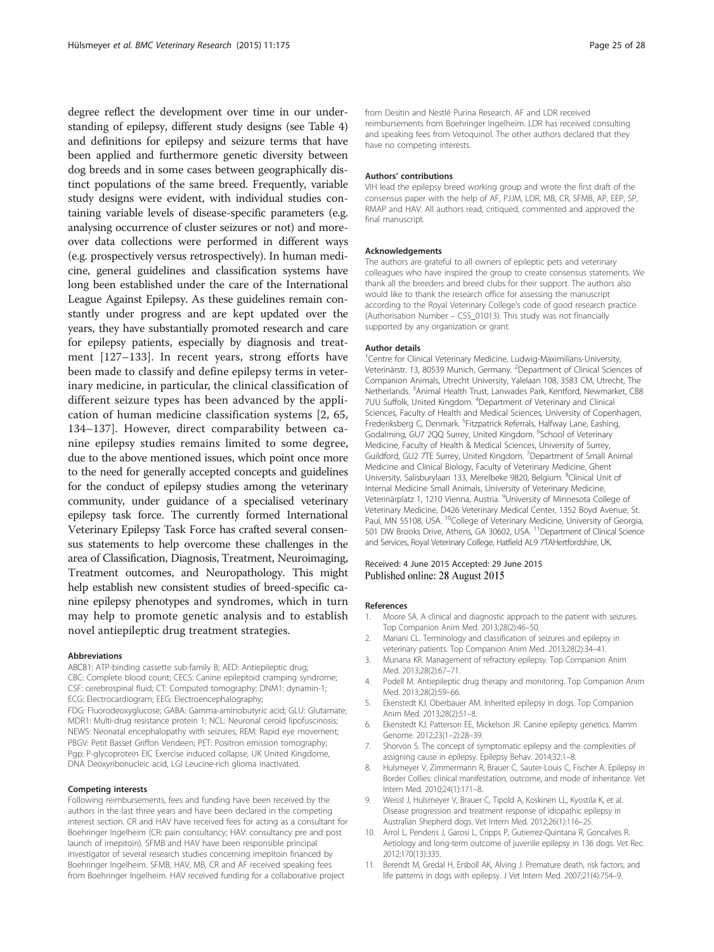<span id="page-24-0"></span>degree reflect the development over time in our understanding of epilepsy, different study designs (see Table [4](#page-21-0)) and definitions for epilepsy and seizure terms that have been applied and furthermore genetic diversity between dog breeds and in some cases between geographically distinct populations of the same breed. Frequently, variable study designs were evident, with individual studies containing variable levels of disease-specific parameters (e.g. analysing occurrence of cluster seizures or not) and moreover data collections were performed in different ways (e.g. prospectively versus retrospectively). In human medicine, general guidelines and classification systems have long been established under the care of the International League Against Epilepsy. As these guidelines remain constantly under progress and are kept updated over the years, they have substantially promoted research and care for epilepsy patients, especially by diagnosis and treatment [[127](#page-27-0)–[133\]](#page-27-0). In recent years, strong efforts have been made to classify and define epilepsy terms in veterinary medicine, in particular, the clinical classification of different seizure types has been advanced by the application of human medicine classification systems [2, [65](#page-26-0), [134](#page-27-0)–[137\]](#page-27-0). However, direct comparability between canine epilepsy studies remains limited to some degree, due to the above mentioned issues, which point once more to the need for generally accepted concepts and guidelines for the conduct of epilepsy studies among the veterinary community, under guidance of a specialised veterinary epilepsy task force. The currently formed International Veterinary Epilepsy Task Force has crafted several consensus statements to help overcome these challenges in the area of Classification, Diagnosis, Treatment, Neuroimaging, Treatment outcomes, and Neuropathology. This might help establish new consistent studies of breed-specific canine epilepsy phenotypes and syndromes, which in turn may help to promote genetic analysis and to establish novel antiepileptic drug treatment strategies.

#### Abbreviations

ABCB1: ATP-binding cassette sub-family B; AED: Antiepileptic drug; CBC: Complete blood count; CECS: Canine epileptoid cramping syndrome; CSF: cerebrospinal fluid; CT: Computed tomography; DNM1: dynamin-1; ECG: Electrocardiogram; EEG: Electroencephalography;

FDG: Fluorodeoxyglucose; GABA: Gamma-aminobutyric acid; GLU: Glutamate; MDR1: Multi-drug resistance protein 1; NCL: Neuronal ceroid lipofuscinosis; NEWS: Neonatal encephalopathy with seizures; REM: Rapid eye movement; PBGV: Petit Basset Griffon Vendeen; PET: Positron emission tomography; Pgp: P-glycoprotein EIC Exercise induced collapse, UK United Kingdome, DNA Deoxyribonucleic acid, LGI Leucine-rich glioma inactivated.

### Competing interests

Following reimbursements, fees and funding have been received by the authors in the last three years and have been declared in the competing interest section. CR and HAV have received fees for acting as a consultant for Boehringer Ingelheim (CR: pain consultancy; HAV: consultancy pre and post launch of imepitoin). SFMB and HAV have been responsible principal investigator of several research studies concerning imepitoin financed by Boehringer Ingelheim. SFMB, HAV, MB, CR and AF received speaking fees from Boehringer Ingelheim. HAV received funding for a collaborative project

from Desitin and Nestlé Purina Research. AF and LDR received reimbursements from Boehringer Ingelheim. LDR has received consulting and speaking fees from Vetoquinol. The other authors declared that they have no competing interests.

#### Authors' contributions

VIH lead the epilepsy breed working group and wrote the first draft of the consensus paper with the help of AF, PJJM, LDR, MB, CR, SFMB, AP, EEP, SP, RMAP and HAV. All authors read, critiqued, commented and approved the final manuscript.

#### Acknowledgements

The authors are grateful to all owners of epileptic pets and veterinary colleagues who have inspired the group to create consensus statements. We thank all the breeders and breed clubs for their support. The authors also would like to thank the research office for assessing the manuscript according to the Royal Veterinary College's code of good research practice (Authorisation Number – CSS\_01013). This study was not financially supported by any organization or grant.

#### Author details

<sup>1</sup> Centre for Clinical Veterinary Medicine, Ludwig-Maximilians-University Veterinärstr. 13, 80539 Munich, Germany. <sup>2</sup>Department of Clinical Sciences of Companion Animals, Utrecht University, Yalelaan 108, 3583 CM, Utrecht, The Netherlands. <sup>3</sup>Animal Health Trust, Lanwades Park, Kentford, Newmarket, CB8 7UU Suffolk, United Kingdom. <sup>4</sup>Department of Veterinary and Clinical Sciences, Faculty of Health and Medical Sciences, University of Copenhagen, Frederiksberg C, Denmark. <sup>5</sup>Fitzpatrick Referrals, Halfway Lane, Eashing, Godalming, GU7 2QQ Surrey, United Kingdom. <sup>6</sup>School of Veterinary Medicine, Faculty of Health & Medical Sciences, University of Surrey, Guildford, GU2 7TE Surrey, United Kingdom. <sup>7</sup>Department of Small Animal Medicine and Clinical Biology, Faculty of Veterinary Medicine, Ghent University, Salisburylaan 133, Merelbeke 9820, Belgium. <sup>8</sup>Clinical Unit of Internal Medicine Small Animals, University of Veterinary Medicine, Veterinärplatz 1, 1210 Vienna, Austria. <sup>9</sup>University of Minnesota College of Veterinary Medicine, D426 Veterinary Medical Center, 1352 Boyd Avenue, St. Paul, MN 55108, USA. <sup>10</sup>College of Veterinary Medicine, University of Georgia, 501 DW Brooks Drive, Athens, GA 30602, USA. <sup>11</sup> Department of Clinical Science and Services, Royal Veterinary College, Hatfield AL9 7TAHertfordshire, UK.

#### Received: 4 June 2015 Accepted: 29 June 2015 Published online: 28 August 2015

#### References

- 1. Moore SA. A clinical and diagnostic approach to the patient with seizures. Top Companion Anim Med. 2013;28(2):46–50.
- 2. Mariani CL. Terminology and classification of seizures and epilepsy in veterinary patients. Top Companion Anim Med. 2013;28(2):34–41.
- 3. Munana KR. Management of refractory epilepsy. Top Companion Anim Med. 2013;28(2):67–71.
- 4. Podell M. Antiepileptic drug therapy and monitoring. Top Companion Anim Med. 2013;28(2):59–66.
- Ekenstedt KJ, Oberbauer AM. Inherited epilepsy in dogs. Top Companion Anim Med. 2013;28(2):51–8.
- 6. Ekenstedt KJ, Patterson EE, Mickelson JR. Canine epilepsy genetics. Mamm Genome. 2012;23(1–2):28–39.
- 7. Shorvon S. The concept of symptomatic epilepsy and the complexities of assigning cause in epilepsy. Epilepsy Behav. 2014;32:1–8.
- 8. Hulsmeyer V, Zimmermann R, Brauer C, Sauter-Louis C, Fischer A. Epilepsy in Border Collies: clinical manifestation, outcome, and mode of inheritance. Vet Intern Med. 2010;24(1):171–8.
- 9. Weissl J, Hulsmeyer V, Brauer C, Tipold A, Koskinen LL, Kyostila K, et al. Disease progression and treatment response of idiopathic epilepsy in Australian Shepherd dogs. Vet Intern Med. 2012;26(1):116–25.
- 10. Arrol L, Penderis J, Garosi L, Cripps P, Gutierrez-Quintana R, Goncalves R. Aetiology and long-term outcome of juvenile epilepsy in 136 dogs. Vet Rec. 2012;170(13):335.
- 11. Berendt M, Gredal H, Ersboll AK, Alving J. Premature death, risk factors, and life patterns in dogs with epilepsy. J Vet Intern Med. 2007;21(4):754–9.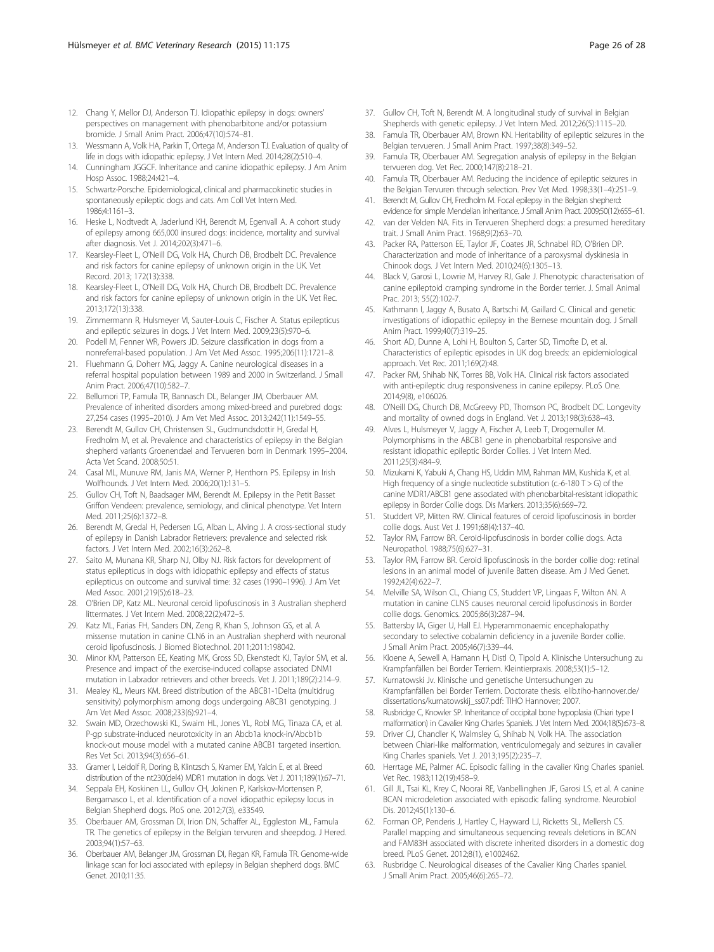- <span id="page-25-0"></span>12. Chang Y, Mellor DJ, Anderson TJ. Idiopathic epilepsy in dogs: owners' perspectives on management with phenobarbitone and/or potassium bromide. J Small Anim Pract. 2006;47(10):574–81.
- 13. Wessmann A, Volk HA, Parkin T, Ortega M, Anderson TJ. Evaluation of quality of life in dogs with idiopathic epilepsy. J Vet Intern Med. 2014;28(2):510–4.
- 14. Cunningham JGGCF. Inheritance and canine idiopathic epilepsy. J Am Anim Hosp Assoc. 1988;24:421–4.
- 15. Schwartz-Porsche. Epidemiological, clinical and pharmacokinetic studies in spontaneously epileptic dogs and cats. Am Coll Vet Intern Med. 1986;4:1161–3.
- 16. Heske L, Nodtvedt A, Jaderlund KH, Berendt M, Egenvall A. A cohort study of epilepsy among 665,000 insured dogs: incidence, mortality and survival after diagnosis. Vet J. 2014;202(3):471–6.
- 17. Kearsley-Fleet L, O'Neill DG, Volk HA, Church DB, Brodbelt DC. Prevalence and risk factors for canine epilepsy of unknown origin in the UK. Vet Record. 2013; 172(13):338.
- 18. Kearsley-Fleet L, O'Neill DG, Volk HA, Church DB, Brodbelt DC. Prevalence and risk factors for canine epilepsy of unknown origin in the UK. Vet Rec. 2013;172(13):338.
- 19. Zimmermann R, Hulsmeyer VI, Sauter-Louis C, Fischer A. Status epilepticus and epileptic seizures in dogs. J Vet Intern Med. 2009;23(5):970–6.
- 20. Podell M, Fenner WR, Powers JD. Seizure classification in dogs from a nonreferral-based population. J Am Vet Med Assoc. 1995;206(11):1721–8.
- 21. Fluehmann G, Doherr MG, Jaggy A. Canine neurological diseases in a referral hospital population between 1989 and 2000 in Switzerland. J Small Anim Pract. 2006;47(10):582–7.
- 22. Bellumori TP, Famula TR, Bannasch DL, Belanger JM, Oberbauer AM. Prevalence of inherited disorders among mixed-breed and purebred dogs: 27,254 cases (1995–2010). J Am Vet Med Assoc. 2013;242(11):1549–55.
- 23. Berendt M, Gullov CH, Christensen SL, Gudmundsdottir H, Gredal H, Fredholm M, et al. Prevalence and characteristics of epilepsy in the Belgian shepherd variants Groenendael and Tervueren born in Denmark 1995–2004. Acta Vet Scand. 2008;50:51.
- 24. Casal ML, Munuve RM, Janis MA, Werner P, Henthorn PS. Epilepsy in Irish Wolfhounds. J Vet Intern Med. 2006;20(1):131–5.
- 25. Gullov CH, Toft N, Baadsager MM, Berendt M. Epilepsy in the Petit Basset Griffon Vendeen: prevalence, semiology, and clinical phenotype. Vet Intern Med. 2011;25(6):1372–8.
- 26. Berendt M, Gredal H, Pedersen LG, Alban L, Alving J. A cross-sectional study of epilepsy in Danish Labrador Retrievers: prevalence and selected risk factors. J Vet Intern Med. 2002;16(3):262–8.
- 27. Saito M, Munana KR, Sharp NJ, Olby NJ. Risk factors for development of status epilepticus in dogs with idiopathic epilepsy and effects of status epilepticus on outcome and survival time: 32 cases (1990–1996). J Am Vet Med Assoc. 2001;219(5):618–23.
- 28. O'Brien DP, Katz ML. Neuronal ceroid lipofuscinosis in 3 Australian shepherd littermates. J Vet Intern Med. 2008;22(2):472–5.
- 29. Katz ML, Farias FH, Sanders DN, Zeng R, Khan S, Johnson GS, et al. A missense mutation in canine CLN6 in an Australian shepherd with neuronal ceroid lipofuscinosis. J Biomed Biotechnol. 2011;2011:198042.
- 30. Minor KM, Patterson EE, Keating MK, Gross SD, Ekenstedt KJ, Taylor SM, et al. Presence and impact of the exercise-induced collapse associated DNM1 mutation in Labrador retrievers and other breeds. Vet J. 2011;189(2):214–9.
- 31. Mealey KL, Meurs KM. Breed distribution of the ABCB1-1Delta (multidrug sensitivity) polymorphism among dogs undergoing ABCB1 genotyping. J Am Vet Med Assoc. 2008;233(6):921–4.
- 32. Swain MD, Orzechowski KL, Swaim HL, Jones YL, Robl MG, Tinaza CA, et al. P-gp substrate-induced neurotoxicity in an Abcb1a knock-in/Abcb1b knock-out mouse model with a mutated canine ABCB1 targeted insertion. Res Vet Sci. 2013;94(3):656–61.
- 33. Gramer I, Leidolf R, Doring B, Klintzsch S, Kramer EM, Yalcin E, et al. Breed distribution of the nt230(del4) MDR1 mutation in dogs. Vet J. 2011;189(1):67–71.
- 34. Seppala EH, Koskinen LL, Gullov CH, Jokinen P, Karlskov-Mortensen P, Bergamasco L, et al. Identification of a novel idiopathic epilepsy locus in Belgian Shepherd dogs. PloS one. 2012;7(3), e33549.
- 35. Oberbauer AM, Grossman DI, Irion DN, Schaffer AL, Eggleston ML, Famula TR. The genetics of epilepsy in the Belgian tervuren and sheepdog. J Hered. 2003;94(1):57–63.
- 36. Oberbauer AM, Belanger JM, Grossman DI, Regan KR, Famula TR. Genome-wide linkage scan for loci associated with epilepsy in Belgian shepherd dogs. BMC Genet. 2010;11:35.
- 37. Gullov CH, Toft N, Berendt M. A longitudinal study of survival in Belgian Shepherds with genetic epilepsy. J Vet Intern Med. 2012;26(5):1115–20.
- 38. Famula TR, Oberbauer AM, Brown KN. Heritability of epileptic seizures in the Belgian tervueren. J Small Anim Pract. 1997;38(8):349–52.
- 39. Famula TR, Oberbauer AM. Segregation analysis of epilepsy in the Belgian tervueren dog. Vet Rec. 2000;147(8):218–21.
- 40. Famula TR, Oberbauer AM. Reducing the incidence of epileptic seizures in the Belgian Tervuren through selection. Prev Vet Med. 1998;33(1–4):251–9.
- 41. Berendt M, Gullov CH, Fredholm M. Focal epilepsy in the Belgian shepherd: evidence for simple Mendelian inheritance. J Small Anim Pract. 2009;50(12):655–61.
- 42. van der Velden NA. Fits in Tervueren Shepherd dogs: a presumed hereditary trait. J Small Anim Pract. 1968;9(2):63–70.
- 43. Packer RA, Patterson EE, Taylor JF, Coates JR, Schnabel RD, O'Brien DP. Characterization and mode of inheritance of a paroxysmal dyskinesia in Chinook dogs. J Vet Intern Med. 2010;24(6):1305–13.
- 44. Black V, Garosi L, Lowrie M, Harvey RJ, Gale J. Phenotypic characterisation of canine epileptoid cramping syndrome in the Border terrier. J. Small Animal Prac. 2013; 55(2):102-7.
- 45. Kathmann I, Jaggy A, Busato A, Bartschi M, Gaillard C. Clinical and genetic investigations of idiopathic epilepsy in the Bernese mountain dog. J Small Anim Pract. 1999;40(7):319–25.
- Short AD, Dunne A, Lohi H, Boulton S, Carter SD, Timofte D, et al. Characteristics of epileptic episodes in UK dog breeds: an epidemiological approach. Vet Rec. 2011;169(2):48.
- 47. Packer RM, Shihab NK, Torres BB, Volk HA. Clinical risk factors associated with anti-epileptic drug responsiveness in canine epilepsy. PLoS One. 2014;9(8), e106026.
- 48. O'Neill DG, Church DB, McGreevy PD, Thomson PC, Brodbelt DC. Longevity and mortality of owned dogs in England. Vet J. 2013;198(3):638–43.
- 49. Alves L, Hulsmeyer V, Jaggy A, Fischer A, Leeb T, Drogemuller M. Polymorphisms in the ABCB1 gene in phenobarbital responsive and resistant idiopathic epileptic Border Collies. J Vet Intern Med. 2011;25(3):484–9.
- 50. Mizukami K, Yabuki A, Chang HS, Uddin MM, Rahman MM, Kushida K, et al. High frequency of a single nucleotide substitution (c.-6-180 T  $>$  G) of the canine MDR1/ABCB1 gene associated with phenobarbital-resistant idiopathic epilepsy in Border Collie dogs. Dis Markers. 2013;35(6):669–72.
- 51. Studdert VP, Mitten RW. Clinical features of ceroid lipofuscinosis in border collie dogs. Aust Vet J. 1991;68(4):137–40.
- 52. Taylor RM, Farrow BR. Ceroid-lipofuscinosis in border collie dogs. Acta Neuropathol. 1988;75(6):627–31.
- 53. Taylor RM, Farrow BR. Ceroid lipofuscinosis in the border collie dog: retinal lesions in an animal model of juvenile Batten disease. Am J Med Genet. 1992;42(4):622–7.
- 54. Melville SA, Wilson CL, Chiang CS, Studdert VP, Lingaas F, Wilton AN. A mutation in canine CLN5 causes neuronal ceroid lipofuscinosis in Border collie dogs. Genomics. 2005;86(3):287–94.
- 55. Battersby IA, Giger U, Hall EJ. Hyperammonaemic encephalopathy secondary to selective cobalamin deficiency in a juvenile Border collie. J Small Anim Pract. 2005;46(7):339–44.
- 56. Kloene A, Sewell A, Hamann H, Distl O, Tipold A. Klinische Untersuchung zu Krampfanfällen bei Border Terriern. Kleintierpraxis. 2008;53(1):5–12.
- 57. Kurnatowski Jv. Klinische und genetische Untersuchungen zu Krampfanfällen bei Border Terriern. Doctorate thesis. elib.tiho-hannover.de/ dissertations/kurnatowskij\_ss07.pdf: TIHO Hannover; 2007.
- 58. Rusbridge C, Knowler SP. Inheritance of occipital bone hypoplasia (Chiari type I malformation) in Cavalier King Charles Spaniels. J Vet Intern Med. 2004;18(5):673–8.
- 59. Driver CJ, Chandler K, Walmsley G, Shihab N, Volk HA. The association between Chiari-like malformation, ventriculomegaly and seizures in cavalier King Charles spaniels. Vet J. 2013;195(2):235–7.
- 60. Herrtage ME, Palmer AC. Episodic falling in the cavalier King Charles spaniel. Vet Rec. 1983;112(19):458–9.
- 61. Gill JL, Tsai KL, Krey C, Noorai RE, Vanbellinghen JF, Garosi LS, et al. A canine BCAN microdeletion associated with episodic falling syndrome. Neurobiol Dis. 2012;45(1):130–6.
- 62. Forman OP, Penderis J, Hartley C, Hayward LJ, Ricketts SL, Mellersh CS. Parallel mapping and simultaneous sequencing reveals deletions in BCAN and FAM83H associated with discrete inherited disorders in a domestic dog breed. PLoS Genet. 2012;8(1), e1002462.
- 63. Rusbridge C. Neurological diseases of the Cavalier King Charles spaniel. J Small Anim Pract. 2005;46(6):265–72.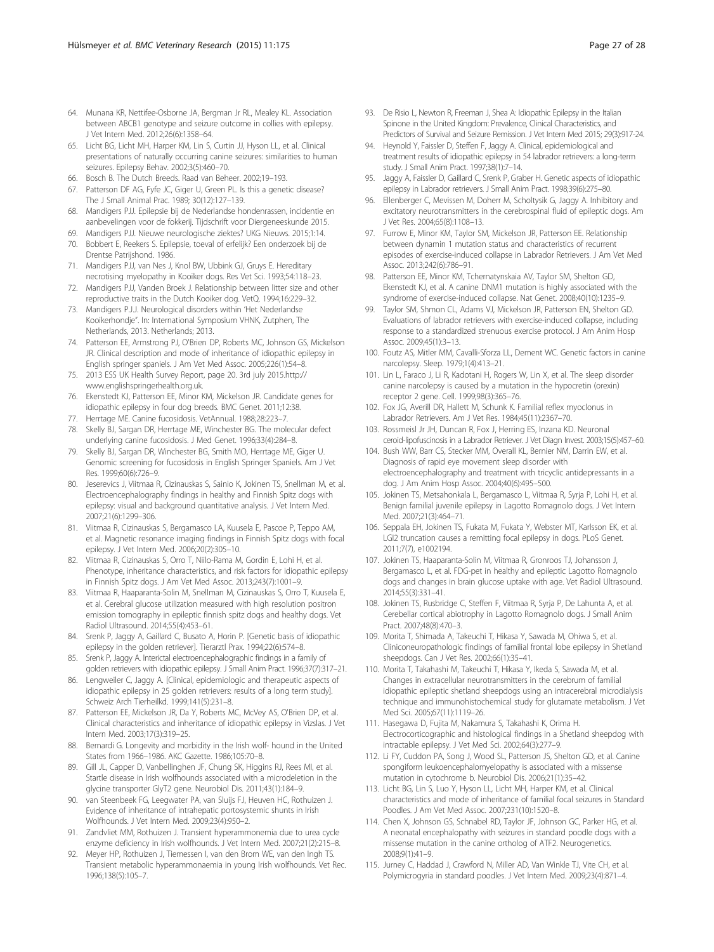- <span id="page-26-0"></span>64. Munana KR, Nettifee-Osborne JA, Bergman Jr RL, Mealey KL. Association between ABCB1 genotype and seizure outcome in collies with epilepsy. J Vet Intern Med. 2012;26(6):1358–64.
- 65. Licht BG, Licht MH, Harper KM, Lin S, Curtin JJ, Hyson LL, et al. Clinical presentations of naturally occurring canine seizures: similarities to human seizures. Epilepsy Behav. 2002;3(5):460–70.
- 66. Bosch B. The Dutch Breeds. Raad van Beheer. 2002;19–193.
- 67. Patterson DF AG, Fyfe JC, Giger U, Green PL. Is this a genetic disease? The J Small Animal Prac. 1989; 30(12):127–139.
- 68. Mandigers PJJ. Epilepsie bij de Nederlandse hondenrassen, incidentie en aanbevelingen voor de fokkerij. Tijdschrift voor Diergeneeskunde 2015.
- 69. Mandigers PJJ. Nieuwe neurologische ziektes? UKG Nieuws. 2015;1:14. 70. Bobbert E, Reekers S. Epilepsie, toeval of erfelijk? Een onderzoek bij de
- Drentse Patrijshond. 1986. 71. Mandigers PJJ, van Nes J, Knol BW, Ubbink GJ, Gruys E. Hereditary
- necrotising myelopathy in Kooiker dogs. Res Vet Sci. 1993;54:118–23. 72. Mandigers PJJ, Vanden Broek J. Relationship between litter size and other
- reproductive traits in the Dutch Kooiker dog. VetQ. 1994;16:229–32. 73. Mandigers P.J.J. Neurological disorders within 'Het Nederlandse
- Kooikerhondje". In: International Symposium VHNK, Zutphen, The Netherlands, 2013. Netherlands; 2013.
- 74. Patterson EE, Armstrong PJ, O'Brien DP, Roberts MC, Johnson GS, Mickelson JR. Clinical description and mode of inheritance of idiopathic epilepsy in English springer spaniels. J Am Vet Med Assoc. 2005;226(1):54–8.
- 75. 2013 ESS UK Health Survey Report, page 20. 3rd july 2015[.http://](http://www.englishspringerhealth.org.uk.) [www.englishspringerhealth.org.uk.](http://www.englishspringerhealth.org.uk)
- 76. Ekenstedt KJ, Patterson EE, Minor KM, Mickelson JR. Candidate genes for idiopathic epilepsy in four dog breeds. BMC Genet. 2011;12:38.
- 77. Herrtage ME. Canine fucosidosis. VetAnnual. 1988;28:223–7.
- 78. Skelly BJ, Sargan DR, Herrtage ME, Winchester BG. The molecular defect underlying canine fucosidosis. J Med Genet. 1996;33(4):284–8.
- 79. Skelly BJ, Sargan DR, Winchester BG, Smith MO, Herrtage ME, Giger U. Genomic screening for fucosidosis in English Springer Spaniels. Am J Vet Res. 1999;60(6):726–9.
- 80. Jeserevics J, Viitmaa R, Cizinauskas S, Sainio K, Jokinen TS, Snellman M, et al. Electroencephalography findings in healthy and Finnish Spitz dogs with epilepsy: visual and background quantitative analysis. J Vet Intern Med. 2007;21(6):1299–306.
- 81. Viitmaa R, Cizinauskas S, Bergamasco LA, Kuusela E, Pascoe P, Teppo AM, et al. Magnetic resonance imaging findings in Finnish Spitz dogs with focal epilepsy. J Vet Intern Med. 2006;20(2):305–10.
- 82. Viitmaa R, Cizinauskas S, Orro T, Niilo-Rama M, Gordin E, Lohi H, et al. Phenotype, inheritance characteristics, and risk factors for idiopathic epilepsy in Finnish Spitz dogs. J Am Vet Med Assoc. 2013;243(7):1001–9.
- 83. Viitmaa R, Haaparanta-Solin M, Snellman M, Cizinauskas S, Orro T, Kuusela E, et al. Cerebral glucose utilization measured with high resolution positron emission tomography in epileptic finnish spitz dogs and healthy dogs. Vet Radiol Ultrasound. 2014;55(4):453–61.
- 84. Srenk P, Jaggy A, Gaillard C, Busato A, Horin P. [Genetic basis of idiopathic epilepsy in the golden retriever]. Tierarztl Prax. 1994;22(6):574–8.
- 85. Srenk P, Jaggy A. Interictal electroencephalographic findings in a family of golden retrievers with idiopathic epilepsy. J Small Anim Pract. 1996;37(7):317–21.
- 86. Lengweiler C, Jaggy A. [Clinical, epidemiologic and therapeutic aspects of idiopathic epilepsy in 25 golden retrievers: results of a long term study]. Schweiz Arch Tierheilkd. 1999;141(5):231–8.
- 87. Patterson EE, Mickelson JR, Da Y, Roberts MC, McVey AS, O'Brien DP, et al. Clinical characteristics and inheritance of idiopathic epilepsy in Vizslas. J Vet Intern Med. 2003;17(3):319–25.
- Bernardi G. Longevity and morbidity in the Irish wolf- hound in the United States from 1966–1986. AKC Gazette. 1986;105:70–8.
- 89. Gill JL, Capper D, Vanbellinghen JF, Chung SK, Higgins RJ, Rees MI, et al. Startle disease in Irish wolfhounds associated with a microdeletion in the glycine transporter GlyT2 gene. Neurobiol Dis. 2011;43(1):184–9.
- 90. van Steenbeek FG, Leegwater PA, van Sluijs FJ, Heuven HC, Rothuizen J. Evidence of inheritance of intrahepatic portosystemic shunts in Irish Wolfhounds. J Vet Intern Med. 2009;23(4):950–2.
- 91. Zandvliet MM, Rothuizen J. Transient hyperammonemia due to urea cycle enzyme deficiency in Irish wolfhounds. J Vet Intern Med. 2007;21(2):215–8.
- 92. Meyer HP, Rothuizen J, Tiemessen I, van den Brom WE, van den Ingh TS. Transient metabolic hyperammonaemia in young Irish wolfhounds. Vet Rec. 1996;138(5):105–7.
- 93. De Risio L, Newton R, Freeman J, Shea A: Idiopathic Epilepsy in the Italian Spinone in the United Kingdom: Prevalence, Clinical Characteristics, and Predictors of Survival and Seizure Remission. J Vet Intern Med 2015; 29(3):917-24.
- 94. Heynold Y, Faissler D, Steffen F, Jaggy A. Clinical, epidemiological and treatment results of idiopathic epilepsy in 54 labrador retrievers: a long-term study. J Small Anim Pract. 1997;38(1):7–14.
- 95. Jaggy A, Faissler D, Gaillard C, Srenk P, Graber H. Genetic aspects of idiopathic epilepsy in Labrador retrievers. J Small Anim Pract. 1998;39(6):275–80.
- 96. Ellenberger C, Mevissen M, Doherr M, Scholtysik G, Jaggy A. Inhibitory and excitatory neurotransmitters in the cerebrospinal fluid of epileptic dogs. Am J Vet Res. 2004;65(8):1108–13.
- 97. Furrow E, Minor KM, Taylor SM, Mickelson JR, Patterson EE. Relationship between dynamin 1 mutation status and characteristics of recurrent episodes of exercise-induced collapse in Labrador Retrievers. J Am Vet Med Assoc. 2013;242(6):786–91.
- 98. Patterson EE, Minor KM, Tchernatynskaia AV, Taylor SM, Shelton GD, Ekenstedt KJ, et al. A canine DNM1 mutation is highly associated with the syndrome of exercise-induced collapse. Nat Genet. 2008;40(10):1235–9.
- 99. Taylor SM, Shmon CL, Adams VJ, Mickelson JR, Patterson EN, Shelton GD. Evaluations of labrador retrievers with exercise-induced collapse, including response to a standardized strenuous exercise protocol. J Am Anim Hosp Assoc. 2009;45(1):3–13.
- 100. Foutz AS, Mitler MM, Cavalli-Sforza LL, Dement WC. Genetic factors in canine narcolepsy. Sleep. 1979;1(4):413–21.
- 101. Lin L, Faraco J, Li R, Kadotani H, Rogers W, Lin X, et al. The sleep disorder canine narcolepsy is caused by a mutation in the hypocretin (orexin) receptor 2 gene. Cell. 1999;98(3):365–76.
- 102. Fox JG, Averill DR, Hallett M, Schunk K. Familial reflex myoclonus in Labrador Retrievers. Am J Vet Res. 1984;45(11):2367–70.
- 103. Rossmeisl Jr JH, Duncan R, Fox J, Herring ES, Inzana KD. Neuronal ceroid-lipofuscinosis in a Labrador Retriever. J Vet Diagn Invest. 2003;15(5):457–60. 104. Bush WW, Barr CS, Stecker MM, Overall KL, Bernier NM, Darrin EW, et al.
- Diagnosis of rapid eye movement sleep disorder with electroencephalography and treatment with tricyclic antidepressants in a dog. J Am Anim Hosp Assoc. 2004;40(6):495–500.
- 105. Jokinen TS, Metsahonkala L, Bergamasco L, Viitmaa R, Syrja P, Lohi H, et al. Benign familial juvenile epilepsy in Lagotto Romagnolo dogs. J Vet Intern Med. 2007;21(3):464–71.
- 106. Seppala EH, Jokinen TS, Fukata M, Fukata Y, Webster MT, Karlsson EK, et al. LGI2 truncation causes a remitting focal epilepsy in dogs. PLoS Genet. 2011;7(7), e1002194.
- 107. Jokinen TS, Haaparanta-Solin M, Viitmaa R, Gronroos TJ, Johansson J, Bergamasco L, et al. FDG-pet in healthy and epileptic Lagotto Romagnolo dogs and changes in brain glucose uptake with age. Vet Radiol Ultrasound. 2014;55(3):331–41.
- 108. Jokinen TS, Rusbridge C, Steffen F, Viitmaa R, Syrja P, De Lahunta A, et al. Cerebellar cortical abiotrophy in Lagotto Romagnolo dogs. J Small Anim Pract. 2007;48(8):470–3.
- 109. Morita T, Shimada A, Takeuchi T, Hikasa Y, Sawada M, Ohiwa S, et al. Cliniconeuropathologic findings of familial frontal lobe epilepsy in Shetland sheepdogs. Can J Vet Res. 2002;66(1):35–41.
- 110. Morita T, Takahashi M, Takeuchi T, Hikasa Y, Ikeda S, Sawada M, et al. Changes in extracellular neurotransmitters in the cerebrum of familial idiopathic epileptic shetland sheepdogs using an intracerebral microdialysis technique and immunohistochemical study for glutamate metabolism. J Vet Med Sci. 2005;67(11):1119–26.
- 111. Hasegawa D, Fujita M, Nakamura S, Takahashi K, Orima H. Electrocorticographic and histological findings in a Shetland sheepdog with intractable epilepsy. J Vet Med Sci. 2002;64(3):277–9.
- 112. Li FY, Cuddon PA, Song J, Wood SL, Patterson JS, Shelton GD, et al. Canine spongiform leukoencephalomyelopathy is associated with a missense mutation in cytochrome b. Neurobiol Dis. 2006;21(1):35–42.
- 113. Licht BG, Lin S, Luo Y, Hyson LL, Licht MH, Harper KM, et al. Clinical characteristics and mode of inheritance of familial focal seizures in Standard Poodles. J Am Vet Med Assoc. 2007;231(10):1520–8.
- 114. Chen X, Johnson GS, Schnabel RD, Taylor JF, Johnson GC, Parker HG, et al. A neonatal encephalopathy with seizures in standard poodle dogs with a missense mutation in the canine ortholog of ATF2. Neurogenetics. 2008;9(1):41–9.
- 115. Jurney C, Haddad J, Crawford N, Miller AD, Van Winkle TJ, Vite CH, et al. Polymicrogyria in standard poodles. J Vet Intern Med. 2009;23(4):871–4.